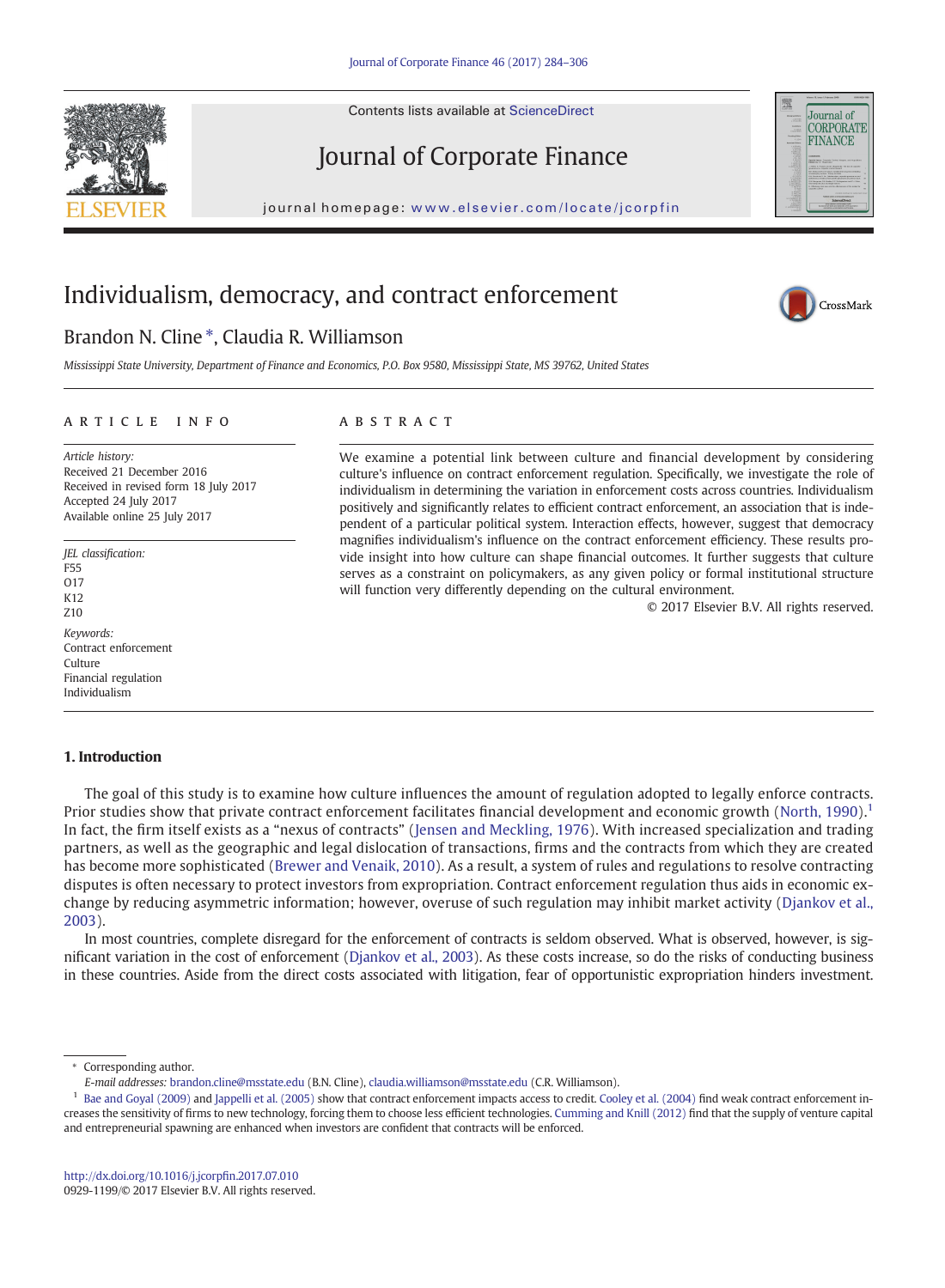Contents lists available at ScienceDirect





CrossMark

# Journal of Corporate Finance

journal homepage: <www.elsevier.com/locate/jcorpfin>

## Individualism, democracy, and contract enforcement

### Brandon N. Cline \*, Claudia R. Williamson

Mississippi State University, Department of Finance and Economics, P.O. Box 9580, Mississippi State, MS 39762, United States

#### article info abstract

Article history: Received 21 December 2016 Received in revised form 18 July 2017 Accepted 24 July 2017 Available online 25 July 2017

JEL classification: F55 O17  $K12$ Z10 Keywords: Contract enforcement Culture Financial regulation Individualism

# 1. Introduction

We examine a potential link between culture and financial development by considering culture's influence on contract enforcement regulation. Specifically, we investigate the role of individualism in determining the variation in enforcement costs across countries. Individualism positively and significantly relates to efficient contract enforcement, an association that is independent of a particular political system. Interaction effects, however, suggest that democracy magnifies individualism's influence on the contract enforcement efficiency. These results provide insight into how culture can shape financial outcomes. It further suggests that culture serves as a constraint on policymakers, as any given policy or formal institutional structure will function very differently depending on the cultural environment.

© 2017 Elsevier B.V. All rights reserved.

The goal of this study is to examine how culture influences the amount of regulation adopted to legally enforce contracts. Prior studies show that private contract enforcement facilitates financial development and economic growth [\(North, 1990](#page-21-0)).<sup>1</sup> In fact, the firm itself exists as a "nexus of contracts" ([Jensen and Meckling, 1976](#page-21-0)). With increased specialization and trading partners, as well as the geographic and legal dislocation of transactions, firms and the contracts from which they are created has become more sophisticated [\(Brewer and Venaik, 2010\)](#page-21-0). As a result, a system of rules and regulations to resolve contracting disputes is often necessary to protect investors from expropriation. Contract enforcement regulation thus aids in economic exchange by reducing asymmetric information; however, overuse of such regulation may inhibit market activity ([Djankov et al.,](#page-21-0) [2003](#page-21-0)).

In most countries, complete disregard for the enforcement of contracts is seldom observed. What is observed, however, is significant variation in the cost of enforcement [\(Djankov et al., 2003\)](#page-21-0). As these costs increase, so do the risks of conducting business in these countries. Aside from the direct costs associated with litigation, fear of opportunistic expropriation hinders investment.

⁎ Corresponding author.

E-mail addresses: <brandon.cline@msstate.edu> (B.N. Cline), <claudia.williamson@msstate.edu> (C.R. Williamson).

<sup>&</sup>lt;sup>1</sup> [Bae and Goyal \(2009\)](#page-21-0) and [Jappelli et al. \(2005\)](#page-21-0) show that contract enforcement impacts access to credit. [Cooley et al. \(2004\)](#page-21-0) find weak contract enforcement increases the sensitivity of firms to new technology, forcing them to choose less efficient technologies. [Cumming and Knill \(2012\)](#page-21-0) find that the supply of venture capital and entrepreneurial spawning are enhanced when investors are confident that contracts will be enforced.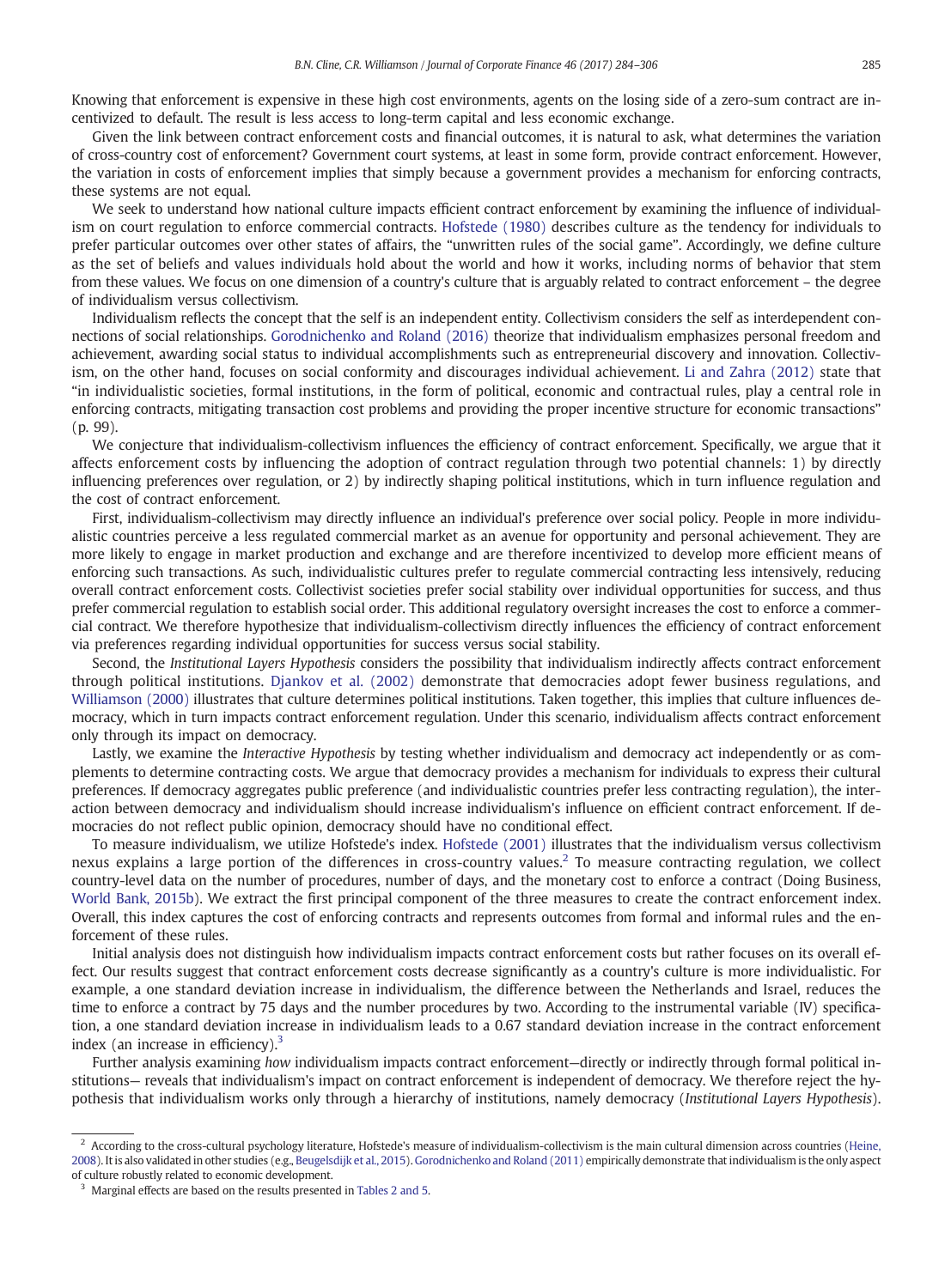Knowing that enforcement is expensive in these high cost environments, agents on the losing side of a zero-sum contract are incentivized to default. The result is less access to long-term capital and less economic exchange.

Given the link between contract enforcement costs and financial outcomes, it is natural to ask, what determines the variation of cross-country cost of enforcement? Government court systems, at least in some form, provide contract enforcement. However, the variation in costs of enforcement implies that simply because a government provides a mechanism for enforcing contracts, these systems are not equal.

We seek to understand how national culture impacts efficient contract enforcement by examining the influence of individualism on court regulation to enforce commercial contracts. [Hofstede \(1980\)](#page-21-0) describes culture as the tendency for individuals to prefer particular outcomes over other states of affairs, the "unwritten rules of the social game". Accordingly, we define culture as the set of beliefs and values individuals hold about the world and how it works, including norms of behavior that stem from these values. We focus on one dimension of a country's culture that is arguably related to contract enforcement – the degree of individualism versus collectivism.

Individualism reflects the concept that the self is an independent entity. Collectivism considers the self as interdependent connections of social relationships. [Gorodnichenko and Roland \(2016\)](#page-21-0) theorize that individualism emphasizes personal freedom and achievement, awarding social status to individual accomplishments such as entrepreneurial discovery and innovation. Collectivism, on the other hand, focuses on social conformity and discourages individual achievement. [Li and Zahra \(2012\)](#page-21-0) state that "in individualistic societies, formal institutions, in the form of political, economic and contractual rules, play a central role in enforcing contracts, mitigating transaction cost problems and providing the proper incentive structure for economic transactions" (p. 99).

We conjecture that individualism-collectivism influences the efficiency of contract enforcement. Specifically, we argue that it affects enforcement costs by influencing the adoption of contract regulation through two potential channels: 1) by directly influencing preferences over regulation, or 2) by indirectly shaping political institutions, which in turn influence regulation and the cost of contract enforcement.

First, individualism-collectivism may directly influence an individual's preference over social policy. People in more individualistic countries perceive a less regulated commercial market as an avenue for opportunity and personal achievement. They are more likely to engage in market production and exchange and are therefore incentivized to develop more efficient means of enforcing such transactions. As such, individualistic cultures prefer to regulate commercial contracting less intensively, reducing overall contract enforcement costs. Collectivist societies prefer social stability over individual opportunities for success, and thus prefer commercial regulation to establish social order. This additional regulatory oversight increases the cost to enforce a commercial contract. We therefore hypothesize that individualism-collectivism directly influences the efficiency of contract enforcement via preferences regarding individual opportunities for success versus social stability.

Second, the Institutional Layers Hypothesis considers the possibility that individualism indirectly affects contract enforcement through political institutions. [Djankov et al. \(2002\)](#page-21-0) demonstrate that democracies adopt fewer business regulations, and [Williamson \(2000\)](#page-22-0) illustrates that culture determines political institutions. Taken together, this implies that culture influences democracy, which in turn impacts contract enforcement regulation. Under this scenario, individualism affects contract enforcement only through its impact on democracy.

Lastly, we examine the Interactive Hypothesis by testing whether individualism and democracy act independently or as complements to determine contracting costs. We argue that democracy provides a mechanism for individuals to express their cultural preferences. If democracy aggregates public preference (and individualistic countries prefer less contracting regulation), the interaction between democracy and individualism should increase individualism's influence on efficient contract enforcement. If democracies do not reflect public opinion, democracy should have no conditional effect.

To measure individualism, we utilize Hofstede's index. [Hofstede \(2001\)](#page-21-0) illustrates that the individualism versus collectivism nexus explains a large portion of the differences in cross-country values.<sup>2</sup> To measure contracting regulation, we collect country-level data on the number of procedures, number of days, and the monetary cost to enforce a contract (Doing Business, [World Bank, 2015b\)](#page-22-0). We extract the first principal component of the three measures to create the contract enforcement index. Overall, this index captures the cost of enforcing contracts and represents outcomes from formal and informal rules and the enforcement of these rules.

Initial analysis does not distinguish how individualism impacts contract enforcement costs but rather focuses on its overall effect. Our results suggest that contract enforcement costs decrease significantly as a country's culture is more individualistic. For example, a one standard deviation increase in individualism, the difference between the Netherlands and Israel, reduces the time to enforce a contract by 75 days and the number procedures by two. According to the instrumental variable (IV) specification, a one standard deviation increase in individualism leads to a 0.67 standard deviation increase in the contract enforcement index (an increase in efficiency). $3$ 

Further analysis examining how individualism impacts contract enforcement—directly or indirectly through formal political institutions— reveals that individualism's impact on contract enforcement is independent of democracy. We therefore reject the hypothesis that individualism works only through a hierarchy of institutions, namely democracy (Institutional Layers Hypothesis).

 $<sup>2</sup>$  According to the cross-cultural psychology literature, Hofstede's measure of individualism-collectivism is the main cultural dimension across countries [\(Heine,](#page-21-0)</sup> [2008](#page-21-0)). It is also validated in other studies (e.g., [Beugelsdijk et al., 2015\)](#page-21-0).[Gorodnichenko and Roland \(2011\)](#page-21-0) empirically demonstrate that individualism is the only aspect of culture robustly related to economic development.

<sup>3</sup> Marginal effects are based on the results presented in [Tables 2 and 5](#page-7-0).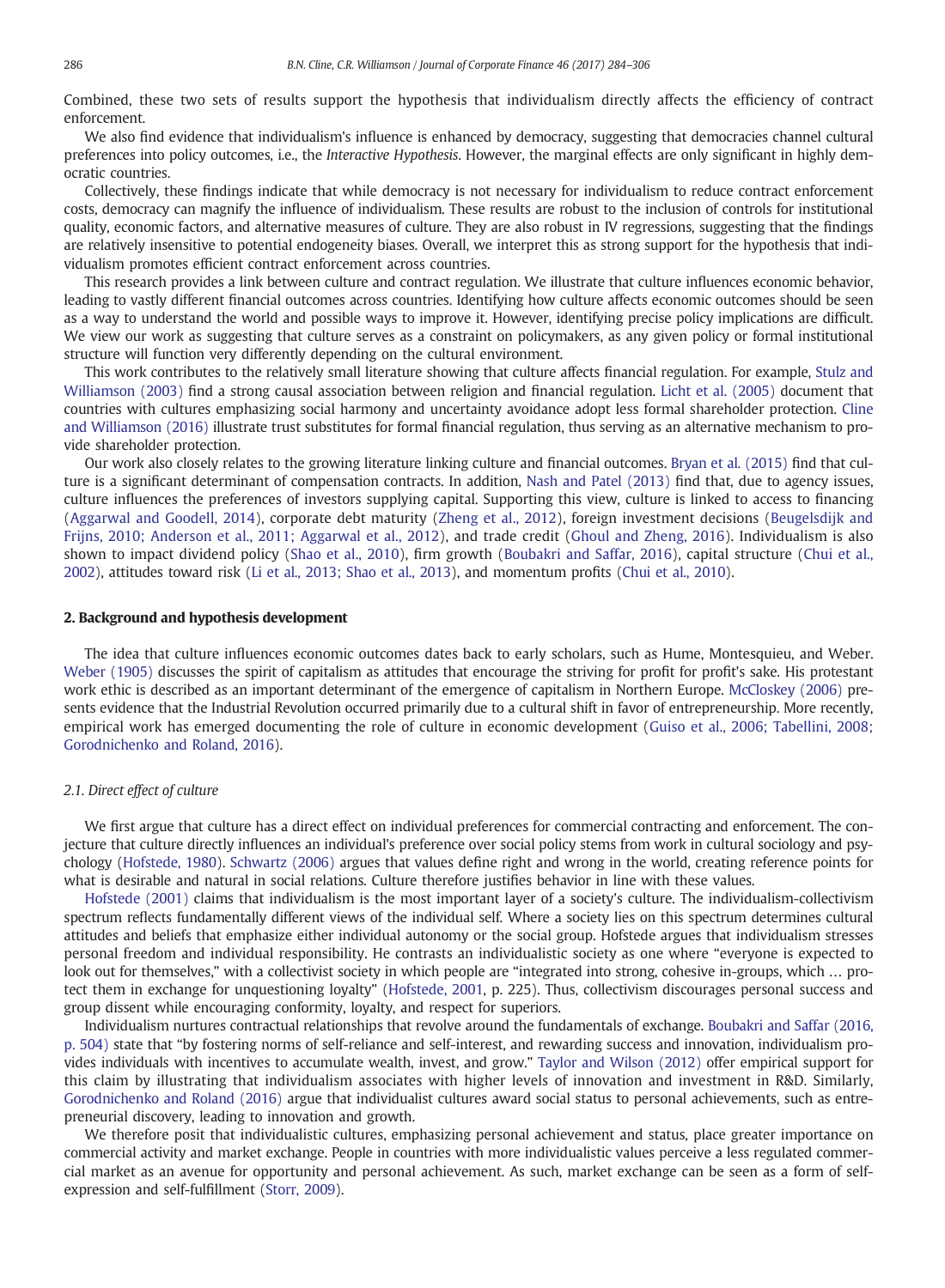Combined, these two sets of results support the hypothesis that individualism directly affects the efficiency of contract enforcement.

We also find evidence that individualism's influence is enhanced by democracy, suggesting that democracies channel cultural preferences into policy outcomes, i.e., the *Interactive Hypothesis*. However, the marginal effects are only significant in highly democratic countries.

Collectively, these findings indicate that while democracy is not necessary for individualism to reduce contract enforcement costs, democracy can magnify the influence of individualism. These results are robust to the inclusion of controls for institutional quality, economic factors, and alternative measures of culture. They are also robust in IV regressions, suggesting that the findings are relatively insensitive to potential endogeneity biases. Overall, we interpret this as strong support for the hypothesis that individualism promotes efficient contract enforcement across countries.

This research provides a link between culture and contract regulation. We illustrate that culture influences economic behavior, leading to vastly different financial outcomes across countries. Identifying how culture affects economic outcomes should be seen as a way to understand the world and possible ways to improve it. However, identifying precise policy implications are difficult. We view our work as suggesting that culture serves as a constraint on policymakers, as any given policy or formal institutional structure will function very differently depending on the cultural environment.

This work contributes to the relatively small literature showing that culture affects financial regulation. For example, [Stulz and](#page-22-0) [Williamson \(2003\)](#page-22-0) find a strong causal association between religion and financial regulation. [Licht et al. \(2005\)](#page-21-0) document that countries with cultures emphasizing social harmony and uncertainty avoidance adopt less formal shareholder protection. [Cline](#page-21-0) [and Williamson \(2016\)](#page-21-0) illustrate trust substitutes for formal financial regulation, thus serving as an alternative mechanism to provide shareholder protection.

Our work also closely relates to the growing literature linking culture and financial outcomes. [Bryan et al. \(2015\)](#page-21-0) find that culture is a significant determinant of compensation contracts. In addition, [Nash and Patel \(2013\)](#page-21-0) find that, due to agency issues, culture influences the preferences of investors supplying capital. Supporting this view, culture is linked to access to financing [\(Aggarwal and Goodell, 2014\)](#page-21-0), corporate debt maturity ([Zheng et al., 2012\)](#page-22-0), foreign investment decisions ([Beugelsdijk and](#page-21-0) [Frijns, 2010; Anderson et al., 2011; Aggarwal et al., 2012](#page-21-0)), and trade credit ([Ghoul and Zheng, 2016](#page-21-0)). Individualism is also shown to impact dividend policy [\(Shao et al., 2010\)](#page-21-0), firm growth [\(Boubakri and Saffar, 2016](#page-21-0)), capital structure ([Chui et al.,](#page-21-0) [2002\)](#page-21-0), attitudes toward risk ([Li et al., 2013; Shao et al., 2013\)](#page-21-0), and momentum profits ([Chui et al., 2010\)](#page-21-0).

#### 2. Background and hypothesis development

The idea that culture influences economic outcomes dates back to early scholars, such as Hume, Montesquieu, and Weber. [Weber \(1905\)](#page-22-0) discusses the spirit of capitalism as attitudes that encourage the striving for profit for profit's sake. His protestant work ethic is described as an important determinant of the emergence of capitalism in Northern Europe. [McCloskey \(2006\)](#page-21-0) presents evidence that the Industrial Revolution occurred primarily due to a cultural shift in favor of entrepreneurship. More recently, empirical work has emerged documenting the role of culture in economic development [\(Guiso et al., 2006; Tabellini, 2008;](#page-21-0) [Gorodnichenko and Roland, 2016\)](#page-21-0).

#### 2.1. Direct effect of culture

We first argue that culture has a direct effect on individual preferences for commercial contracting and enforcement. The conjecture that culture directly influences an individual's preference over social policy stems from work in cultural sociology and psychology ([Hofstede, 1980\)](#page-21-0). [Schwartz \(2006\)](#page-21-0) argues that values define right and wrong in the world, creating reference points for what is desirable and natural in social relations. Culture therefore justifies behavior in line with these values.

[Hofstede \(2001\)](#page-21-0) claims that individualism is the most important layer of a society's culture. The individualism-collectivism spectrum reflects fundamentally different views of the individual self. Where a society lies on this spectrum determines cultural attitudes and beliefs that emphasize either individual autonomy or the social group. Hofstede argues that individualism stresses personal freedom and individual responsibility. He contrasts an individualistic society as one where "everyone is expected to look out for themselves," with a collectivist society in which people are "integrated into strong, cohesive in-groups, which ... protect them in exchange for unquestioning loyalty" ([Hofstede, 2001](#page-21-0), p. 225). Thus, collectivism discourages personal success and group dissent while encouraging conformity, loyalty, and respect for superiors.

Individualism nurtures contractual relationships that revolve around the fundamentals of exchange. [Boubakri and Saffar \(2016,](#page-21-0) [p. 504\)](#page-21-0) state that "by fostering norms of self-reliance and self-interest, and rewarding success and innovation, individualism provides individuals with incentives to accumulate wealth, invest, and grow." [Taylor and Wilson \(2012\)](#page-22-0) offer empirical support for this claim by illustrating that individualism associates with higher levels of innovation and investment in R&D. Similarly, [Gorodnichenko and Roland \(2016\)](#page-21-0) argue that individualist cultures award social status to personal achievements, such as entrepreneurial discovery, leading to innovation and growth.

We therefore posit that individualistic cultures, emphasizing personal achievement and status, place greater importance on commercial activity and market exchange. People in countries with more individualistic values perceive a less regulated commercial market as an avenue for opportunity and personal achievement. As such, market exchange can be seen as a form of selfexpression and self-fulfillment [\(Storr, 2009](#page-22-0)).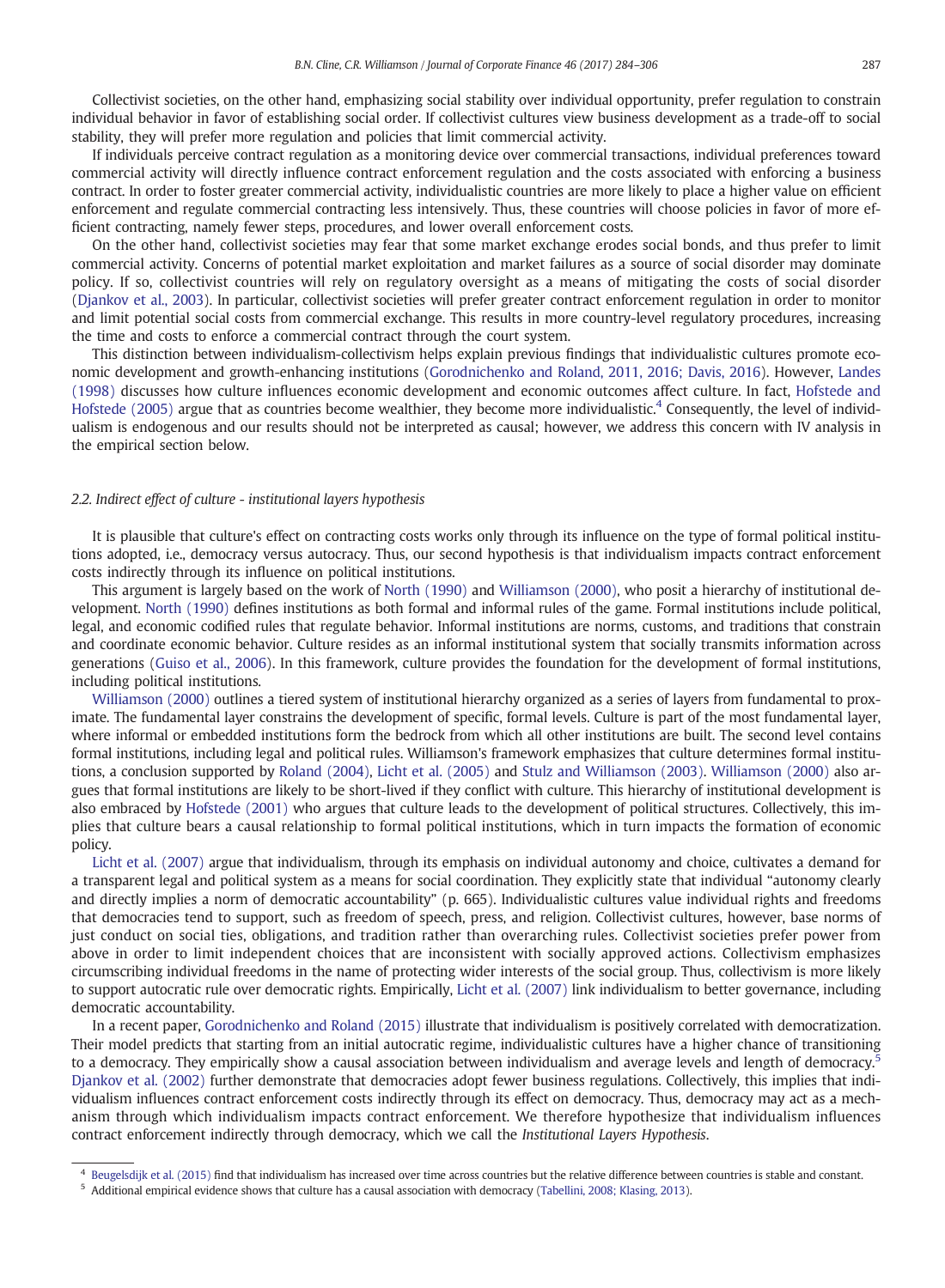Collectivist societies, on the other hand, emphasizing social stability over individual opportunity, prefer regulation to constrain individual behavior in favor of establishing social order. If collectivist cultures view business development as a trade-off to social stability, they will prefer more regulation and policies that limit commercial activity.

If individuals perceive contract regulation as a monitoring device over commercial transactions, individual preferences toward commercial activity will directly influence contract enforcement regulation and the costs associated with enforcing a business contract. In order to foster greater commercial activity, individualistic countries are more likely to place a higher value on efficient enforcement and regulate commercial contracting less intensively. Thus, these countries will choose policies in favor of more efficient contracting, namely fewer steps, procedures, and lower overall enforcement costs.

On the other hand, collectivist societies may fear that some market exchange erodes social bonds, and thus prefer to limit commercial activity. Concerns of potential market exploitation and market failures as a source of social disorder may dominate policy. If so, collectivist countries will rely on regulatory oversight as a means of mitigating the costs of social disorder ([Djankov et al., 2003](#page-21-0)). In particular, collectivist societies will prefer greater contract enforcement regulation in order to monitor and limit potential social costs from commercial exchange. This results in more country-level regulatory procedures, increasing the time and costs to enforce a commercial contract through the court system.

This distinction between individualism-collectivism helps explain previous findings that individualistic cultures promote economic development and growth-enhancing institutions ([Gorodnichenko and Roland, 2011, 2016; Davis, 2016](#page-21-0)). However, [Landes](#page-21-0) [\(1998\)](#page-21-0) discusses how culture influences economic development and economic outcomes affect culture. In fact, [Hofstede and](#page-21-0) [Hofstede \(2005\)](#page-21-0) argue that as countries become wealthier, they become more individualistic.<sup>4</sup> Consequently, the level of individualism is endogenous and our results should not be interpreted as causal; however, we address this concern with IV analysis in the empirical section below.

#### 2.2. Indirect effect of culture - institutional layers hypothesis

It is plausible that culture's effect on contracting costs works only through its influence on the type of formal political institutions adopted, i.e., democracy versus autocracy. Thus, our second hypothesis is that individualism impacts contract enforcement costs indirectly through its influence on political institutions.

This argument is largely based on the work of [North \(1990\)](#page-21-0) and [Williamson \(2000\)](#page-22-0), who posit a hierarchy of institutional development. [North \(1990\)](#page-21-0) defines institutions as both formal and informal rules of the game. Formal institutions include political, legal, and economic codified rules that regulate behavior. Informal institutions are norms, customs, and traditions that constrain and coordinate economic behavior. Culture resides as an informal institutional system that socially transmits information across generations ([Guiso et al., 2006](#page-21-0)). In this framework, culture provides the foundation for the development of formal institutions, including political institutions.

[Williamson \(2000\)](#page-22-0) outlines a tiered system of institutional hierarchy organized as a series of layers from fundamental to proximate. The fundamental layer constrains the development of specific, formal levels. Culture is part of the most fundamental layer, where informal or embedded institutions form the bedrock from which all other institutions are built. The second level contains formal institutions, including legal and political rules. Williamson's framework emphasizes that culture determines formal institutions, a conclusion supported by [Roland \(2004\),](#page-21-0) [Licht et al. \(2005\)](#page-21-0) and [Stulz and Williamson \(2003\)](#page-22-0). [Williamson \(2000\)](#page-22-0) also argues that formal institutions are likely to be short-lived if they conflict with culture. This hierarchy of institutional development is also embraced by [Hofstede \(2001\)](#page-21-0) who argues that culture leads to the development of political structures. Collectively, this implies that culture bears a causal relationship to formal political institutions, which in turn impacts the formation of economic policy.

[Licht et al. \(2007\)](#page-21-0) argue that individualism, through its emphasis on individual autonomy and choice, cultivates a demand for a transparent legal and political system as a means for social coordination. They explicitly state that individual "autonomy clearly and directly implies a norm of democratic accountability" (p. 665). Individualistic cultures value individual rights and freedoms that democracies tend to support, such as freedom of speech, press, and religion. Collectivist cultures, however, base norms of just conduct on social ties, obligations, and tradition rather than overarching rules. Collectivist societies prefer power from above in order to limit independent choices that are inconsistent with socially approved actions. Collectivism emphasizes circumscribing individual freedoms in the name of protecting wider interests of the social group. Thus, collectivism is more likely to support autocratic rule over democratic rights. Empirically, [Licht et al. \(2007\)](#page-21-0) link individualism to better governance, including democratic accountability.

In a recent paper, [Gorodnichenko and Roland \(2015\)](#page-21-0) illustrate that individualism is positively correlated with democratization. Their model predicts that starting from an initial autocratic regime, individualistic cultures have a higher chance of transitioning to a democracy. They empirically show a causal association between individualism and average levels and length of democracy.<sup>5</sup> [Djankov et al. \(2002\)](#page-21-0) further demonstrate that democracies adopt fewer business regulations. Collectively, this implies that individualism influences contract enforcement costs indirectly through its effect on democracy. Thus, democracy may act as a mechanism through which individualism impacts contract enforcement. We therefore hypothesize that individualism influences contract enforcement indirectly through democracy, which we call the Institutional Layers Hypothesis.

[Beugelsdijk et al. \(2015\)](#page-21-0) find that individualism has increased over time across countries but the relative difference between countries is stable and constant.

<sup>5</sup> Additional empirical evidence shows that culture has a causal association with democracy ([Tabellini, 2008; Klasing, 2013\)](#page-22-0).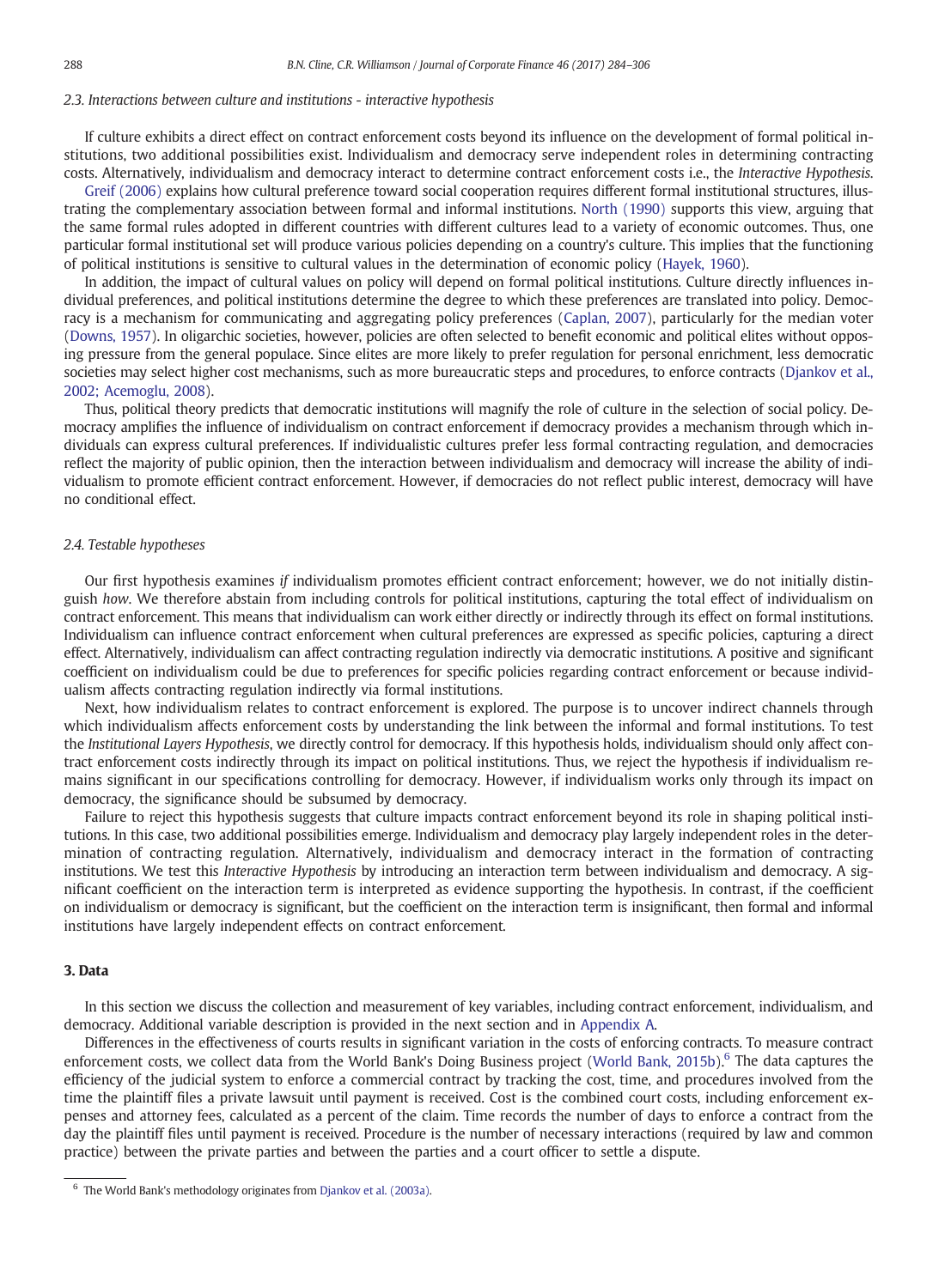#### 2.3. Interactions between culture and institutions - interactive hypothesis

If culture exhibits a direct effect on contract enforcement costs beyond its influence on the development of formal political institutions, two additional possibilities exist. Individualism and democracy serve independent roles in determining contracting costs. Alternatively, individualism and democracy interact to determine contract enforcement costs i.e., the Interactive Hypothesis.

[Greif \(2006\)](#page-21-0) explains how cultural preference toward social cooperation requires different formal institutional structures, illustrating the complementary association between formal and informal institutions. [North \(1990\)](#page-21-0) supports this view, arguing that the same formal rules adopted in different countries with different cultures lead to a variety of economic outcomes. Thus, one particular formal institutional set will produce various policies depending on a country's culture. This implies that the functioning of political institutions is sensitive to cultural values in the determination of economic policy ([Hayek, 1960](#page-21-0)).

In addition, the impact of cultural values on policy will depend on formal political institutions. Culture directly influences individual preferences, and political institutions determine the degree to which these preferences are translated into policy. Democracy is a mechanism for communicating and aggregating policy preferences ([Caplan, 2007](#page-21-0)), particularly for the median voter [\(Downs, 1957](#page-21-0)). In oligarchic societies, however, policies are often selected to benefit economic and political elites without opposing pressure from the general populace. Since elites are more likely to prefer regulation for personal enrichment, less democratic societies may select higher cost mechanisms, such as more bureaucratic steps and procedures, to enforce contracts [\(Djankov et al.,](#page-21-0) [2002; Acemoglu, 2008](#page-21-0)).

Thus, political theory predicts that democratic institutions will magnify the role of culture in the selection of social policy. Democracy amplifies the influence of individualism on contract enforcement if democracy provides a mechanism through which individuals can express cultural preferences. If individualistic cultures prefer less formal contracting regulation, and democracies reflect the majority of public opinion, then the interaction between individualism and democracy will increase the ability of individualism to promote efficient contract enforcement. However, if democracies do not reflect public interest, democracy will have no conditional effect.

#### 2.4. Testable hypotheses

Our first hypothesis examines if individualism promotes efficient contract enforcement; however, we do not initially distinguish how. We therefore abstain from including controls for political institutions, capturing the total effect of individualism on contract enforcement. This means that individualism can work either directly or indirectly through its effect on formal institutions. Individualism can influence contract enforcement when cultural preferences are expressed as specific policies, capturing a direct effect. Alternatively, individualism can affect contracting regulation indirectly via democratic institutions. A positive and significant coefficient on individualism could be due to preferences for specific policies regarding contract enforcement or because individualism affects contracting regulation indirectly via formal institutions.

Next, how individualism relates to contract enforcement is explored. The purpose is to uncover indirect channels through which individualism affects enforcement costs by understanding the link between the informal and formal institutions. To test the Institutional Layers Hypothesis, we directly control for democracy. If this hypothesis holds, individualism should only affect contract enforcement costs indirectly through its impact on political institutions. Thus, we reject the hypothesis if individualism remains significant in our specifications controlling for democracy. However, if individualism works only through its impact on democracy, the significance should be subsumed by democracy.

Failure to reject this hypothesis suggests that culture impacts contract enforcement beyond its role in shaping political institutions. In this case, two additional possibilities emerge. Individualism and democracy play largely independent roles in the determination of contracting regulation. Alternatively, individualism and democracy interact in the formation of contracting institutions. We test this *Interactive Hypothesis* by introducing an interaction term between individualism and democracy. A significant coefficient on the interaction term is interpreted as evidence supporting the hypothesis. In contrast, if the coefficient on individualism or democracy is significant, but the coefficient on the interaction term is insignificant, then formal and informal institutions have largely independent effects on contract enforcement.

#### 3. Data

In this section we discuss the collection and measurement of key variables, including contract enforcement, individualism, and democracy. Additional variable description is provided in the next section and in [Appendix A.](#page-17-0)

Differences in the effectiveness of courts results in significant variation in the costs of enforcing contracts. To measure contract enforcement costs, we collect data from the World Bank's Doing Business project ([World Bank, 2015b\)](#page-22-0).<sup>6</sup> The data captures the efficiency of the judicial system to enforce a commercial contract by tracking the cost, time, and procedures involved from the time the plaintiff files a private lawsuit until payment is received. Cost is the combined court costs, including enforcement expenses and attorney fees, calculated as a percent of the claim. Time records the number of days to enforce a contract from the day the plaintiff files until payment is received. Procedure is the number of necessary interactions (required by law and common practice) between the private parties and between the parties and a court officer to settle a dispute.

 $6$  The World Bank's methodology originates from [Djankov et al. \(2003a\)](#page-21-0).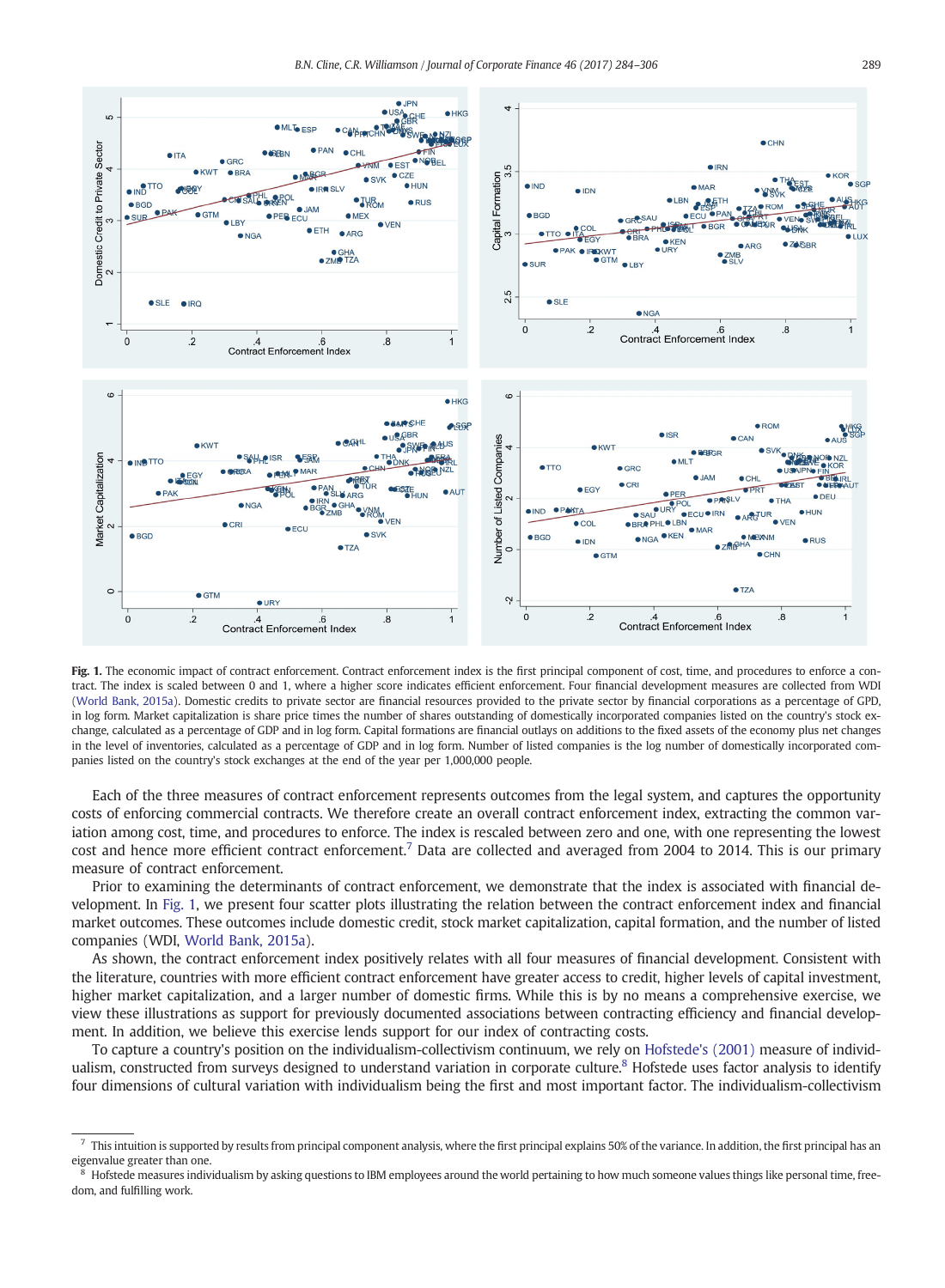

Fig. 1. The economic impact of contract enforcement. Contract enforcement index is the first principal component of cost, time, and procedures to enforce a contract. The index is scaled between 0 and 1, where a higher score indicates efficient enforcement. Four financial development measures are collected from WDI [\(World Bank, 2015a\)](#page-22-0). Domestic credits to private sector are financial resources provided to the private sector by financial corporations as a percentage of GPD, in log form. Market capitalization is share price times the number of shares outstanding of domestically incorporated companies listed on the country's stock exchange, calculated as a percentage of GDP and in log form. Capital formations are financial outlays on additions to the fixed assets of the economy plus net changes in the level of inventories, calculated as a percentage of GDP and in log form. Number of listed companies is the log number of domestically incorporated companies listed on the country's stock exchanges at the end of the year per 1,000,000 people.

Each of the three measures of contract enforcement represents outcomes from the legal system, and captures the opportunity costs of enforcing commercial contracts. We therefore create an overall contract enforcement index, extracting the common variation among cost, time, and procedures to enforce. The index is rescaled between zero and one, with one representing the lowest cost and hence more efficient contract enforcement.7 Data are collected and averaged from 2004 to 2014. This is our primary measure of contract enforcement.

Prior to examining the determinants of contract enforcement, we demonstrate that the index is associated with financial development. In Fig. 1, we present four scatter plots illustrating the relation between the contract enforcement index and financial market outcomes. These outcomes include domestic credit, stock market capitalization, capital formation, and the number of listed companies (WDI, [World Bank, 2015a\)](#page-22-0).

As shown, the contract enforcement index positively relates with all four measures of financial development. Consistent with the literature, countries with more efficient contract enforcement have greater access to credit, higher levels of capital investment, higher market capitalization, and a larger number of domestic firms. While this is by no means a comprehensive exercise, we view these illustrations as support for previously documented associations between contracting efficiency and financial development. In addition, we believe this exercise lends support for our index of contracting costs.

To capture a country's position on the individualism-collectivism continuum, we rely on [Hofstede's \(2001\)](#page-21-0) measure of individualism, constructed from surveys designed to understand variation in corporate culture.<sup>8</sup> Hofstede uses factor analysis to identify four dimensions of cultural variation with individualism being the first and most important factor. The individualism-collectivism

<sup>7</sup> This intuition is supported by results from principal component analysis, where the first principal explains 50% of the variance. In addition, the first principal has an eigenvalue greater than one.

Hofstede measures individualism by asking questions to IBM employees around the world pertaining to how much someone values things like personal time, freedom, and fulfilling work.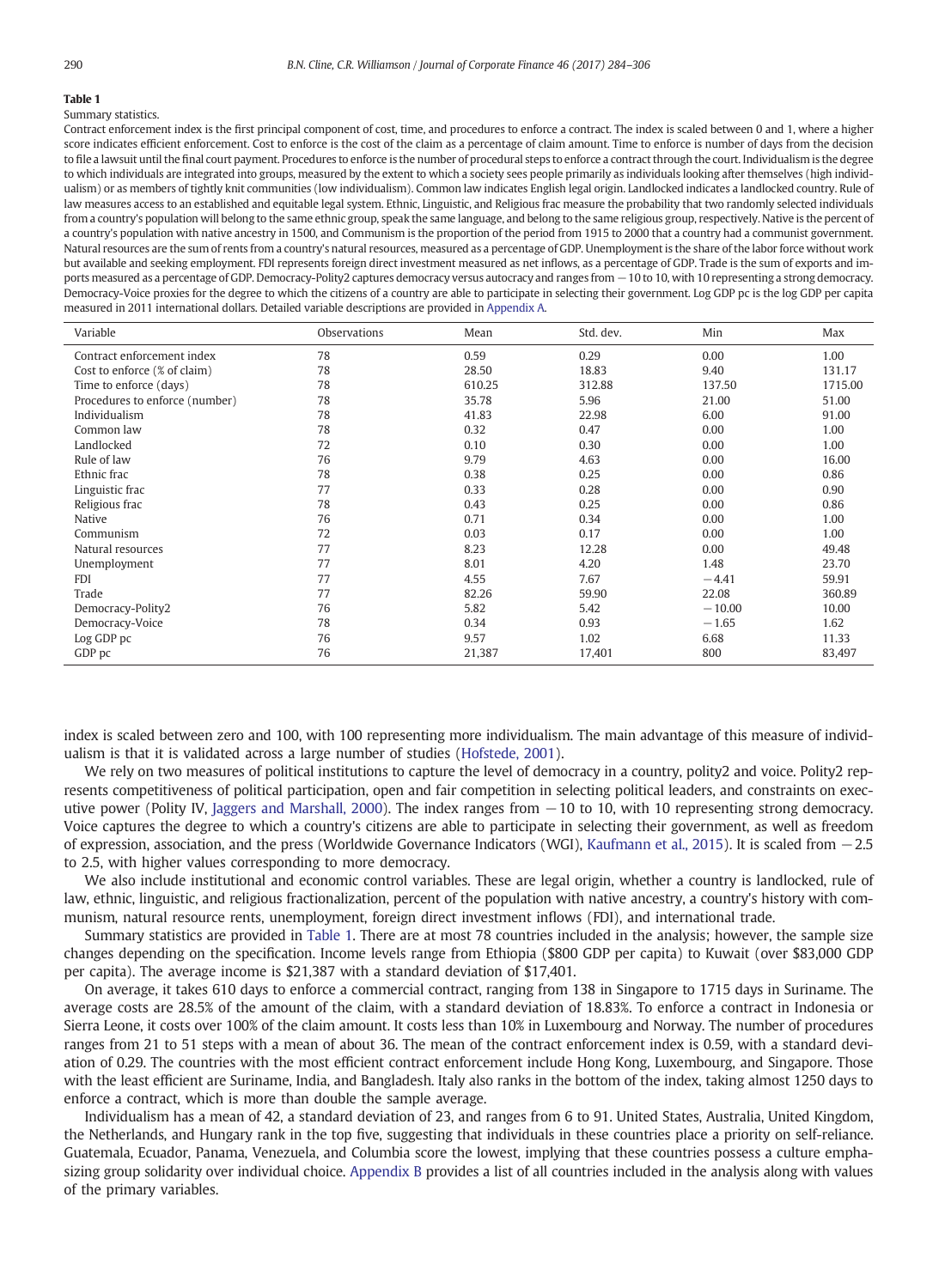#### <span id="page-6-0"></span>Summary statistics.

Contract enforcement index is the first principal component of cost, time, and procedures to enforce a contract. The index is scaled between 0 and 1, where a higher score indicates efficient enforcement. Cost to enforce is the cost of the claim as a percentage of claim amount. Time to enforce is number of days from the decision to file a lawsuit until the final court payment. Procedures to enforce is the number of procedural steps to enforce a contract through the court. Individualism is the degree to which individuals are integrated into groups, measured by the extent to which a society sees people primarily as individuals looking after themselves (high individualism) or as members of tightly knit communities (low individualism). Common law indicates English legal origin. Landlocked indicates a landlocked country. Rule of law measures access to an established and equitable legal system. Ethnic, Linguistic, and Religious frac measure the probability that two randomly selected individuals from a country's population will belong to the same ethnic group, speak the same language, and belong to the same religious group, respectively. Native is the percent of a country's population with native ancestry in 1500, and Communism is the proportion of the period from 1915 to 2000 that a country had a communist government. Natural resources are the sum of rents from a country's natural resources, measured as a percentage of GDP. Unemployment is the share of the labor force without work but available and seeking employment. FDI represents foreign direct investment measured as net inflows, as a percentage of GDP. Trade is the sum of exports and imports measured as a percentage of GDP. Democracy-Polity2 captures democracy versus autocracy and ranges from −10 to 10, with 10 representing a strong democracy. Democracy-Voice proxies for the degree to which the citizens of a country are able to participate in selecting their government. Log GDP pc is the log GDP per capita measured in 2011 international dollars. Detailed variable descriptions are provided in [Appendix A.](#page-17-0)

| Variable                       | Observations | Mean   | Std. dev. | Min      | Max     |
|--------------------------------|--------------|--------|-----------|----------|---------|
| Contract enforcement index     | 78           | 0.59   | 0.29      | 0.00     | 1.00    |
| Cost to enforce (% of claim)   | 78           | 28.50  | 18.83     | 9.40     | 131.17  |
| Time to enforce (days)         | 78           | 610.25 | 312.88    | 137.50   | 1715.00 |
| Procedures to enforce (number) | 78           | 35.78  | 5.96      | 21.00    | 51.00   |
| Individualism                  | 78           | 41.83  | 22.98     | 6.00     | 91.00   |
| Common law                     | 78           | 0.32   | 0.47      | 0.00     | 1.00    |
| Landlocked                     | 72           | 0.10   | 0.30      | 0.00     | 1.00    |
| Rule of law                    | 76           | 9.79   | 4.63      | 0.00     | 16.00   |
| Ethnic frac                    | 78           | 0.38   | 0.25      | 0.00     | 0.86    |
| Linguistic frac                | 77           | 0.33   | 0.28      | 0.00     | 0.90    |
| Religious frac                 | 78           | 0.43   | 0.25      | 0.00     | 0.86    |
| Native                         | 76           | 0.71   | 0.34      | 0.00     | 1.00    |
| Communism                      | 72           | 0.03   | 0.17      | 0.00     | 1.00    |
| Natural resources              | 77           | 8.23   | 12.28     | 0.00     | 49.48   |
| Unemployment                   | 77           | 8.01   | 4.20      | 1.48     | 23.70   |
| <b>FDI</b>                     | 77           | 4.55   | 7.67      | $-4.41$  | 59.91   |
| Trade                          | 77           | 82.26  | 59.90     | 22.08    | 360.89  |
| Democracy-Polity2              | 76           | 5.82   | 5.42      | $-10.00$ | 10.00   |
| Democracy-Voice                | 78           | 0.34   | 0.93      | $-1.65$  | 1.62    |
| Log GDP pc                     | 76           | 9.57   | 1.02      | 6.68     | 11.33   |
| GDP pc                         | 76           | 21,387 | 17,401    | 800      | 83,497  |

index is scaled between zero and 100, with 100 representing more individualism. The main advantage of this measure of individualism is that it is validated across a large number of studies ([Hofstede, 2001\)](#page-21-0).

We rely on two measures of political institutions to capture the level of democracy in a country, polity2 and voice. Polity2 represents competitiveness of political participation, open and fair competition in selecting political leaders, and constraints on executive power (Polity IV, [Jaggers and Marshall, 2000](#page-21-0)). The index ranges from −10 to 10, with 10 representing strong democracy. Voice captures the degree to which a country's citizens are able to participate in selecting their government, as well as freedom of expression, association, and the press (Worldwide Governance Indicators (WGI), [Kaufmann et al., 2015\)](#page-21-0). It is scaled from −2.5 to 2.5, with higher values corresponding to more democracy.

We also include institutional and economic control variables. These are legal origin, whether a country is landlocked, rule of law, ethnic, linguistic, and religious fractionalization, percent of the population with native ancestry, a country's history with communism, natural resource rents, unemployment, foreign direct investment inflows (FDI), and international trade.

Summary statistics are provided in Table 1. There are at most 78 countries included in the analysis; however, the sample size changes depending on the specification. Income levels range from Ethiopia (\$800 GDP per capita) to Kuwait (over \$83,000 GDP per capita). The average income is \$21,387 with a standard deviation of \$17,401.

On average, it takes 610 days to enforce a commercial contract, ranging from 138 in Singapore to 1715 days in Suriname. The average costs are 28.5% of the amount of the claim, with a standard deviation of 18.83%. To enforce a contract in Indonesia or Sierra Leone, it costs over 100% of the claim amount. It costs less than 10% in Luxembourg and Norway. The number of procedures ranges from 21 to 51 steps with a mean of about 36. The mean of the contract enforcement index is 0.59, with a standard deviation of 0.29. The countries with the most efficient contract enforcement include Hong Kong, Luxembourg, and Singapore. Those with the least efficient are Suriname, India, and Bangladesh. Italy also ranks in the bottom of the index, taking almost 1250 days to enforce a contract, which is more than double the sample average.

Individualism has a mean of 42, a standard deviation of 23, and ranges from 6 to 91. United States, Australia, United Kingdom, the Netherlands, and Hungary rank in the top five, suggesting that individuals in these countries place a priority on self-reliance. Guatemala, Ecuador, Panama, Venezuela, and Columbia score the lowest, implying that these countries possess a culture emphasizing group solidarity over individual choice. [Appendix B](#page-21-0) provides a list of all countries included in the analysis along with values of the primary variables.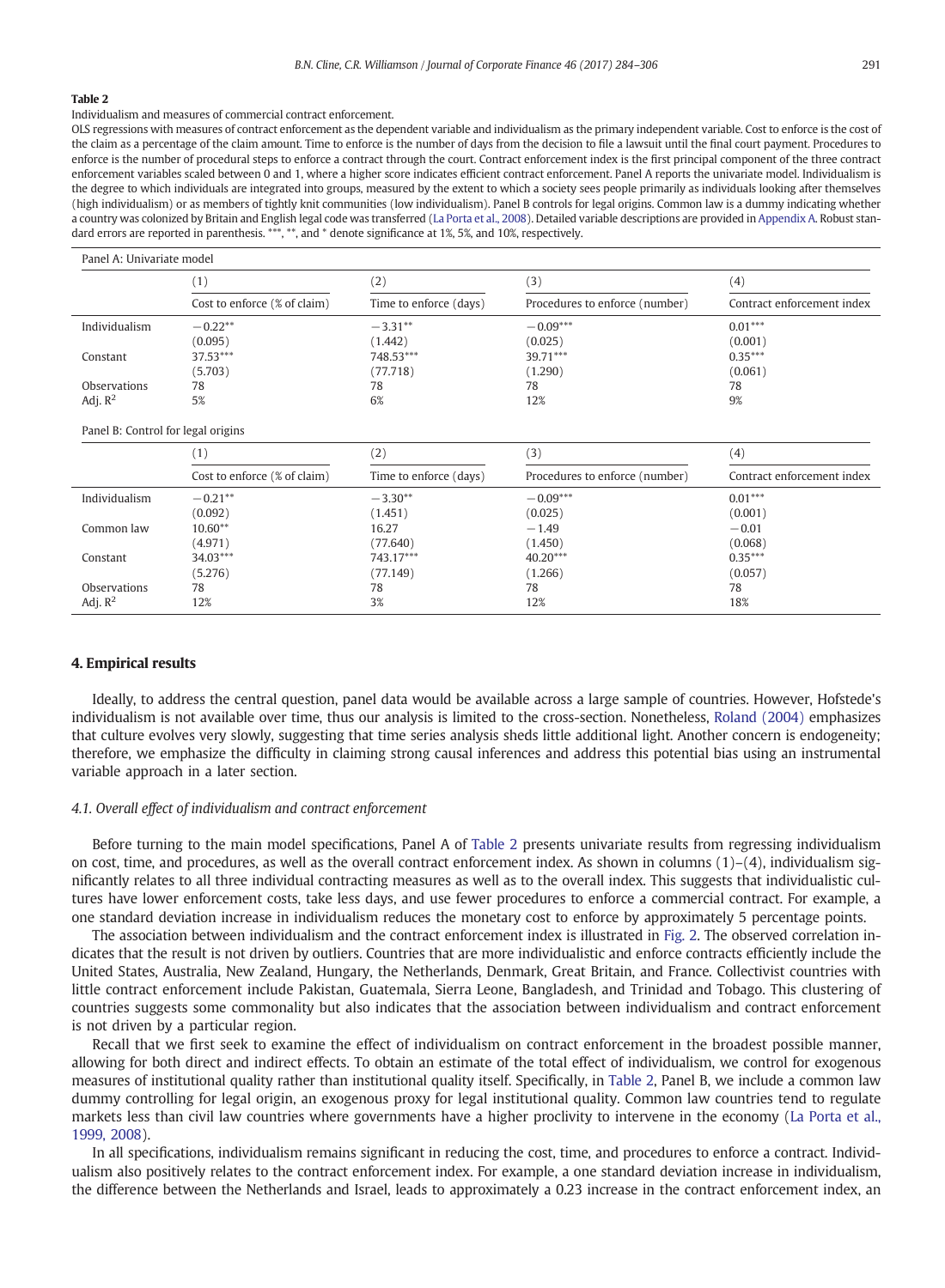<span id="page-7-0"></span>Individualism and measures of commercial contract enforcement.

OLS regressions with measures of contract enforcement as the dependent variable and individualism as the primary independent variable. Cost to enforce is the cost of the claim as a percentage of the claim amount. Time to enforce is the number of days from the decision to file a lawsuit until the final court payment. Procedures to enforce is the number of procedural steps to enforce a contract through the court. Contract enforcement index is the first principal component of the three contract enforcement variables scaled between 0 and 1, where a higher score indicates efficient contract enforcement. Panel A reports the univariate model. Individualism is the degree to which individuals are integrated into groups, measured by the extent to which a society sees people primarily as individuals looking after themselves (high individualism) or as members of tightly knit communities (low individualism). Panel B controls for legal origins. Common law is a dummy indicating whether a country was colonized by Britain and English legal code was transferred ([La Porta et al., 2008](#page-21-0)). Detailed variable descriptions are provided in [Appendix A.](#page-17-0) Robust standard errors are reported in parenthesis. \*\*\*, \*\*, and \* denote significance at 1%, 5%, and 10%, respectively.

| Panel A: Univariate model |                              |                        |                                |                            |  |  |  |
|---------------------------|------------------------------|------------------------|--------------------------------|----------------------------|--|--|--|
|                           |                              | [2]                    | (3)                            | (4)                        |  |  |  |
|                           | Cost to enforce (% of claim) | Time to enforce (days) | Procedures to enforce (number) | Contract enforcement index |  |  |  |
| Individualism             | $-0.22**$                    | $-3.31**$              | $-0.09***$                     | $0.01***$                  |  |  |  |
|                           | (0.095)                      | (1.442)                | (0.025)                        | (0.001)                    |  |  |  |
| Constant                  | 37.53***                     | 748.53***              | $39.71***$                     | $0.35***$                  |  |  |  |
|                           | (5.703)                      | (77.718)               | (1.290)                        | (0.061)                    |  |  |  |
| Observations              | 78                           | 78                     | 78                             | 78                         |  |  |  |
| Adj. $R^2$                | 5%                           | 6%                     | 12%                            | 9%                         |  |  |  |

Panel B: Control for legal origins

|               |                              | $\left( 2\right)$      | (3)                            | (4)                        |
|---------------|------------------------------|------------------------|--------------------------------|----------------------------|
|               | Cost to enforce (% of claim) | Time to enforce (days) | Procedures to enforce (number) | Contract enforcement index |
| Individualism | $-0.21**$                    | $-3.30**$              | $-0.09***$                     | $0.01***$                  |
|               | (0.092)                      | (1.451)                | (0.025)                        | (0.001)                    |
| Common law    | $10.60**$                    | 16.27                  | $-1.49$                        | $-0.01$                    |
|               | (4.971)                      | (77.640)               | (1.450)                        | (0.068)                    |
| Constant      | $34.03***$                   | 743.17***              | $40.20***$                     | $0.35***$                  |
|               | (5.276)                      | (77.149)               | (1.266)                        | (0.057)                    |
| Observations  | 78                           | 78                     | 78                             | 78                         |
| Adj. $R^2$    | 12%                          | 3%                     | 12%                            | 18%                        |

#### 4. Empirical results

Ideally, to address the central question, panel data would be available across a large sample of countries. However, Hofstede's individualism is not available over time, thus our analysis is limited to the cross-section. Nonetheless, [Roland \(2004\)](#page-21-0) emphasizes that culture evolves very slowly, suggesting that time series analysis sheds little additional light. Another concern is endogeneity; therefore, we emphasize the difficulty in claiming strong causal inferences and address this potential bias using an instrumental variable approach in a later section.

#### 4.1. Overall effect of individualism and contract enforcement

Before turning to the main model specifications, Panel A of Table 2 presents univariate results from regressing individualism on cost, time, and procedures, as well as the overall contract enforcement index. As shown in columns  $(1)-(4)$ , individualism significantly relates to all three individual contracting measures as well as to the overall index. This suggests that individualistic cultures have lower enforcement costs, take less days, and use fewer procedures to enforce a commercial contract. For example, a one standard deviation increase in individualism reduces the monetary cost to enforce by approximately 5 percentage points.

The association between individualism and the contract enforcement index is illustrated in [Fig. 2](#page-8-0). The observed correlation indicates that the result is not driven by outliers. Countries that are more individualistic and enforce contracts efficiently include the United States, Australia, New Zealand, Hungary, the Netherlands, Denmark, Great Britain, and France. Collectivist countries with little contract enforcement include Pakistan, Guatemala, Sierra Leone, Bangladesh, and Trinidad and Tobago. This clustering of countries suggests some commonality but also indicates that the association between individualism and contract enforcement is not driven by a particular region.

Recall that we first seek to examine the effect of individualism on contract enforcement in the broadest possible manner, allowing for both direct and indirect effects. To obtain an estimate of the total effect of individualism, we control for exogenous measures of institutional quality rather than institutional quality itself. Specifically, in Table 2, Panel B, we include a common law dummy controlling for legal origin, an exogenous proxy for legal institutional quality. Common law countries tend to regulate markets less than civil law countries where governments have a higher proclivity to intervene in the economy [\(La Porta et al.,](#page-21-0) [1999, 2008\)](#page-21-0).

In all specifications, individualism remains significant in reducing the cost, time, and procedures to enforce a contract. Individualism also positively relates to the contract enforcement index. For example, a one standard deviation increase in individualism, the difference between the Netherlands and Israel, leads to approximately a 0.23 increase in the contract enforcement index, an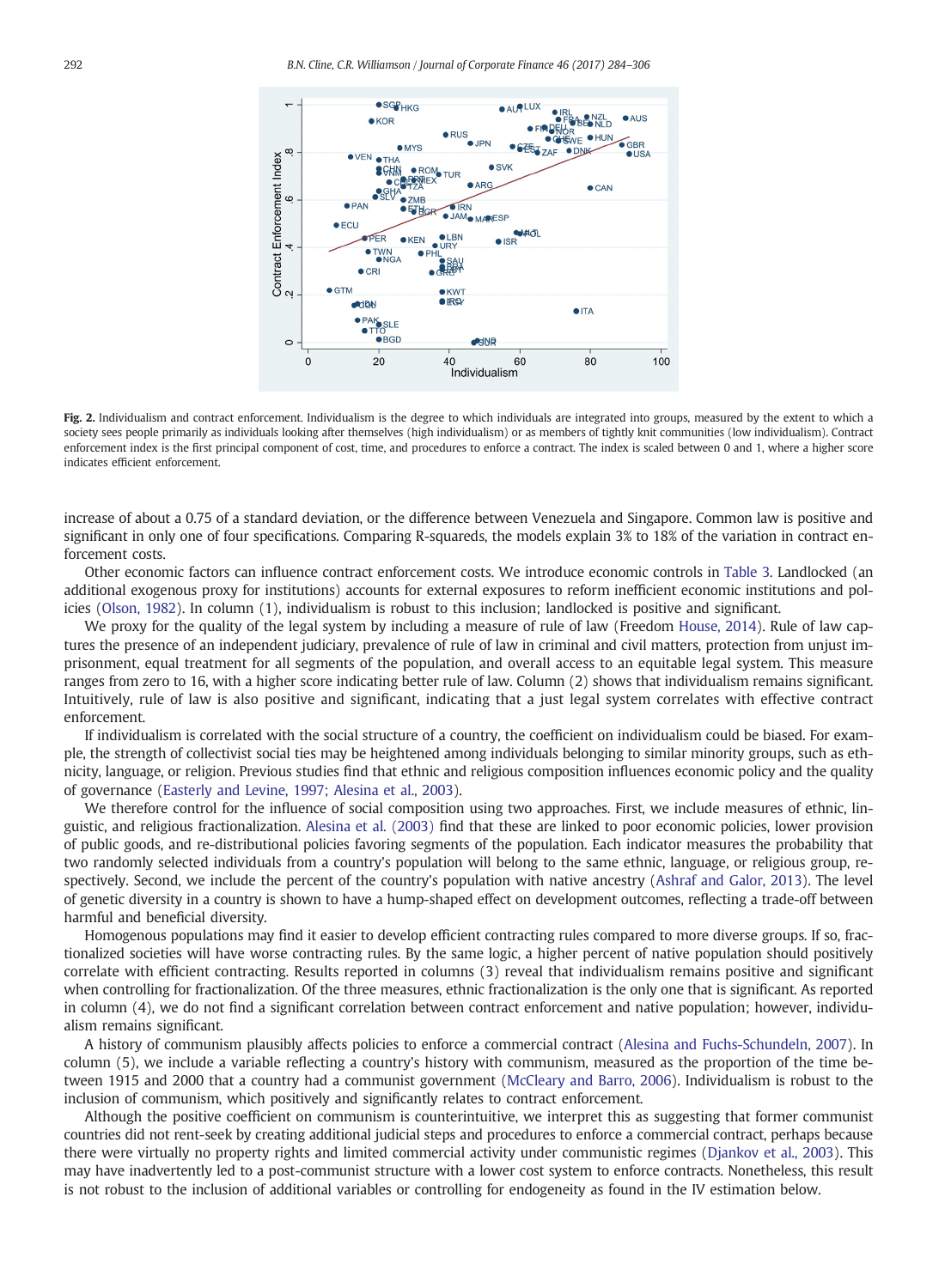<span id="page-8-0"></span>

Fig. 2. Individualism and contract enforcement. Individualism is the degree to which individuals are integrated into groups, measured by the extent to which a society sees people primarily as individuals looking after themselves (high individualism) or as members of tightly knit communities (low individualism). Contract enforcement index is the first principal component of cost, time, and procedures to enforce a contract. The index is scaled between 0 and 1, where a higher score indicates efficient enforcement.

increase of about a 0.75 of a standard deviation, or the difference between Venezuela and Singapore. Common law is positive and significant in only one of four specifications. Comparing R-squareds, the models explain 3% to 18% of the variation in contract enforcement costs.

Other economic factors can influence contract enforcement costs. We introduce economic controls in [Table 3](#page-9-0). Landlocked (an additional exogenous proxy for institutions) accounts for external exposures to reform inefficient economic institutions and policies ([Olson, 1982](#page-21-0)). In column (1), individualism is robust to this inclusion; landlocked is positive and significant.

We proxy for the quality of the legal system by including a measure of rule of law (Freedom [House, 2014\)](#page-21-0). Rule of law captures the presence of an independent judiciary, prevalence of rule of law in criminal and civil matters, protection from unjust imprisonment, equal treatment for all segments of the population, and overall access to an equitable legal system. This measure ranges from zero to 16, with a higher score indicating better rule of law. Column (2) shows that individualism remains significant. Intuitively, rule of law is also positive and significant, indicating that a just legal system correlates with effective contract enforcement.

If individualism is correlated with the social structure of a country, the coefficient on individualism could be biased. For example, the strength of collectivist social ties may be heightened among individuals belonging to similar minority groups, such as ethnicity, language, or religion. Previous studies find that ethnic and religious composition influences economic policy and the quality of governance [\(Easterly and Levine, 1997; Alesina et al., 2003](#page-21-0)).

We therefore control for the influence of social composition using two approaches. First, we include measures of ethnic, linguistic, and religious fractionalization. [Alesina et al. \(2003\)](#page-21-0) find that these are linked to poor economic policies, lower provision of public goods, and re-distributional policies favoring segments of the population. Each indicator measures the probability that two randomly selected individuals from a country's population will belong to the same ethnic, language, or religious group, respectively. Second, we include the percent of the country's population with native ancestry ([Ashraf and Galor, 2013\)](#page-21-0). The level of genetic diversity in a country is shown to have a hump-shaped effect on development outcomes, reflecting a trade-off between harmful and beneficial diversity.

Homogenous populations may find it easier to develop efficient contracting rules compared to more diverse groups. If so, fractionalized societies will have worse contracting rules. By the same logic, a higher percent of native population should positively correlate with efficient contracting. Results reported in columns (3) reveal that individualism remains positive and significant when controlling for fractionalization. Of the three measures, ethnic fractionalization is the only one that is significant. As reported in column (4), we do not find a significant correlation between contract enforcement and native population; however, individualism remains significant.

A history of communism plausibly affects policies to enforce a commercial contract [\(Alesina and Fuchs-Schundeln, 2007\)](#page-21-0). In column (5), we include a variable reflecting a country's history with communism, measured as the proportion of the time between 1915 and 2000 that a country had a communist government [\(McCleary and Barro, 2006\)](#page-21-0). Individualism is robust to the inclusion of communism, which positively and significantly relates to contract enforcement.

Although the positive coefficient on communism is counterintuitive, we interpret this as suggesting that former communist countries did not rent-seek by creating additional judicial steps and procedures to enforce a commercial contract, perhaps because there were virtually no property rights and limited commercial activity under communistic regimes ([Djankov et al., 2003](#page-21-0)). This may have inadvertently led to a post-communist structure with a lower cost system to enforce contracts. Nonetheless, this result is not robust to the inclusion of additional variables or controlling for endogeneity as found in the IV estimation below.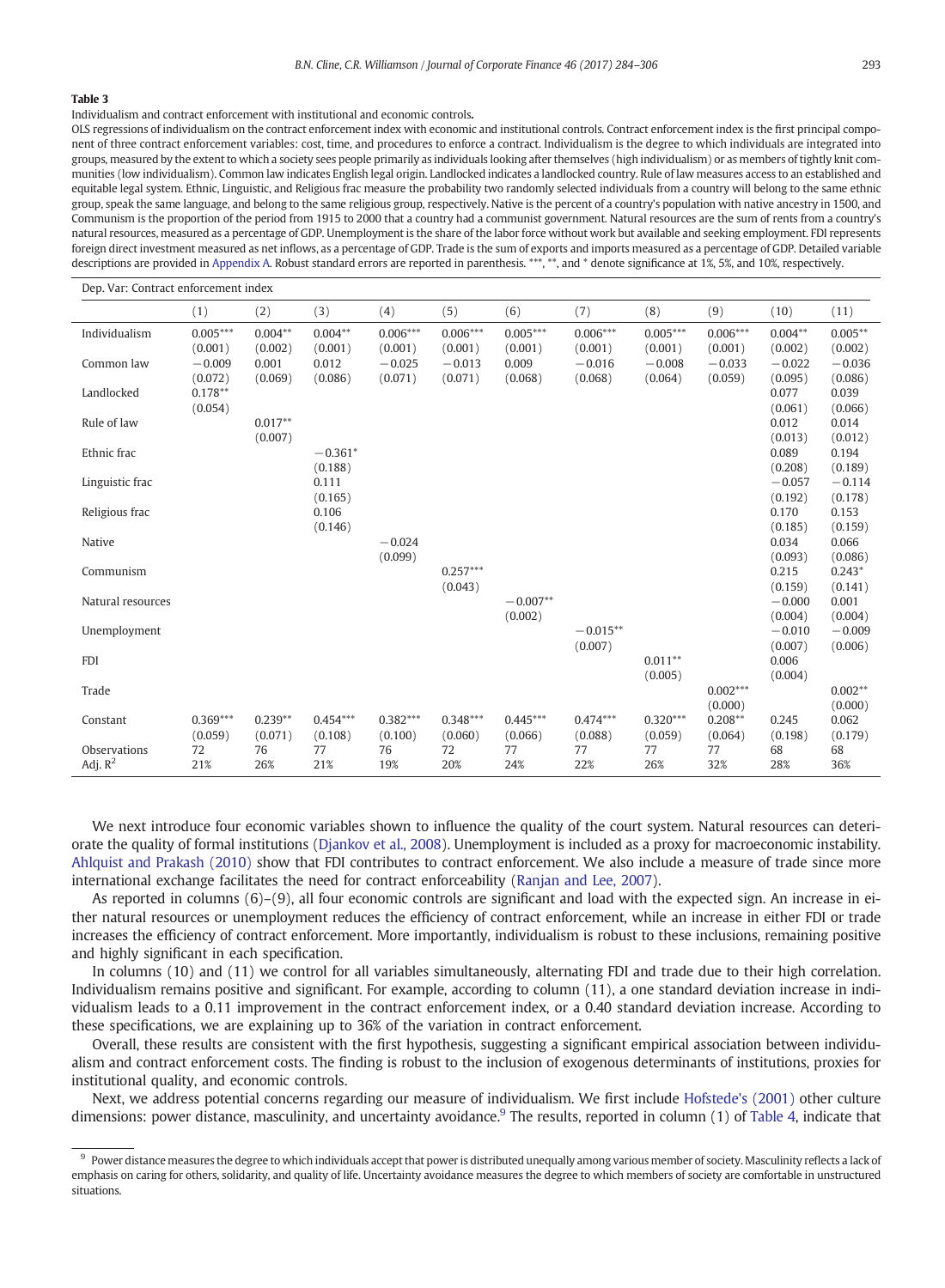<span id="page-9-0"></span>Individualism and contract enforcement with institutional and economic controls.

OLS regressions of individualism on the contract enforcement index with economic and institutional controls. Contract enforcement index is the first principal component of three contract enforcement variables: cost, time, and procedures to enforce a contract. Individualism is the degree to which individuals are integrated into groups, measured by the extent to which a society sees people primarily as individuals looking after themselves (high individualism) or as members of tightly knit communities (low individualism). Common law indicates English legal origin. Landlocked indicates a landlocked country. Rule of law measures access to an established and equitable legal system. Ethnic, Linguistic, and Religious frac measure the probability two randomly selected individuals from a country will belong to the same ethnic group, speak the same language, and belong to the same religious group, respectively. Native is the percent of a country's population with native ancestry in 1500, and Communism is the proportion of the period from 1915 to 2000 that a country had a communist government. Natural resources are the sum of rents from a country's natural resources, measured as a percentage of GDP. Unemployment is the share of the labor force without work but available and seeking employment. FDI represents foreign direct investment measured as net inflows, as a percentage of GDP. Trade is the sum of exports and imports measured as a percentage of GDP. Detailed variable descriptions are provided in [Appendix A](#page-17-0). Robust standard errors are reported in parenthesis. \*\*\*, \*\*, and \* denote significance at 1%, 5%, and 10%, respectively.

| Dep. Var: Contract enforcement index |                       |                      |                       |                       |                       |                       |                       |                       |                                 |                       |                             |
|--------------------------------------|-----------------------|----------------------|-----------------------|-----------------------|-----------------------|-----------------------|-----------------------|-----------------------|---------------------------------|-----------------------|-----------------------------|
|                                      | (1)                   | (2)                  | (3)                   | (4)                   | (5)                   | (6)                   | (7)                   | (8)                   | (9)                             | (10)                  | (11)                        |
| Individualism                        | $0.005***$<br>(0.001) | $0.004**$<br>(0.002) | $0.004**$<br>(0.001)  | $0.006***$<br>(0.001) | $0.006***$<br>(0.001) | $0.005***$<br>(0.001) | $0.006***$<br>(0.001) | $0.005***$<br>(0.001) | $0.006***$<br>(0.001)           | $0.004***$<br>(0.002) | $0.005***$<br>(0.002)       |
| Common law                           | $-0.009$<br>(0.072)   | 0.001<br>(0.069)     | 0.012<br>(0.086)      | $-0.025$<br>(0.071)   | $-0.013$<br>(0.071)   | 0.009<br>(0.068)      | $-0.016$<br>(0.068)   | $-0.008$<br>(0.064)   | $-0.033$<br>(0.059)             | $-0.022$<br>(0.095)   | $-0.036$<br>(0.086)         |
| Landlocked                           | $0.178***$<br>(0.054) |                      |                       |                       |                       |                       |                       |                       |                                 | 0.077<br>(0.061)      | 0.039<br>(0.066)            |
| Rule of law                          |                       | $0.017**$<br>(0.007) |                       |                       |                       |                       |                       |                       |                                 | 0.012<br>(0.013)      | 0.014<br>(0.012)            |
| Ethnic frac                          |                       |                      | $-0.361*$<br>(0.188)  |                       |                       |                       |                       |                       |                                 | 0.089<br>(0.208)      | 0.194<br>(0.189)            |
| Linguistic frac                      |                       |                      | 0.111<br>(0.165)      |                       |                       |                       |                       |                       |                                 | $-0.057$<br>(0.192)   | $-0.114$<br>(0.178)         |
| Religious frac                       |                       |                      | 0.106<br>(0.146)      |                       |                       |                       |                       |                       |                                 | 0.170<br>(0.185)      | 0.153<br>(0.159)            |
| Native                               |                       |                      |                       | $-0.024$<br>(0.099)   |                       |                       |                       |                       |                                 | 0.034<br>(0.093)      | 0.066<br>(0.086)            |
| Communism                            |                       |                      |                       |                       | $0.257***$<br>(0.043) |                       |                       |                       |                                 | 0.215<br>(0.159)      | $0.243*$<br>(0.141)         |
| Natural resources                    |                       |                      |                       |                       |                       | $-0.007**$<br>(0.002) |                       |                       |                                 | $-0.000$<br>(0.004)   | 0.001<br>(0.004)            |
| Unemployment                         |                       |                      |                       |                       |                       |                       | $-0.015**$<br>(0.007) |                       |                                 | $-0.010$<br>(0.007)   | $-0.009$<br>(0.006)         |
| <b>FDI</b>                           |                       |                      |                       |                       |                       |                       |                       | $0.011**$<br>(0.005)  |                                 | 0.006<br>(0.004)      |                             |
| Trade                                |                       |                      |                       |                       |                       |                       |                       |                       | $0.002***$                      |                       | $0.002**$                   |
| Constant                             | $0.369***$<br>(0.059) | $0.239**$<br>(0.071) | $0.454***$<br>(0.108) | $0.382***$<br>(0.100) | $0.348***$<br>(0.060) | $0.445***$<br>(0.066) | $0.474***$<br>(0.088) | $0.320***$<br>(0.059) | (0.000)<br>$0.208**$<br>(0.064) | 0.245<br>(0.198)      | (0.000)<br>0.062<br>(0.179) |
| Observations<br>Adj. $R^2$           | 72<br>21%             | 76<br>26%            | 77<br>21%             | 76<br>19%             | 72<br>20%             | 77<br>24%             | 77<br>22%             | 77<br>26%             | 77<br>32%                       | 68<br>28%             | 68<br>36%                   |

We next introduce four economic variables shown to influence the quality of the court system. Natural resources can deteriorate the quality of formal institutions ([Djankov et al., 2008](#page-21-0)). Unemployment is included as a proxy for macroeconomic instability. [Ahlquist and Prakash \(2010\)](#page-21-0) show that FDI contributes to contract enforcement. We also include a measure of trade since more international exchange facilitates the need for contract enforceability ([Ranjan and Lee, 2007\)](#page-21-0).

As reported in columns (6)–(9), all four economic controls are significant and load with the expected sign. An increase in either natural resources or unemployment reduces the efficiency of contract enforcement, while an increase in either FDI or trade increases the efficiency of contract enforcement. More importantly, individualism is robust to these inclusions, remaining positive and highly significant in each specification.

In columns (10) and (11) we control for all variables simultaneously, alternating FDI and trade due to their high correlation. Individualism remains positive and significant. For example, according to column (11), a one standard deviation increase in individualism leads to a 0.11 improvement in the contract enforcement index, or a 0.40 standard deviation increase. According to these specifications, we are explaining up to 36% of the variation in contract enforcement.

Overall, these results are consistent with the first hypothesis, suggesting a significant empirical association between individualism and contract enforcement costs. The finding is robust to the inclusion of exogenous determinants of institutions, proxies for institutional quality, and economic controls.

Next, we address potential concerns regarding our measure of individualism. We first include [Hofstede's \(2001\)](#page-21-0) other culture dimensions: power distance, masculinity, and uncertainty avoidance.<sup>9</sup> The results, reported in column (1) of [Table 4](#page-10-0), indicate that

<sup>9</sup> Power distance measures the degree to which individuals accept that power is distributed unequally among various member of society. Masculinity reflects a lack of emphasis on caring for others, solidarity, and quality of life. Uncertainty avoidance measures the degree to which members of society are comfortable in unstructured situations.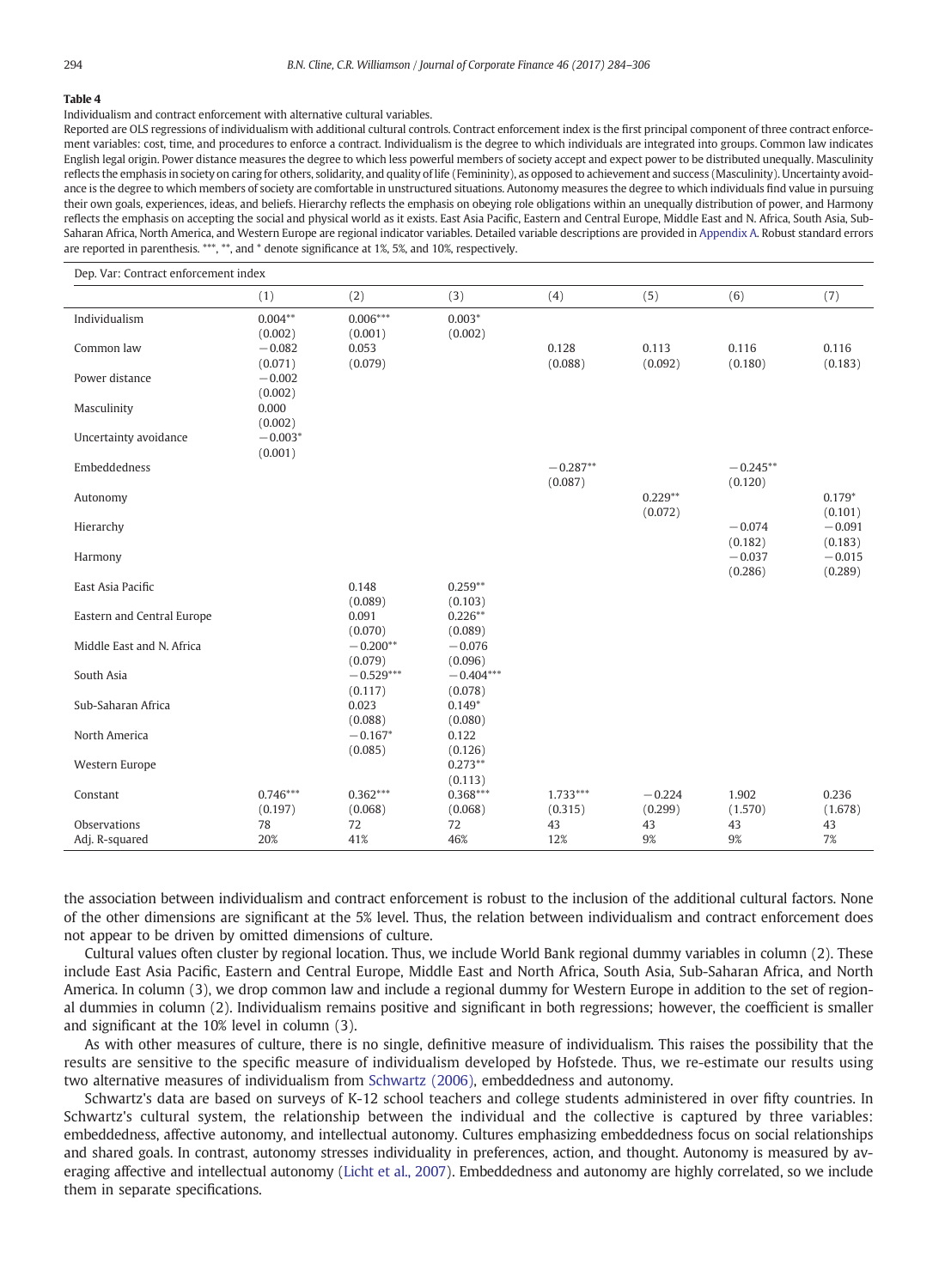<span id="page-10-0"></span>Individualism and contract enforcement with alternative cultural variables.

Reported are OLS regressions of individualism with additional cultural controls. Contract enforcement index is the first principal component of three contract enforcement variables: cost, time, and procedures to enforce a contract. Individualism is the degree to which individuals are integrated into groups. Common law indicates English legal origin. Power distance measures the degree to which less powerful members of society accept and expect power to be distributed unequally. Masculinity reflects the emphasis in society on caring for others, solidarity, and quality of life (Femininity), as opposed to achievement and success (Masculinity). Uncertainty avoidance is the degree to which members of society are comfortable in unstructured situations. Autonomy measures the degree to which individuals find value in pursuing their own goals, experiences, ideas, and beliefs. Hierarchy reflects the emphasis on obeying role obligations within an unequally distribution of power, and Harmony reflects the emphasis on accepting the social and physical world as it exists. East Asia Pacific, Eastern and Central Europe, Middle East and N. Africa, South Asia, Sub-Saharan Africa, North America, and Western Europe are regional indicator variables. Detailed variable descriptions are provided in [Appendix A.](#page-17-0) Robust standard errors are reported in parenthesis. \*\*\*, \*\*, and \* denote significance at 1%, 5%, and 10%, respectively.

| Dep. Var: Contract enforcement index |                       |                                |                        |                       |                      |                       |                     |
|--------------------------------------|-----------------------|--------------------------------|------------------------|-----------------------|----------------------|-----------------------|---------------------|
|                                      | (1)                   | (2)                            | (3)                    | (4)                   | (5)                  | (6)                   | (7)                 |
| Individualism<br>Common law          | $0.004**$<br>(0.002)  | $0.006***$<br>(0.001)<br>0.053 | $0.003*$<br>(0.002)    | 0.128                 |                      |                       | 0.116               |
|                                      | $-0.082$<br>(0.071)   | (0.079)                        |                        | (0.088)               | 0.113<br>(0.092)     | 0.116<br>(0.180)      | (0.183)             |
| Power distance                       | $-0.002$<br>(0.002)   |                                |                        |                       |                      |                       |                     |
| Masculinity                          | 0.000<br>(0.002)      |                                |                        |                       |                      |                       |                     |
| Uncertainty avoidance                | $-0.003*$<br>(0.001)  |                                |                        |                       |                      |                       |                     |
| Embeddedness                         |                       |                                |                        | $-0.287**$<br>(0.087) |                      | $-0.245**$<br>(0.120) |                     |
| Autonomy                             |                       |                                |                        |                       | $0.229**$<br>(0.072) |                       | $0.179*$<br>(0.101) |
| Hierarchy                            |                       |                                |                        |                       |                      | $-0.074$<br>(0.182)   | $-0.091$<br>(0.183) |
| Harmony                              |                       |                                |                        |                       |                      | $-0.037$<br>(0.286)   | $-0.015$<br>(0.289) |
| East Asia Pacific                    |                       | 0.148<br>(0.089)               | $0.259**$<br>(0.103)   |                       |                      |                       |                     |
| Eastern and Central Europe           |                       | 0.091<br>(0.070)               | $0.226**$<br>(0.089)   |                       |                      |                       |                     |
| Middle East and N. Africa            |                       | $-0.200**$<br>(0.079)          | $-0.076$<br>(0.096)    |                       |                      |                       |                     |
| South Asia                           |                       | $-0.529***$<br>(0.117)         | $-0.404***$<br>(0.078) |                       |                      |                       |                     |
| Sub-Saharan Africa                   |                       | 0.023<br>(0.088)               | $0.149*$<br>(0.080)    |                       |                      |                       |                     |
| North America                        |                       | $-0.167*$<br>(0.085)           | 0.122<br>(0.126)       |                       |                      |                       |                     |
| Western Europe                       |                       |                                | $0.273**$<br>(0.113)   |                       |                      |                       |                     |
| Constant                             | $0.746***$<br>(0.197) | $0.362***$<br>(0.068)          | $0.368***$<br>(0.068)  | $1.733***$<br>(0.315) | $-0.224$<br>(0.299)  | 1.902<br>(1.570)      | 0.236<br>(1.678)    |
| Observations                         | 78                    | 72                             | 72                     | 43                    | 43                   | 43                    | 43                  |
| Adj. R-squared                       | 20%                   | 41%                            | 46%                    | 12%                   | 9%                   | 9%                    | 7%                  |

the association between individualism and contract enforcement is robust to the inclusion of the additional cultural factors. None of the other dimensions are significant at the 5% level. Thus, the relation between individualism and contract enforcement does not appear to be driven by omitted dimensions of culture.

Cultural values often cluster by regional location. Thus, we include World Bank regional dummy variables in column (2). These include East Asia Pacific, Eastern and Central Europe, Middle East and North Africa, South Asia, Sub-Saharan Africa, and North America. In column (3), we drop common law and include a regional dummy for Western Europe in addition to the set of regional dummies in column (2). Individualism remains positive and significant in both regressions; however, the coefficient is smaller and significant at the 10% level in column (3).

As with other measures of culture, there is no single, definitive measure of individualism. This raises the possibility that the results are sensitive to the specific measure of individualism developed by Hofstede. Thus, we re-estimate our results using two alternative measures of individualism from [Schwartz \(2006\),](#page-21-0) embeddedness and autonomy.

Schwartz's data are based on surveys of K-12 school teachers and college students administered in over fifty countries. In Schwartz's cultural system, the relationship between the individual and the collective is captured by three variables: embeddedness, affective autonomy, and intellectual autonomy. Cultures emphasizing embeddedness focus on social relationships and shared goals. In contrast, autonomy stresses individuality in preferences, action, and thought. Autonomy is measured by averaging affective and intellectual autonomy [\(Licht et al., 2007\)](#page-21-0). Embeddedness and autonomy are highly correlated, so we include them in separate specifications.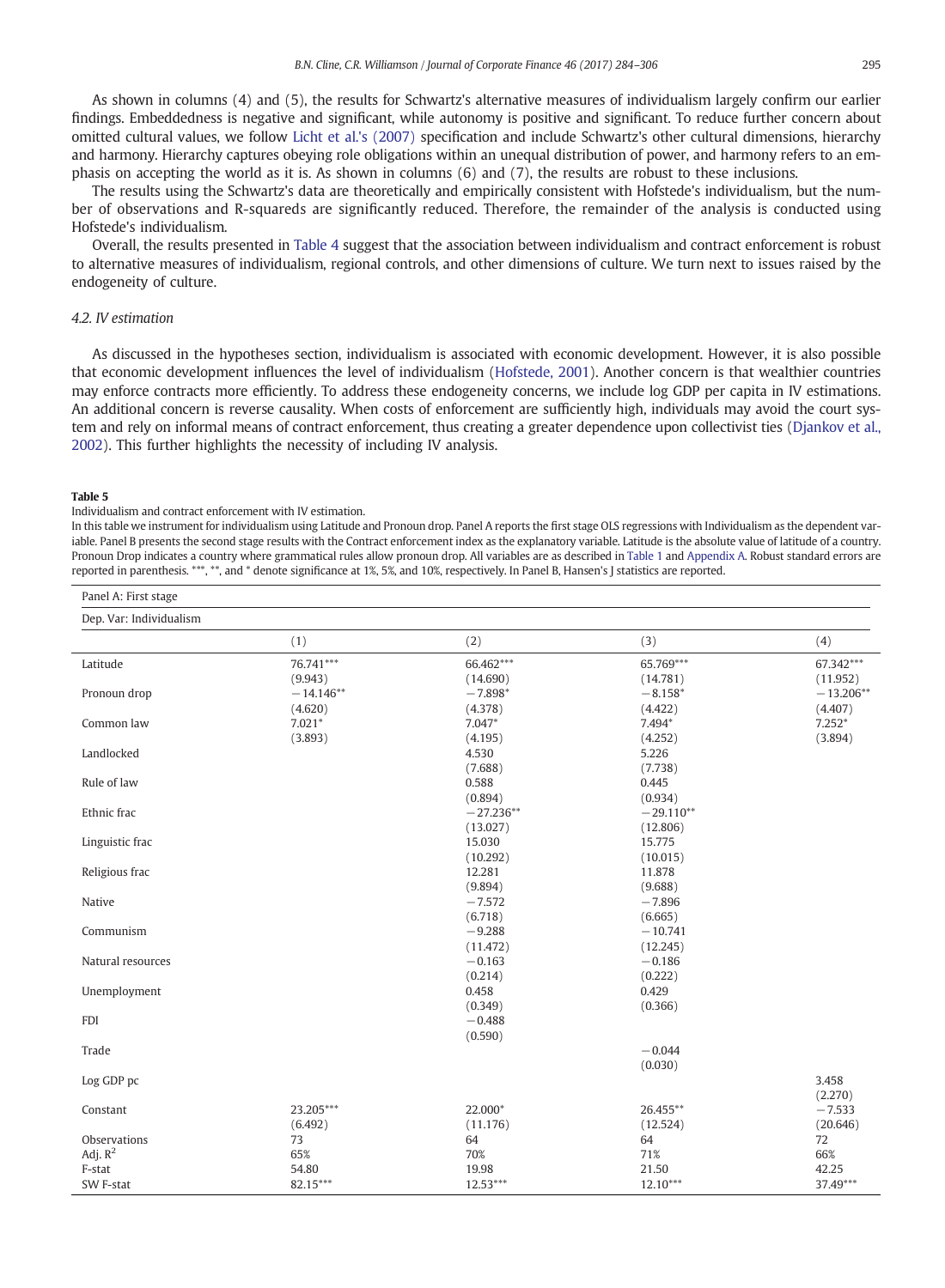<span id="page-11-0"></span>As shown in columns (4) and (5), the results for Schwartz's alternative measures of individualism largely confirm our earlier findings. Embeddedness is negative and significant, while autonomy is positive and significant. To reduce further concern about omitted cultural values, we follow [Licht et al.'s \(2007\)](#page-21-0) specification and include Schwartz's other cultural dimensions, hierarchy and harmony. Hierarchy captures obeying role obligations within an unequal distribution of power, and harmony refers to an emphasis on accepting the world as it is. As shown in columns (6) and (7), the results are robust to these inclusions.

The results using the Schwartz's data are theoretically and empirically consistent with Hofstede's individualism, but the number of observations and R-squareds are significantly reduced. Therefore, the remainder of the analysis is conducted using Hofstede's individualism.

Overall, the results presented in [Table 4](#page-10-0) suggest that the association between individualism and contract enforcement is robust to alternative measures of individualism, regional controls, and other dimensions of culture. We turn next to issues raised by the endogeneity of culture.

#### 4.2. IV estimation

As discussed in the hypotheses section, individualism is associated with economic development. However, it is also possible that economic development influences the level of individualism [\(Hofstede, 2001\)](#page-21-0). Another concern is that wealthier countries may enforce contracts more efficiently. To address these endogeneity concerns, we include log GDP per capita in IV estimations. An additional concern is reverse causality. When costs of enforcement are sufficiently high, individuals may avoid the court system and rely on informal means of contract enforcement, thus creating a greater dependence upon collectivist ties ([Djankov et al.,](#page-21-0) [2002](#page-21-0)). This further highlights the necessity of including IV analysis.

#### Table 5

Panel A: First stage

Individualism and contract enforcement with IV estimation.

In this table we instrument for individualism using Latitude and Pronoun drop. Panel A reports the first stage OLS regressions with Individualism as the dependent variable. Panel B presents the second stage results with the Contract enforcement index as the explanatory variable. Latitude is the absolute value of latitude of a country. Pronoun Drop indicates a country where grammatical rules allow pronoun drop. All variables are as described in [Table 1](#page-6-0) and [Appendix A.](#page-17-0) Robust standard errors are reported in parenthesis. \*\*\*, \*\*, and \* denote significance at 1%, 5%, and 10%, respectively. In Panel B, Hansen's J statistics are reported.

| Dep. Var: Individualism |             |             |             |             |  |  |  |  |  |
|-------------------------|-------------|-------------|-------------|-------------|--|--|--|--|--|
|                         | (1)         | (2)         | (3)         | (4)         |  |  |  |  |  |
| Latitude                | 76.741***   | 66.462***   | 65.769***   | 67.342***   |  |  |  |  |  |
|                         | (9.943)     | (14.690)    | (14.781)    | (11.952)    |  |  |  |  |  |
| Pronoun drop            | $-14.146**$ | $-7.898*$   | $-8.158*$   | $-13.206**$ |  |  |  |  |  |
|                         | (4.620)     | (4.378)     | (4.422)     | (4.407)     |  |  |  |  |  |
| Common law              | $7.021*$    | $7.047*$    | 7.494*      | $7.252*$    |  |  |  |  |  |
|                         | (3.893)     | (4.195)     | (4.252)     | (3.894)     |  |  |  |  |  |
| Landlocked              |             | 4.530       | 5.226       |             |  |  |  |  |  |
|                         |             | (7.688)     | (7.738)     |             |  |  |  |  |  |
| Rule of law             |             | 0.588       | 0.445       |             |  |  |  |  |  |
|                         |             | (0.894)     | (0.934)     |             |  |  |  |  |  |
| Ethnic frac             |             | $-27.236**$ | $-29.110**$ |             |  |  |  |  |  |
|                         |             | (13.027)    | (12.806)    |             |  |  |  |  |  |
| Linguistic frac         |             | 15.030      | 15,775      |             |  |  |  |  |  |
|                         |             | (10.292)    | (10.015)    |             |  |  |  |  |  |
| Religious frac          |             | 12.281      | 11.878      |             |  |  |  |  |  |
|                         |             | (9.894)     | (9.688)     |             |  |  |  |  |  |
| Native                  |             | $-7.572$    | $-7.896$    |             |  |  |  |  |  |
|                         |             | (6.718)     | (6.665)     |             |  |  |  |  |  |
| Communism               |             | $-9.288$    | $-10.741$   |             |  |  |  |  |  |
|                         |             | (11.472)    | (12.245)    |             |  |  |  |  |  |
| Natural resources       |             | $-0.163$    | $-0.186$    |             |  |  |  |  |  |
|                         |             | (0.214)     | (0.222)     |             |  |  |  |  |  |
| Unemployment            |             | 0.458       | 0.429       |             |  |  |  |  |  |
|                         |             | (0.349)     | (0.366)     |             |  |  |  |  |  |
| <b>FDI</b>              |             | $-0.488$    |             |             |  |  |  |  |  |
|                         |             | (0.590)     |             |             |  |  |  |  |  |
| Trade                   |             |             | $-0.044$    |             |  |  |  |  |  |
|                         |             |             | (0.030)     |             |  |  |  |  |  |
| Log GDP pc              |             |             |             | 3.458       |  |  |  |  |  |
|                         |             |             |             | (2.270)     |  |  |  |  |  |
| Constant                | 23.205***   | 22.000*     | 26.455**    | $-7.533$    |  |  |  |  |  |
|                         | (6.492)     | (11.176)    | (12.524)    | (20.646)    |  |  |  |  |  |
| Observations            | 73          | 64          | 64          | 72          |  |  |  |  |  |
| Adj. $R^2$              | 65%         | 70%         | 71%         | 66%         |  |  |  |  |  |
| F-stat                  | 54.80       | 19.98       | 21.50       | 42.25       |  |  |  |  |  |
| SW F-stat               | 82.15***    | $12.53***$  | $12.10***$  | 37.49***    |  |  |  |  |  |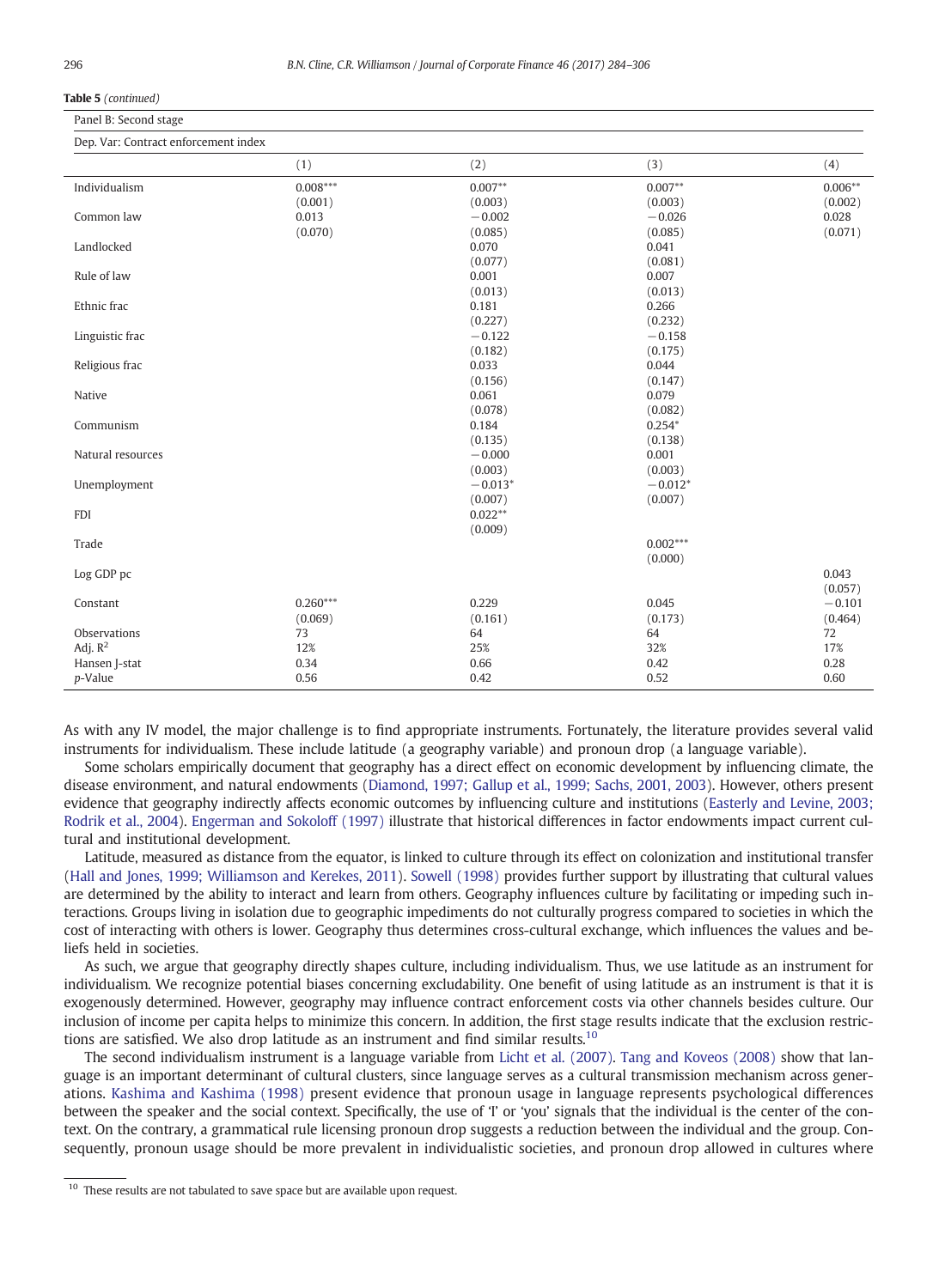Panel B: Second stage Table 5 (continued)

| Dep. Var: Contract enforcement index |            |           |            |           |
|--------------------------------------|------------|-----------|------------|-----------|
|                                      | (1)        | (2)       | (3)        | (4)       |
| Individualism                        | $0.008***$ | $0.007**$ | $0.007**$  | $0.006**$ |
|                                      | (0.001)    | (0.003)   | (0.003)    | (0.002)   |
| Common law                           | 0.013      | $-0.002$  | $-0.026$   | 0.028     |
|                                      | (0.070)    | (0.085)   | (0.085)    | (0.071)   |
| Landlocked                           |            | 0.070     | 0.041      |           |
|                                      |            | (0.077)   | (0.081)    |           |
| Rule of law                          |            | 0.001     | 0.007      |           |
|                                      |            | (0.013)   | (0.013)    |           |
| Ethnic frac                          |            | 0.181     | 0.266      |           |
|                                      |            | (0.227)   | (0.232)    |           |
| Linguistic frac                      |            | $-0.122$  | $-0.158$   |           |
|                                      |            | (0.182)   | (0.175)    |           |
| Religious frac                       |            | 0.033     | 0.044      |           |
|                                      |            | (0.156)   | (0.147)    |           |
| Native                               |            | 0.061     | 0.079      |           |
|                                      |            | (0.078)   | (0.082)    |           |
| Communism                            |            | 0.184     | $0.254*$   |           |
|                                      |            | (0.135)   | (0.138)    |           |
| Natural resources                    |            | $-0.000$  | 0.001      |           |
|                                      |            | (0.003)   | (0.003)    |           |
| Unemployment                         |            | $-0.013*$ | $-0.012*$  |           |
|                                      |            | (0.007)   | (0.007)    |           |
| <b>FDI</b>                           |            | $0.022**$ |            |           |
|                                      |            | (0.009)   |            |           |
| Trade                                |            |           | $0.002***$ |           |
|                                      |            |           | (0.000)    |           |
| Log GDP pc                           |            |           |            | 0.043     |
|                                      |            |           |            | (0.057)   |
| Constant                             | $0.260***$ | 0.229     | 0.045      | $-0.101$  |
|                                      | (0.069)    | (0.161)   | (0.173)    | (0.464)   |
| Observations                         | 73         | 64        | 64         | 72        |
| Adj. $R^2$                           | 12%        | 25%       | 32%        | 17%       |
| Hansen J-stat                        | 0.34       | 0.66      | 0.42       | 0.28      |
| p-Value                              | 0.56       | 0.42      | 0.52       | 0.60      |

As with any IV model, the major challenge is to find appropriate instruments. Fortunately, the literature provides several valid instruments for individualism. These include latitude (a geography variable) and pronoun drop (a language variable).

Some scholars empirically document that geography has a direct effect on economic development by influencing climate, the disease environment, and natural endowments [\(Diamond, 1997; Gallup et al., 1999; Sachs, 2001, 2003\)](#page-21-0). However, others present evidence that geography indirectly affects economic outcomes by influencing culture and institutions [\(Easterly and Levine, 2003;](#page-21-0) [Rodrik et al., 2004\)](#page-21-0). [Engerman and Sokoloff \(1997\)](#page-21-0) illustrate that historical differences in factor endowments impact current cultural and institutional development.

Latitude, measured as distance from the equator, is linked to culture through its effect on colonization and institutional transfer [\(Hall and Jones, 1999; Williamson and Kerekes, 2011\)](#page-21-0). [Sowell \(1998\)](#page-21-0) provides further support by illustrating that cultural values are determined by the ability to interact and learn from others. Geography influences culture by facilitating or impeding such interactions. Groups living in isolation due to geographic impediments do not culturally progress compared to societies in which the cost of interacting with others is lower. Geography thus determines cross-cultural exchange, which influences the values and beliefs held in societies.

As such, we argue that geography directly shapes culture, including individualism. Thus, we use latitude as an instrument for individualism. We recognize potential biases concerning excludability. One benefit of using latitude as an instrument is that it is exogenously determined. However, geography may influence contract enforcement costs via other channels besides culture. Our inclusion of income per capita helps to minimize this concern. In addition, the first stage results indicate that the exclusion restrictions are satisfied. We also drop latitude as an instrument and find similar results.<sup>10</sup>

The second individualism instrument is a language variable from [Licht et al. \(2007\).](#page-21-0) [Tang and Koveos \(2008\)](#page-22-0) show that language is an important determinant of cultural clusters, since language serves as a cultural transmission mechanism across generations. [Kashima and Kashima \(1998\)](#page-21-0) present evidence that pronoun usage in language represents psychological differences between the speaker and the social context. Specifically, the use of 'I' or 'you' signals that the individual is the center of the context. On the contrary, a grammatical rule licensing pronoun drop suggests a reduction between the individual and the group. Consequently, pronoun usage should be more prevalent in individualistic societies, and pronoun drop allowed in cultures where

<sup>&</sup>lt;sup>10</sup> These results are not tabulated to save space but are available upon request.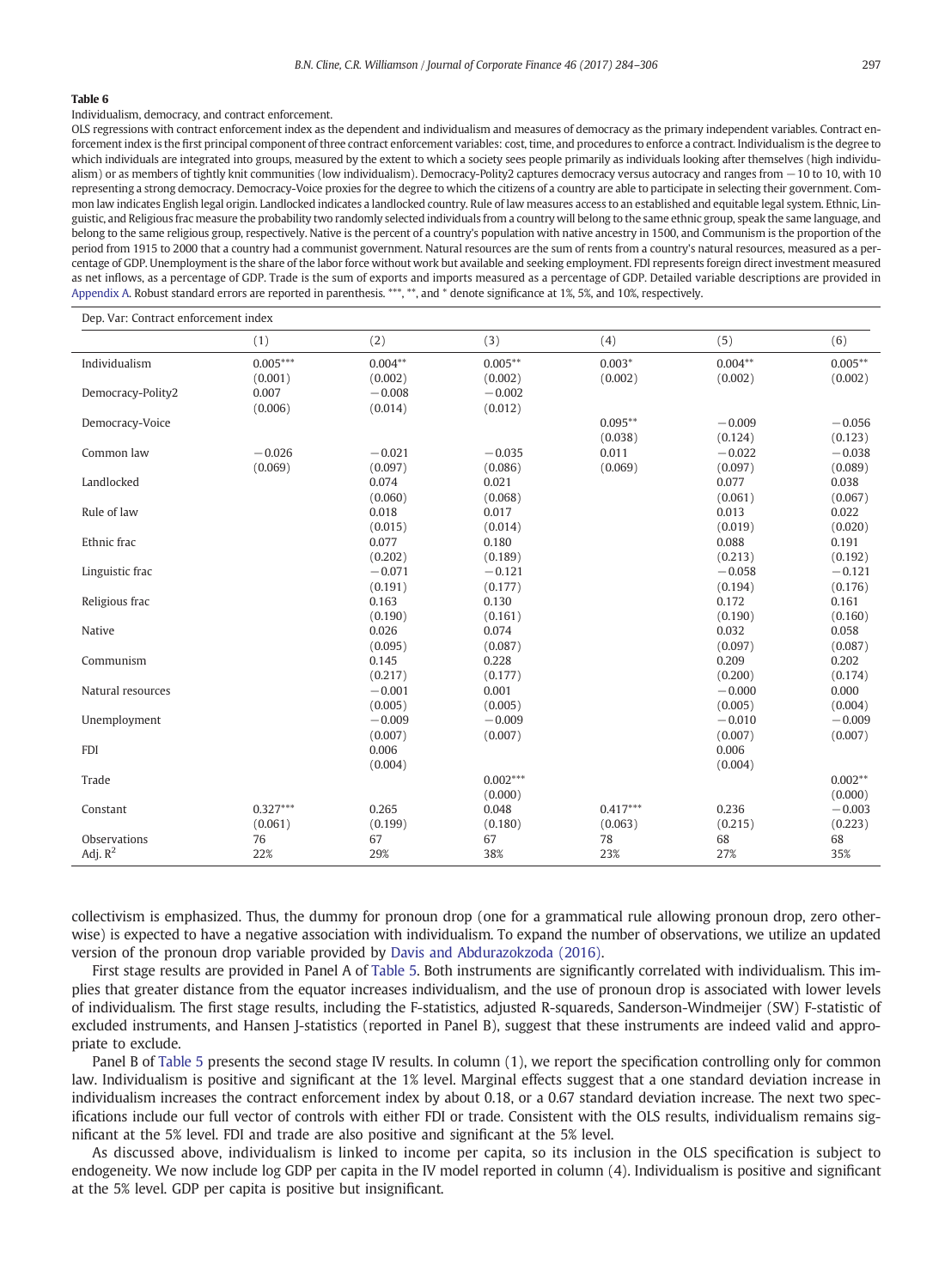<span id="page-13-0"></span>Individualism, democracy, and contract enforcement.

OLS regressions with contract enforcement index as the dependent and individualism and measures of democracy as the primary independent variables. Contract enforcement index is the first principal component of three contract enforcement variables: cost, time, and procedures to enforce a contract. Individualism is the degree to which individuals are integrated into groups, measured by the extent to which a society sees people primarily as individuals looking after themselves (high individualism) or as members of tightly knit communities (low individualism). Democracy-Polity2 captures democracy versus autocracy and ranges from −10 to 10, with 10 representing a strong democracy. Democracy-Voice proxies for the degree to which the citizens of a country are able to participate in selecting their government. Common law indicates English legal origin. Landlocked indicates a landlocked country. Rule of law measures access to an established and equitable legal system. Ethnic, Linguistic, and Religious frac measure the probability two randomly selected individuals from a country will belong to the same ethnic group, speak the same language, and belong to the same religious group, respectively. Native is the percent of a country's population with native ancestry in 1500, and Communism is the proportion of the period from 1915 to 2000 that a country had a communist government. Natural resources are the sum of rents from a country's natural resources, measured as a percentage of GDP. Unemployment is the share of the labor force without work but available and seeking employment. FDI represents foreign direct investment measured as net inflows, as a percentage of GDP. Trade is the sum of exports and imports measured as a percentage of GDP. Detailed variable descriptions are provided in [Appendix A](#page-17-0). Robust standard errors are reported in parenthesis. \*\*\*, \*\*, and \* denote significance at 1%, 5%, and 10%, respectively.

| Dep. Var: Contract enforcement index |            |           |            |            |           |            |
|--------------------------------------|------------|-----------|------------|------------|-----------|------------|
|                                      | (1)        | (2)       | (3)        | (4)        | (5)       | (6)        |
| Individualism                        | $0.005***$ | $0.004**$ | $0.005***$ | $0.003*$   | $0.004**$ | $0.005***$ |
|                                      | (0.001)    | (0.002)   | (0.002)    | (0.002)    | (0.002)   | (0.002)    |
| Democracy-Polity2                    | 0.007      | $-0.008$  | $-0.002$   |            |           |            |
|                                      | (0.006)    | (0.014)   | (0.012)    |            |           |            |
| Democracy-Voice                      |            |           |            | $0.095**$  | $-0.009$  | $-0.056$   |
|                                      |            |           |            | (0.038)    | (0.124)   | (0.123)    |
| Common law                           | $-0.026$   | $-0.021$  | $-0.035$   | 0.011      | $-0.022$  | $-0.038$   |
|                                      | (0.069)    | (0.097)   | (0.086)    | (0.069)    | (0.097)   | (0.089)    |
| Landlocked                           |            | 0.074     | 0.021      |            | 0.077     | 0.038      |
|                                      |            | (0.060)   | (0.068)    |            | (0.061)   | (0.067)    |
| Rule of law                          |            | 0.018     | 0.017      |            | 0.013     | 0.022      |
|                                      |            | (0.015)   | (0.014)    |            | (0.019)   | (0.020)    |
| Ethnic frac                          |            | 0.077     | 0.180      |            | 0.088     | 0.191      |
|                                      |            | (0.202)   | (0.189)    |            | (0.213)   | (0.192)    |
| Linguistic frac                      |            | $-0.071$  | $-0.121$   |            | $-0.058$  | $-0.121$   |
|                                      |            | (0.191)   | (0.177)    |            | (0.194)   | (0.176)    |
| Religious frac                       |            | 0.163     | 0.130      |            | 0.172     | 0.161      |
|                                      |            | (0.190)   | (0.161)    |            | (0.190)   | (0.160)    |
| Native                               |            | 0.026     | 0.074      |            | 0.032     | 0.058      |
|                                      |            | (0.095)   | (0.087)    |            | (0.097)   | (0.087)    |
| Communism                            |            | 0.145     | 0.228      |            | 0.209     | 0.202      |
|                                      |            | (0.217)   | (0.177)    |            | (0.200)   | (0.174)    |
| Natural resources                    |            | $-0.001$  | 0.001      |            | $-0.000$  | 0.000      |
|                                      |            | (0.005)   | (0.005)    |            | (0.005)   | (0.004)    |
| Unemployment                         |            | $-0.009$  | $-0.009$   |            | $-0.010$  | $-0.009$   |
|                                      |            | (0.007)   | (0.007)    |            | (0.007)   | (0.007)    |
| <b>FDI</b>                           |            | 0.006     |            |            | 0.006     |            |
|                                      |            | (0.004)   |            |            | (0.004)   |            |
| Trade                                |            |           | $0.002***$ |            |           | $0.002**$  |
|                                      |            |           | (0.000)    |            |           | (0.000)    |
| Constant                             | $0.327***$ | 0.265     | 0.048      | $0.417***$ | 0.236     | $-0.003$   |
|                                      | (0.061)    | (0.199)   | (0.180)    | (0.063)    | (0.215)   | (0.223)    |
| Observations                         | 76         | 67        | 67         | 78         | 68        | 68         |
| Adj. $R^2$                           | 22%        | 29%       | 38%        | 23%        | 27%       | 35%        |

collectivism is emphasized. Thus, the dummy for pronoun drop (one for a grammatical rule allowing pronoun drop, zero otherwise) is expected to have a negative association with individualism. To expand the number of observations, we utilize an updated version of the pronoun drop variable provided by [Davis and Abdurazokzoda \(2016\)](#page-21-0).

First stage results are provided in Panel A of [Table 5](#page-11-0). Both instruments are significantly correlated with individualism. This implies that greater distance from the equator increases individualism, and the use of pronoun drop is associated with lower levels of individualism. The first stage results, including the F-statistics, adjusted R-squareds, Sanderson-Windmeijer (SW) F-statistic of excluded instruments, and Hansen J-statistics (reported in Panel B), suggest that these instruments are indeed valid and appropriate to exclude.

Panel B of [Table 5](#page-11-0) presents the second stage IV results. In column (1), we report the specification controlling only for common law. Individualism is positive and significant at the 1% level. Marginal effects suggest that a one standard deviation increase in individualism increases the contract enforcement index by about 0.18, or a 0.67 standard deviation increase. The next two specifications include our full vector of controls with either FDI or trade. Consistent with the OLS results, individualism remains significant at the 5% level. FDI and trade are also positive and significant at the 5% level.

As discussed above, individualism is linked to income per capita, so its inclusion in the OLS specification is subject to endogeneity. We now include log GDP per capita in the IV model reported in column (4). Individualism is positive and significant at the 5% level. GDP per capita is positive but insignificant.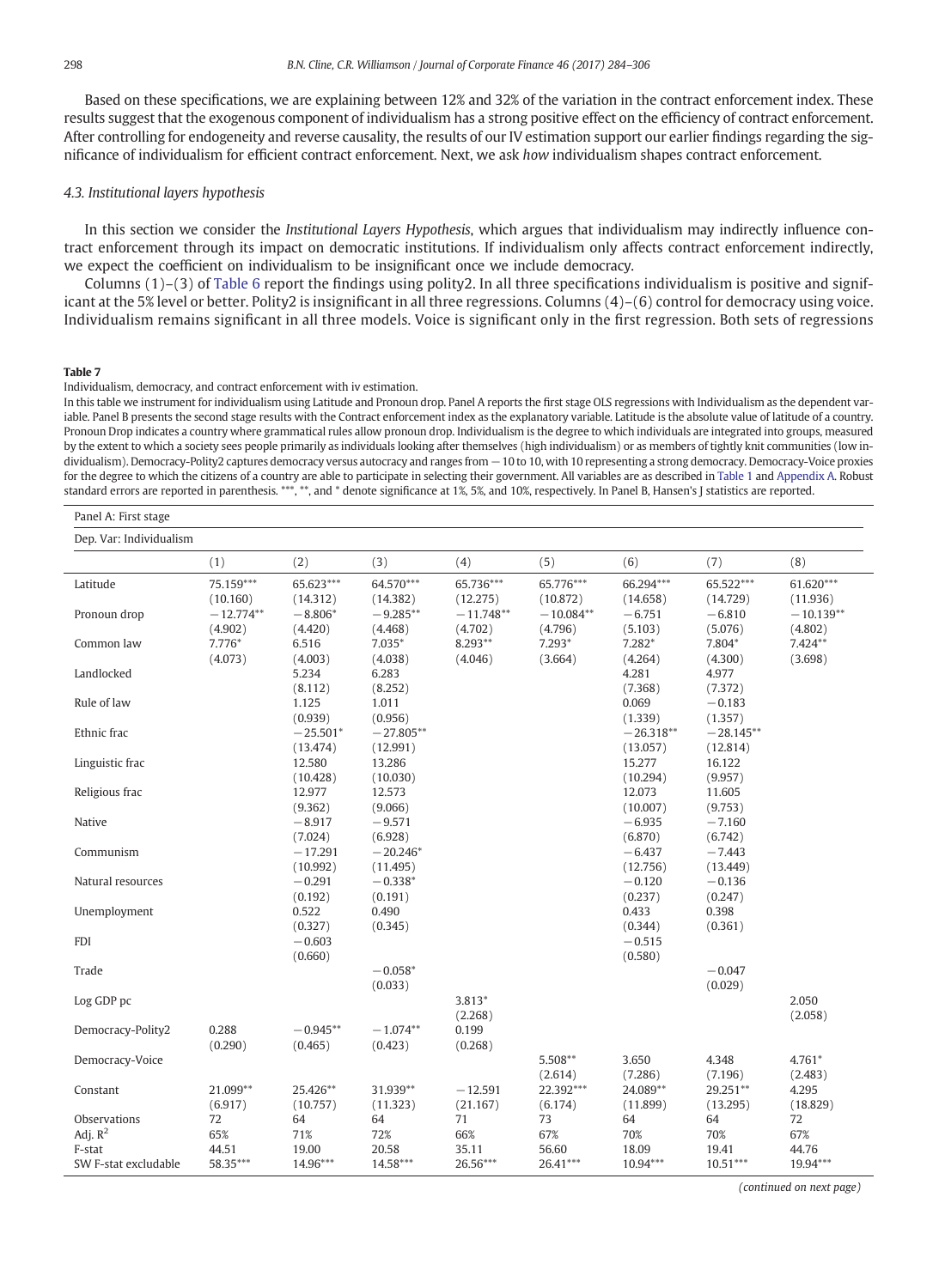<span id="page-14-0"></span>Based on these specifications, we are explaining between 12% and 32% of the variation in the contract enforcement index. These results suggest that the exogenous component of individualism has a strong positive effect on the efficiency of contract enforcement. After controlling for endogeneity and reverse causality, the results of our IV estimation support our earlier findings regarding the significance of individualism for efficient contract enforcement. Next, we ask how individualism shapes contract enforcement.

#### 4.3. Institutional layers hypothesis

In this section we consider the *Institutional Layers Hypothesis*, which argues that individualism may indirectly influence contract enforcement through its impact on democratic institutions. If individualism only affects contract enforcement indirectly, we expect the coefficient on individualism to be insignificant once we include democracy.

Columns (1)–(3) of [Table 6](#page-13-0) report the findings using polity2. In all three specifications individualism is positive and significant at the 5% level or better. Polity2 is insignificant in all three regressions. Columns (4)–(6) control for democracy using voice. Individualism remains significant in all three models. Voice is significant only in the first regression. Both sets of regressions

#### Table 7

Panel A: First stage

Individualism, democracy, and contract enforcement with iv estimation.

In this table we instrument for individualism using Latitude and Pronoun drop. Panel A reports the first stage OLS regressions with Individualism as the dependent variable. Panel B presents the second stage results with the Contract enforcement index as the explanatory variable. Latitude is the absolute value of latitude of a country. Pronoun Drop indicates a country where grammatical rules allow pronoun drop. Individualism is the degree to which individuals are integrated into groups, measured by the extent to which a society sees people primarily as individuals looking after themselves (high individualism) or as members of tightly knit communities (low individualism). Democracy-Polity2 captures democracy versus autocracy and ranges from −10 to 10, with 10 representing a strong democracy. Democracy-Voice proxies for the degree to which the citizens of a country are able to participate in selecting their government. All variables are as described in [Table 1](#page-6-0) and [Appendix A.](#page-17-0) Robust standard errors are reported in parenthesis. \*\*\*, \*\*, and \* denote significance at 1%, 5%, and 10%, respectively. In Panel B, Hansen's J statistics are reported.

| Dep. Var: Individualism                                      |                                |                                |                                |                                |                                  |                                |                                  |                                  |
|--------------------------------------------------------------|--------------------------------|--------------------------------|--------------------------------|--------------------------------|----------------------------------|--------------------------------|----------------------------------|----------------------------------|
|                                                              | (1)                            | (2)                            | (3)                            | (4)                            | (5)                              | (6)                            | (7)                              | (8)                              |
| Latitude                                                     | 75.159***<br>(10.160)          | 65.623***<br>(14.312)          | 64.570***<br>(14.382)          | 65.736***<br>(12.275)          | 65.776***<br>(10.872)            | 66.294***<br>(14.658)          | 65.522***<br>(14.729)            | 61.620***<br>(11.936)            |
| Pronoun drop                                                 | $-12.774**$<br>(4.902)         | $-8.806*$<br>(4.420)           | $-9.285**$<br>(4.468)          | $-11.748**$<br>(4.702)         | $-10.084**$<br>(4.796)           | $-6.751$<br>(5.103)            | $-6.810$<br>(5.076)              | $-10.139**$<br>(4.802)           |
| Common law                                                   | 7.776*<br>(4.073)              | 6.516<br>(4.003)               | $7.035*$<br>(4.038)            | 8.293**<br>(4.046)             | $7.293*$<br>(3.664)              | $7.282*$<br>(4.264)            | 7.804*<br>(4.300)                | $7.424**$<br>(3.698)             |
| Landlocked                                                   |                                | 5.234<br>(8.112)               | 6.283<br>(8.252)               |                                |                                  | 4.281<br>(7.368)               | 4.977<br>(7.372)                 |                                  |
| Rule of law                                                  |                                | 1.125<br>(0.939)               | 1.011<br>(0.956)               |                                |                                  | 0.069<br>(1.339)               | $-0.183$<br>(1.357)              |                                  |
| Ethnic frac                                                  |                                | $-25.501*$<br>(13.474)         | $-27.805**$<br>(12.991)        |                                |                                  | $-26.318**$<br>(13.057)        | $-28.145**$<br>(12.814)          |                                  |
| Linguistic frac                                              |                                | 12.580<br>(10.428)             | 13.286<br>(10.030)             |                                |                                  | 15.277<br>(10.294)             | 16.122<br>(9.957)                |                                  |
| Religious frac                                               |                                | 12.977<br>(9.362)              | 12.573<br>(9.066)              |                                |                                  | 12.073<br>(10.007)             | 11.605<br>(9.753)                |                                  |
| Native                                                       |                                | $-8.917$<br>(7.024)            | $-9.571$<br>(6.928)            |                                |                                  | $-6.935$<br>(6.870)            | $-7.160$<br>(6.742)              |                                  |
| Communism                                                    |                                | $-17.291$<br>(10.992)          | $-20.246*$<br>(11.495)         |                                |                                  | $-6.437$<br>(12.756)           | $-7.443$<br>(13.449)             |                                  |
| Natural resources                                            |                                | $-0.291$<br>(0.192)            | $-0.338*$<br>(0.191)           |                                |                                  | $-0.120$<br>(0.237)            | $-0.136$<br>(0.247)              |                                  |
| Unemployment                                                 |                                | 0.522<br>(0.327)               | 0.490<br>(0.345)               |                                |                                  | 0.433<br>(0.344)               | 0.398<br>(0.361)                 |                                  |
| <b>FDI</b>                                                   |                                | $-0.603$<br>(0.660)            |                                |                                |                                  | $-0.515$<br>(0.580)            |                                  |                                  |
| Trade                                                        |                                |                                | $-0.058*$<br>(0.033)           |                                |                                  |                                | $-0.047$<br>(0.029)              |                                  |
| Log GDP pc                                                   |                                |                                |                                | 3.813*<br>(2.268)              |                                  |                                |                                  | 2.050<br>(2.058)                 |
| Democracy-Polity2                                            | 0.288<br>(0.290)               | $-0.945**$<br>(0.465)          | $-1.074**$<br>(0.423)          | 0.199<br>(0.268)               |                                  |                                |                                  |                                  |
| Democracy-Voice                                              |                                |                                |                                |                                | 5.508**<br>(2.614)               | 3.650<br>(7.286)               | 4.348<br>(7.196)                 | $4.761*$<br>(2.483)              |
| Constant                                                     | 21.099**<br>(6.917)            | 25.426**<br>(10.757)           | 31.939**<br>(11.323)           | $-12.591$<br>(21.167)          | 22.392***<br>(6.174)             | 24.089**<br>(11.899)           | 29.251**<br>(13.295)             | 4.295<br>(18.829)                |
| Observations<br>Adj. $R^2$<br>F-stat<br>SW F-stat excludable | 72<br>65%<br>44.51<br>58.35*** | 64<br>71%<br>19.00<br>14.96*** | 64<br>72%<br>20.58<br>14.58*** | 71<br>66%<br>35.11<br>26.56*** | 73<br>67%<br>56.60<br>$26.41***$ | 64<br>70%<br>18.09<br>10.94*** | 64<br>70%<br>19.41<br>$10.51***$ | 72<br>67%<br>44.76<br>$19.94***$ |
|                                                              |                                |                                |                                |                                |                                  |                                |                                  |                                  |

(continued on next page)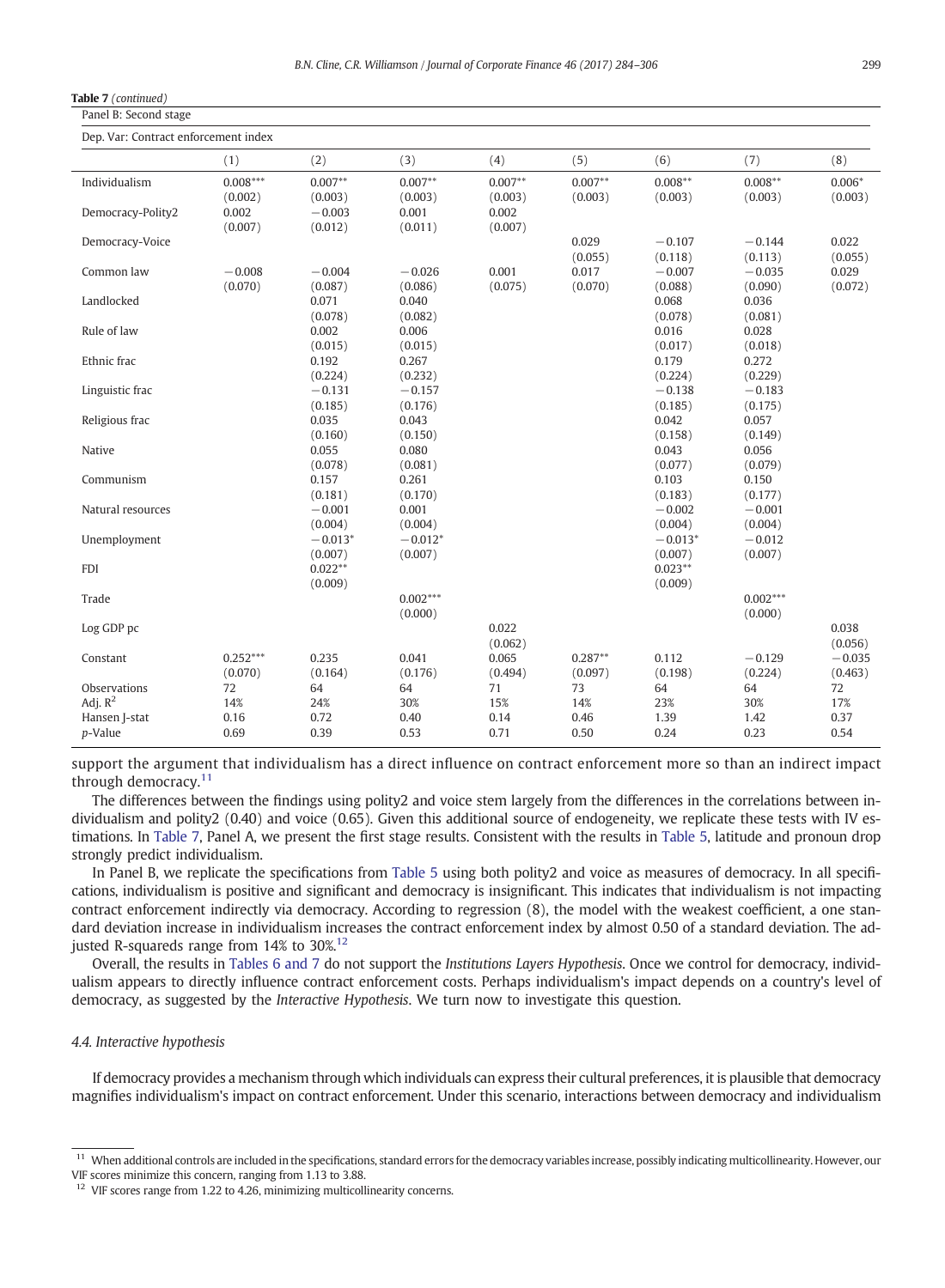Table 7 (continued)

Panel B: Second stage

| Dep. Var: Contract enforcement index                   |                                      |                                      |                                      |                                      |                                      |                                      |                                      |                                      |
|--------------------------------------------------------|--------------------------------------|--------------------------------------|--------------------------------------|--------------------------------------|--------------------------------------|--------------------------------------|--------------------------------------|--------------------------------------|
|                                                        | (1)                                  | (2)                                  | (3)                                  | (4)                                  | (5)                                  | (6)                                  | (7)                                  | (8)                                  |
| Individualism                                          | $0.008***$<br>(0.002)                | $0.007**$<br>(0.003)                 | $0.007**$<br>(0.003)                 | $0.007**$<br>(0.003)                 | $0.007**$<br>(0.003)                 | $0.008**$<br>(0.003)                 | $0.008**$<br>(0.003)                 | $0.006*$<br>(0.003)                  |
| Democracy-Polity2                                      | 0.002<br>(0.007)                     | $-0.003$<br>(0.012)                  | 0.001<br>(0.011)                     | 0.002<br>(0.007)                     |                                      |                                      |                                      |                                      |
| Democracy-Voice                                        |                                      |                                      |                                      |                                      | 0.029<br>(0.055)                     | $-0.107$<br>(0.118)                  | $-0.144$<br>(0.113)                  | 0.022<br>(0.055)                     |
| Common law                                             | $-0.008$<br>(0.070)                  | $-0.004$<br>(0.087)                  | $-0.026$<br>(0.086)                  | 0.001<br>(0.075)                     | 0.017<br>(0.070)                     | $-0.007$<br>(0.088)                  | $-0.035$<br>(0.090)                  | 0.029<br>(0.072)                     |
| Landlocked                                             |                                      | 0.071<br>(0.078)                     | 0.040<br>(0.082)                     |                                      |                                      | 0.068<br>(0.078)                     | 0.036<br>(0.081)                     |                                      |
| Rule of law                                            |                                      | 0.002<br>(0.015)                     | 0.006<br>(0.015)                     |                                      |                                      | 0.016<br>(0.017)                     | 0.028<br>(0.018)                     |                                      |
| Ethnic frac                                            |                                      | 0.192<br>(0.224)                     | 0.267<br>(0.232)                     |                                      |                                      | 0.179<br>(0.224)                     | 0.272<br>(0.229)                     |                                      |
| Linguistic frac                                        |                                      | $-0.131$<br>(0.185)                  | $-0.157$<br>(0.176)                  |                                      |                                      | $-0.138$<br>(0.185)                  | $-0.183$<br>(0.175)                  |                                      |
| Religious frac                                         |                                      | 0.035<br>(0.160)                     | 0.043<br>(0.150)                     |                                      |                                      | 0.042<br>(0.158)                     | 0.057<br>(0.149)                     |                                      |
| Native                                                 |                                      | 0.055<br>(0.078)                     | 0.080<br>(0.081)                     |                                      |                                      | 0.043<br>(0.077)                     | 0.056<br>(0.079)                     |                                      |
| Communism                                              |                                      | 0.157                                | 0.261<br>(0.170)                     |                                      |                                      | 0.103<br>(0.183)                     | 0.150<br>(0.177)                     |                                      |
| Natural resources                                      |                                      | (0.181)<br>$-0.001$                  | 0.001                                |                                      |                                      | $-0.002$                             | $-0.001$                             |                                      |
| Unemployment                                           |                                      | (0.004)<br>$-0.013*$                 | (0.004)<br>$-0.012*$                 |                                      |                                      | (0.004)<br>$-0.013*$                 | (0.004)<br>$-0.012$                  |                                      |
| <b>FDI</b>                                             |                                      | (0.007)<br>$0.022**$                 | (0.007)                              |                                      |                                      | (0.007)<br>$0.023**$                 | (0.007)                              |                                      |
| Trade                                                  |                                      | (0.009)                              | $0.002***$                           |                                      |                                      | (0.009)                              | $0.002***$                           |                                      |
| Log GDP pc                                             |                                      |                                      | (0.000)                              | 0.022                                |                                      |                                      | (0.000)                              | 0.038                                |
| Constant                                               | $0.252***$                           | 0.235                                | 0.041                                | (0.062)<br>0.065                     | $0.287**$                            | 0.112                                | $-0.129$                             | (0.056)<br>$-0.035$                  |
| Observations<br>Adj. $R^2$<br>Hansen J-stat<br>p-Value | (0.070)<br>72<br>14%<br>0.16<br>0.69 | (0.164)<br>64<br>24%<br>0.72<br>0.39 | (0.176)<br>64<br>30%<br>0.40<br>0.53 | (0.494)<br>71<br>15%<br>0.14<br>0.71 | (0.097)<br>73<br>14%<br>0.46<br>0.50 | (0.198)<br>64<br>23%<br>1.39<br>0.24 | (0.224)<br>64<br>30%<br>1.42<br>0.23 | (0.463)<br>72<br>17%<br>0.37<br>0.54 |

support the argument that individualism has a direct influence on contract enforcement more so than an indirect impact through democracy.<sup>11</sup>

The differences between the findings using polity2 and voice stem largely from the differences in the correlations between individualism and polity2 (0.40) and voice (0.65). Given this additional source of endogeneity, we replicate these tests with IV estimations. In [Table 7,](#page-14-0) Panel A, we present the first stage results. Consistent with the results in [Table 5](#page-11-0), latitude and pronoun drop strongly predict individualism.

In Panel B, we replicate the specifications from [Table 5](#page-11-0) using both polity2 and voice as measures of democracy. In all specifications, individualism is positive and significant and democracy is insignificant. This indicates that individualism is not impacting contract enforcement indirectly via democracy. According to regression (8), the model with the weakest coefficient, a one standard deviation increase in individualism increases the contract enforcement index by almost 0.50 of a standard deviation. The adjusted R-squareds range from  $14\%$  to  $30\%$ <sup>12</sup>

Overall, the results in [Tables 6 and 7](#page-13-0) do not support the Institutions Layers Hypothesis. Once we control for democracy, individualism appears to directly influence contract enforcement costs. Perhaps individualism's impact depends on a country's level of democracy, as suggested by the Interactive Hypothesis. We turn now to investigate this question.

#### 4.4. Interactive hypothesis

If democracy provides a mechanism through which individuals can express their cultural preferences, it is plausible that democracy magnifies individualism's impact on contract enforcement. Under this scenario, interactions between democracy and individualism

<sup>&</sup>lt;sup>11</sup> When additional controls are included in the specifications, standard errors for the democracy variables increase, possibly indicating multicollinearity. However, our

VIF scores minimize this concern, ranging from 1.13 to 3.88.

 $12$  VIF scores range from 1.22 to 4.26, minimizing multicollinearity concerns.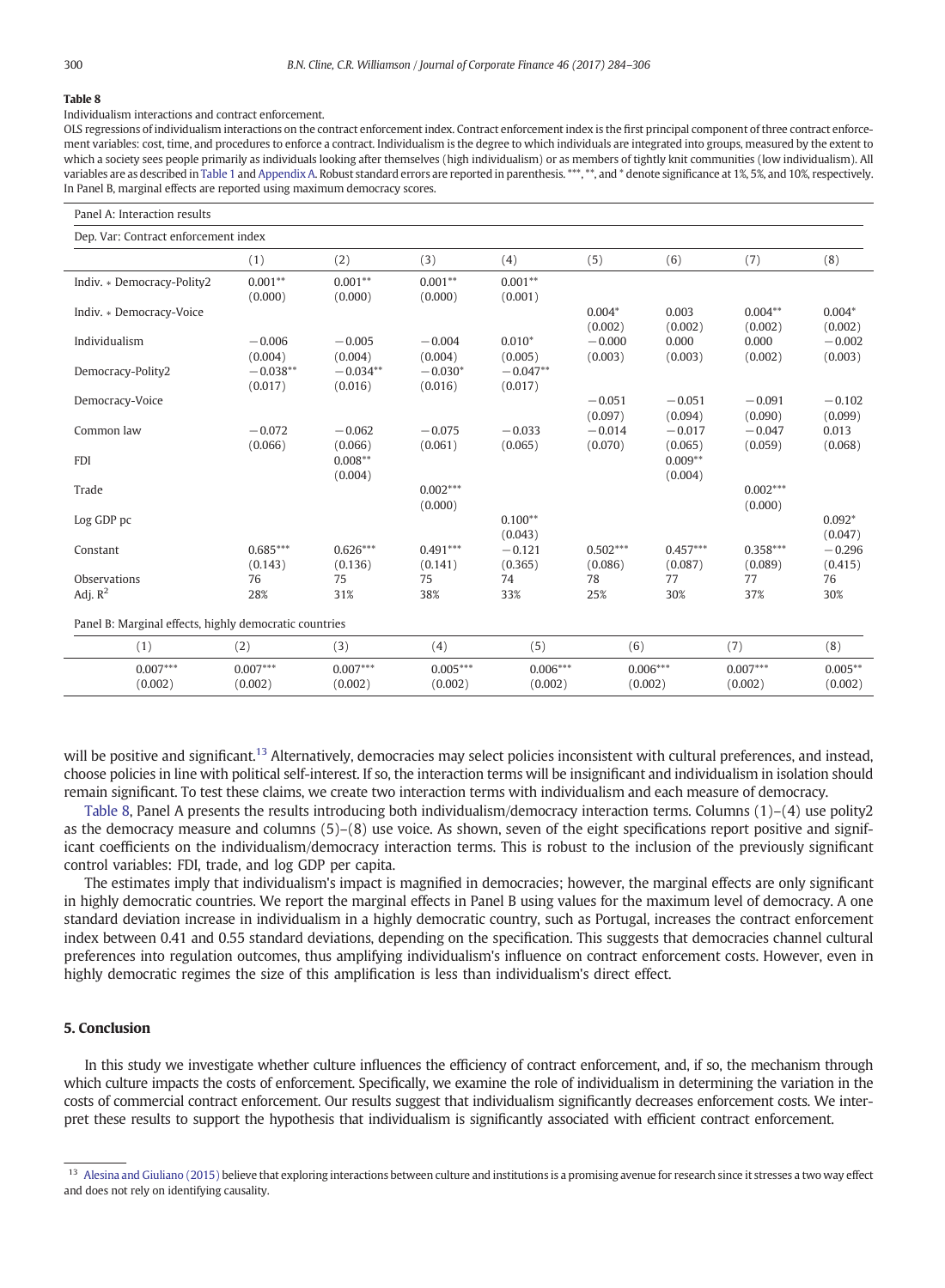Individualism interactions and contract enforcement.

OLS regressions of individualism interactions on the contract enforcement index. Contract enforcement index is the first principal component of three contract enforcement variables: cost, time, and procedures to enforce a contract. Individualism is the degree to which individuals are integrated into groups, measured by the extent to which a society sees people primarily as individuals looking after themselves (high individualism) or as members of tightly knit communities (low individualism). All variables are as described in [Table 1](#page-6-0) and [Appendix A](#page-17-0). Robust standard errors are reported in parenthesis. \*\*\*, \*\*, and \* denote significance at 1%, 5%, and 10%, respectively. In Panel B, marginal effects are reported using maximum democracy scores.

| Panel A: Interaction results                           |            |                      |            |            |            |                      |            |           |
|--------------------------------------------------------|------------|----------------------|------------|------------|------------|----------------------|------------|-----------|
| Dep. Var: Contract enforcement index                   |            |                      |            |            |            |                      |            |           |
|                                                        | (1)        | (2)                  | (3)        | (4)        | (5)        | (6)                  | (7)        | (8)       |
| Indiv. * Democracy-Polity2                             | $0.001**$  | $0.001**$            | $0.001**$  | $0.001**$  |            |                      |            |           |
|                                                        | (0.000)    | (0.000)              | (0.000)    | (0.001)    |            |                      |            |           |
| Indiv. * Democracy-Voice                               |            |                      |            |            | $0.004*$   | 0.003                | $0.004**$  | $0.004*$  |
|                                                        |            |                      |            |            | (0.002)    | (0.002)              | (0.002)    | (0.002)   |
| Individualism                                          | $-0.006$   | $-0.005$             | $-0.004$   | $0.010*$   | $-0.000$   | 0.000                | 0.000      | $-0.002$  |
|                                                        | (0.004)    | (0.004)              | (0.004)    | (0.005)    | (0.003)    | (0.003)              | (0.002)    | (0.003)   |
| Democracy-Polity2                                      | $-0.038**$ | $-0.034**$           | $-0.030*$  | $-0.047**$ |            |                      |            |           |
|                                                        | (0.017)    | (0.016)              | (0.016)    | (0.017)    |            |                      |            |           |
| Democracy-Voice                                        |            |                      |            |            | $-0.051$   | $-0.051$             | $-0.091$   | $-0.102$  |
|                                                        |            |                      |            |            | (0.097)    | (0.094)              | (0.090)    | (0.099)   |
| Common law                                             | $-0.072$   | $-0.062$             | $-0.075$   | $-0.033$   | $-0.014$   | $-0.017$             | $-0.047$   | 0.013     |
| <b>FDI</b>                                             | (0.066)    | (0.066)<br>$0.008**$ | (0.061)    | (0.065)    | (0.070)    | (0.065)<br>$0.009**$ | (0.059)    | (0.068)   |
|                                                        |            | (0.004)              |            |            |            | (0.004)              |            |           |
| Trade                                                  |            |                      | $0.002***$ |            |            |                      | $0.002***$ |           |
|                                                        |            |                      | (0.000)    |            |            |                      | (0.000)    |           |
| Log GDP pc                                             |            |                      |            | $0.100**$  |            |                      |            | $0.092*$  |
|                                                        |            |                      |            | (0.043)    |            |                      |            | (0.047)   |
| Constant                                               | $0.685***$ | $0.626***$           | $0.491***$ | $-0.121$   | $0.502***$ | $0.457***$           | $0.358***$ | $-0.296$  |
|                                                        | (0.143)    | (0.136)              | (0.141)    | (0.365)    | (0.086)    | (0.087)              | (0.089)    | (0.415)   |
| Observations                                           | 76         | 75                   | 75         | 74         | 78         | 77                   | 77         | 76        |
| Adj. $R^2$                                             | 28%        | 31%                  | 38%        | 33%        | 25%        | 30%                  | 37%        | 30%       |
|                                                        |            |                      |            |            |            |                      |            |           |
| Panel B: Marginal effects, highly democratic countries |            |                      |            |            |            |                      |            |           |
| (1)                                                    | (2)        | (3)                  | (4)        | (5)        | (6)        |                      | (7)        | (8)       |
| $0.007***$                                             | $0.007***$ | $0.007***$           | $0.005***$ | $0.006***$ |            | $0.006***$           | $0.007***$ | $0.005**$ |
| (0.002)                                                | (0.002)    | (0.002)              | (0.002)    | (0.002)    |            | (0.002)              | (0.002)    | (0.002)   |
|                                                        |            |                      |            |            |            |                      |            |           |

will be positive and significant.<sup>13</sup> Alternatively, democracies may select policies inconsistent with cultural preferences, and instead, choose policies in line with political self-interest. If so, the interaction terms will be insignificant and individualism in isolation should remain significant. To test these claims, we create two interaction terms with individualism and each measure of democracy.

Table 8, Panel A presents the results introducing both individualism/democracy interaction terms. Columns (1)–(4) use polity2 as the democracy measure and columns (5)–(8) use voice. As shown, seven of the eight specifications report positive and significant coefficients on the individualism/democracy interaction terms. This is robust to the inclusion of the previously significant control variables: FDI, trade, and log GDP per capita.

The estimates imply that individualism's impact is magnified in democracies; however, the marginal effects are only significant in highly democratic countries. We report the marginal effects in Panel B using values for the maximum level of democracy. A one standard deviation increase in individualism in a highly democratic country, such as Portugal, increases the contract enforcement index between 0.41 and 0.55 standard deviations, depending on the specification. This suggests that democracies channel cultural preferences into regulation outcomes, thus amplifying individualism's influence on contract enforcement costs. However, even in highly democratic regimes the size of this amplification is less than individualism's direct effect.

### 5. Conclusion

In this study we investigate whether culture influences the efficiency of contract enforcement, and, if so, the mechanism through which culture impacts the costs of enforcement. Specifically, we examine the role of individualism in determining the variation in the costs of commercial contract enforcement. Our results suggest that individualism significantly decreases enforcement costs. We interpret these results to support the hypothesis that individualism is significantly associated with efficient contract enforcement.

<sup>&</sup>lt;sup>13</sup> [Alesina and Giuliano \(2015\)](#page-21-0) believe that exploring interactions between culture and institutions is a promising avenue for research since it stresses a two way effect and does not rely on identifying causality.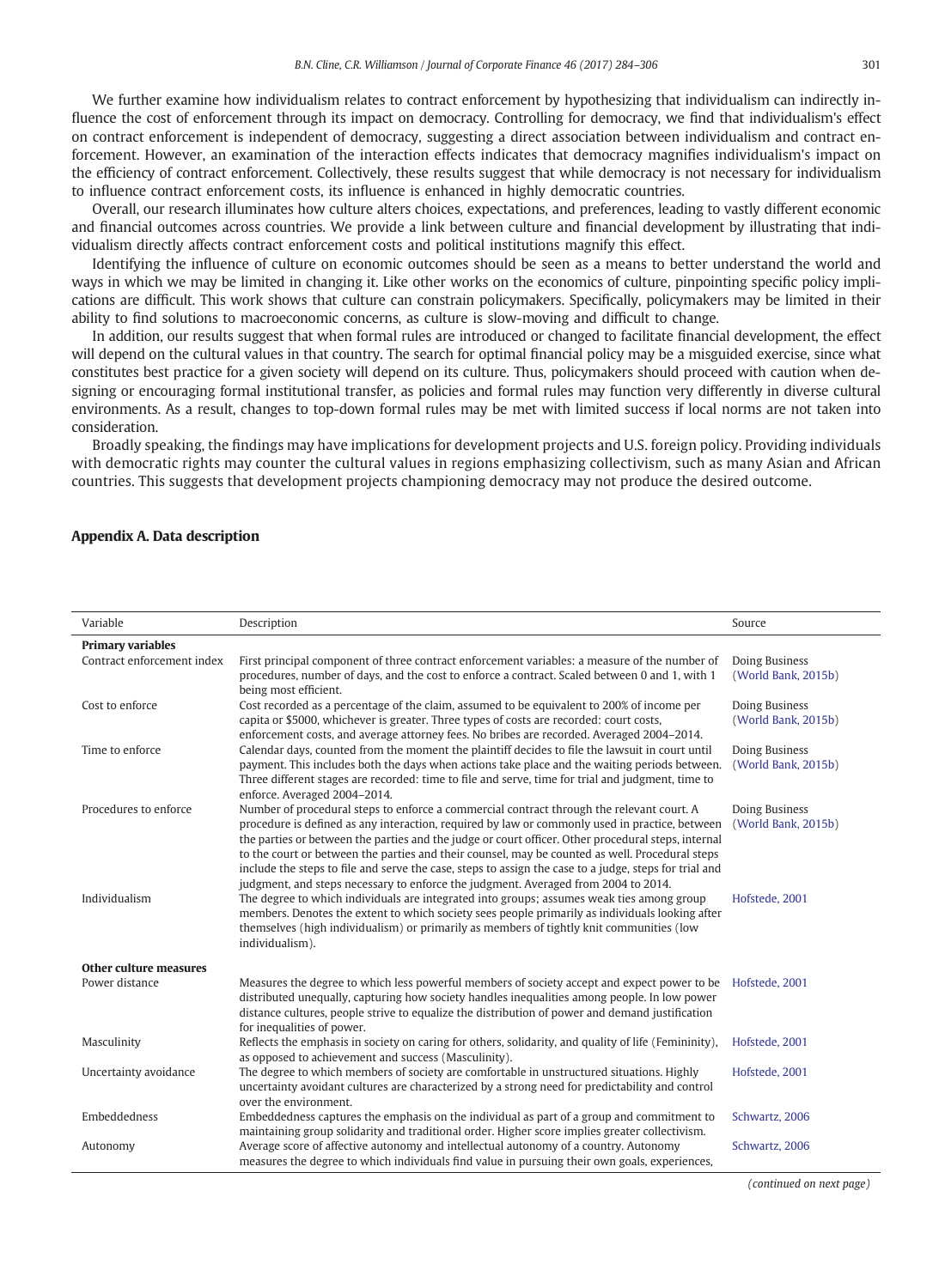<span id="page-17-0"></span>We further examine how individualism relates to contract enforcement by hypothesizing that individualism can indirectly influence the cost of enforcement through its impact on democracy. Controlling for democracy, we find that individualism's effect on contract enforcement is independent of democracy, suggesting a direct association between individualism and contract enforcement. However, an examination of the interaction effects indicates that democracy magnifies individualism's impact on the efficiency of contract enforcement. Collectively, these results suggest that while democracy is not necessary for individualism to influence contract enforcement costs, its influence is enhanced in highly democratic countries.

Overall, our research illuminates how culture alters choices, expectations, and preferences, leading to vastly different economic and financial outcomes across countries. We provide a link between culture and financial development by illustrating that individualism directly affects contract enforcement costs and political institutions magnify this effect.

Identifying the influence of culture on economic outcomes should be seen as a means to better understand the world and ways in which we may be limited in changing it. Like other works on the economics of culture, pinpointing specific policy implications are difficult. This work shows that culture can constrain policymakers. Specifically, policymakers may be limited in their ability to find solutions to macroeconomic concerns, as culture is slow-moving and difficult to change.

In addition, our results suggest that when formal rules are introduced or changed to facilitate financial development, the effect will depend on the cultural values in that country. The search for optimal financial policy may be a misguided exercise, since what constitutes best practice for a given society will depend on its culture. Thus, policymakers should proceed with caution when designing or encouraging formal institutional transfer, as policies and formal rules may function very differently in diverse cultural environments. As a result, changes to top-down formal rules may be met with limited success if local norms are not taken into consideration.

Broadly speaking, the findings may have implications for development projects and U.S. foreign policy. Providing individuals with democratic rights may counter the cultural values in regions emphasizing collectivism, such as many Asian and African countries. This suggests that development projects championing democracy may not produce the desired outcome.

#### Appendix A. Data description

| Variable                      | Description                                                                                                                                                                                                                                                                                                                                                                                                                                                                                                     | Source                                |
|-------------------------------|-----------------------------------------------------------------------------------------------------------------------------------------------------------------------------------------------------------------------------------------------------------------------------------------------------------------------------------------------------------------------------------------------------------------------------------------------------------------------------------------------------------------|---------------------------------------|
| <b>Primary variables</b>      |                                                                                                                                                                                                                                                                                                                                                                                                                                                                                                                 |                                       |
| Contract enforcement index    | First principal component of three contract enforcement variables: a measure of the number of<br>procedures, number of days, and the cost to enforce a contract. Scaled between 0 and 1, with 1<br>being most efficient.                                                                                                                                                                                                                                                                                        | Doing Business<br>(World Bank, 2015b) |
| Cost to enforce               | Cost recorded as a percentage of the claim, assumed to be equivalent to 200% of income per<br>capita or \$5000, whichever is greater. Three types of costs are recorded: court costs,<br>enforcement costs, and average attorney fees. No bribes are recorded. Averaged 2004-2014.                                                                                                                                                                                                                              | Doing Business<br>(World Bank, 2015b) |
| Time to enforce               | Calendar days, counted from the moment the plaintiff decides to file the lawsuit in court until<br>payment. This includes both the days when actions take place and the waiting periods between.<br>Three different stages are recorded; time to file and serve, time for trial and judgment, time to<br>enforce. Averaged 2004-2014.                                                                                                                                                                           | Doing Business<br>(World Bank, 2015b) |
| Procedures to enforce         | Number of procedural steps to enforce a commercial contract through the relevant court. A<br>procedure is defined as any interaction, required by law or commonly used in practice, between<br>the parties or between the parties and the judge or court officer. Other procedural steps, internal<br>to the court or between the parties and their counsel, may be counted as well. Procedural steps<br>include the steps to file and serve the case, steps to assign the case to a judge, steps for trial and | Doing Business<br>(World Bank, 2015b) |
| Individualism                 | judgment, and steps necessary to enforce the judgment. Averaged from 2004 to 2014.<br>The degree to which individuals are integrated into groups; assumes weak ties among group<br>members. Denotes the extent to which society sees people primarily as individuals looking after<br>themselves (high individualism) or primarily as members of tightly knit communities (low<br>individualism).                                                                                                               | Hofstede, 2001                        |
| <b>Other culture measures</b> |                                                                                                                                                                                                                                                                                                                                                                                                                                                                                                                 |                                       |
| Power distance                | Measures the degree to which less powerful members of society accept and expect power to be<br>distributed unequally, capturing how society handles inequalities among people. In low power<br>distance cultures, people strive to equalize the distribution of power and demand justification<br>for inequalities of power.                                                                                                                                                                                    | Hofstede, 2001                        |
| Masculinity                   | Reflects the emphasis in society on caring for others, solidarity, and quality of life (Femininity),<br>as opposed to achievement and success (Masculinity).                                                                                                                                                                                                                                                                                                                                                    | Hofstede, 2001                        |
| Uncertainty avoidance         | The degree to which members of society are comfortable in unstructured situations. Highly<br>uncertainty avoidant cultures are characterized by a strong need for predictability and control<br>over the environment.                                                                                                                                                                                                                                                                                           | Hofstede, 2001                        |
| Embeddedness                  | Embeddedness captures the emphasis on the individual as part of a group and commitment to<br>maintaining group solidarity and traditional order. Higher score implies greater collectivism.                                                                                                                                                                                                                                                                                                                     | Schwartz, 2006                        |
| Autonomy                      | Average score of affective autonomy and intellectual autonomy of a country. Autonomy<br>measures the degree to which individuals find value in pursuing their own goals, experiences,                                                                                                                                                                                                                                                                                                                           | Schwartz, 2006                        |

(continued on next page)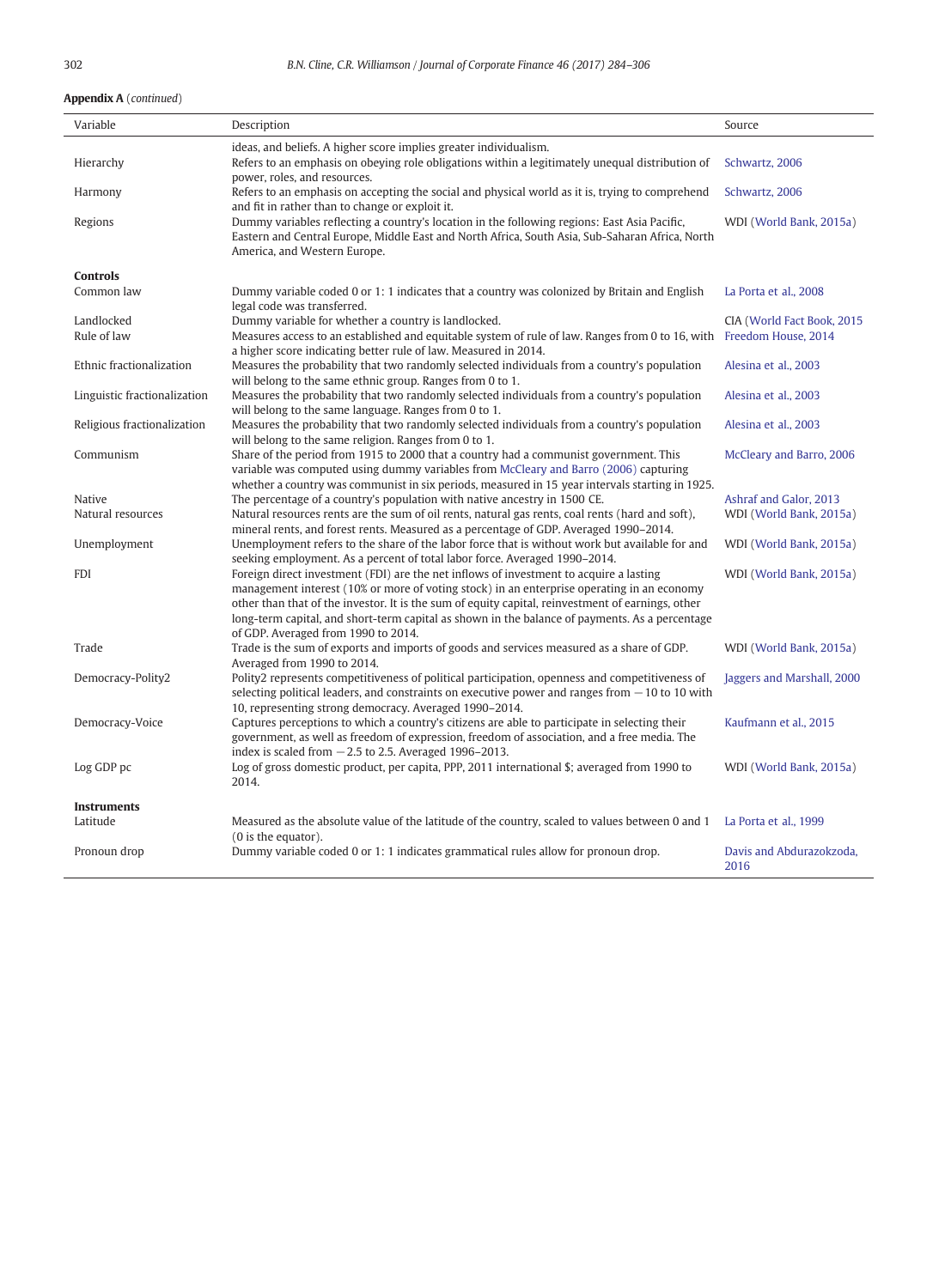#### A<mark>ppendix A</mark> (continued)

| Variable                     | Description                                                                                                                                                                                                                                                                                                                                                                                                                        | Source                           |
|------------------------------|------------------------------------------------------------------------------------------------------------------------------------------------------------------------------------------------------------------------------------------------------------------------------------------------------------------------------------------------------------------------------------------------------------------------------------|----------------------------------|
| Hierarchy                    | ideas, and beliefs. A higher score implies greater individualism.<br>Refers to an emphasis on obeying role obligations within a legitimately unequal distribution of<br>power, roles, and resources.                                                                                                                                                                                                                               | Schwartz, 2006                   |
| Harmony                      | Refers to an emphasis on accepting the social and physical world as it is, trying to comprehend                                                                                                                                                                                                                                                                                                                                    | Schwartz, 2006                   |
| Regions                      | and fit in rather than to change or exploit it.<br>Dummy variables reflecting a country's location in the following regions: East Asia Pacific,<br>Eastern and Central Europe, Middle East and North Africa, South Asia, Sub-Saharan Africa, North<br>America, and Western Europe.                                                                                                                                                 | WDI (World Bank, 2015a)          |
| <b>Controls</b>              |                                                                                                                                                                                                                                                                                                                                                                                                                                    |                                  |
| Common law                   | Dummy variable coded 0 or 1: 1 indicates that a country was colonized by Britain and English<br>legal code was transferred.                                                                                                                                                                                                                                                                                                        | La Porta et al., 2008            |
| Landlocked                   | Dummy variable for whether a country is landlocked.                                                                                                                                                                                                                                                                                                                                                                                | CIA (World Fact Book, 2015)      |
| Rule of law                  | Measures access to an established and equitable system of rule of law. Ranges from 0 to 16, with Freedom House, 2014<br>a higher score indicating better rule of law. Measured in 2014.                                                                                                                                                                                                                                            |                                  |
| Ethnic fractionalization     | Measures the probability that two randomly selected individuals from a country's population<br>will belong to the same ethnic group. Ranges from 0 to 1.                                                                                                                                                                                                                                                                           | Alesina et al., 2003             |
| Linguistic fractionalization | Measures the probability that two randomly selected individuals from a country's population<br>will belong to the same language. Ranges from 0 to 1.                                                                                                                                                                                                                                                                               | Alesina et al., 2003             |
| Religious fractionalization  | Measures the probability that two randomly selected individuals from a country's population<br>will belong to the same religion. Ranges from 0 to 1.                                                                                                                                                                                                                                                                               | Alesina et al., 2003             |
| Communism                    | Share of the period from 1915 to 2000 that a country had a communist government. This<br>variable was computed using dummy variables from McCleary and Barro (2006) capturing<br>whether a country was communist in six periods, measured in 15 year intervals starting in 1925.                                                                                                                                                   | McCleary and Barro, 2006         |
| Native                       | The percentage of a country's population with native ancestry in 1500 CE.                                                                                                                                                                                                                                                                                                                                                          | Ashraf and Galor, 2013           |
| Natural resources            | Natural resources rents are the sum of oil rents, natural gas rents, coal rents (hard and soft),<br>mineral rents, and forest rents. Measured as a percentage of GDP. Averaged 1990–2014.                                                                                                                                                                                                                                          | WDI (World Bank, 2015a)          |
| Unemployment                 | Unemployment refers to the share of the labor force that is without work but available for and<br>seeking employment. As a percent of total labor force. Averaged 1990–2014.                                                                                                                                                                                                                                                       | WDI (World Bank, 2015a)          |
| <b>FDI</b>                   | Foreign direct investment (FDI) are the net inflows of investment to acquire a lasting<br>management interest (10% or more of voting stock) in an enterprise operating in an economy<br>other than that of the investor. It is the sum of equity capital, reinvestment of earnings, other<br>long-term capital, and short-term capital as shown in the balance of payments. As a percentage<br>of GDP. Averaged from 1990 to 2014. | WDI (World Bank, 2015a)          |
| Trade                        | Trade is the sum of exports and imports of goods and services measured as a share of GDP.<br>Averaged from 1990 to 2014.                                                                                                                                                                                                                                                                                                           | WDI (World Bank, 2015a)          |
| Democracy-Polity2            | Polity2 represents competitiveness of political participation, openness and competitiveness of<br>selecting political leaders, and constraints on executive power and ranges from $-10$ to 10 with<br>10, representing strong democracy. Averaged 1990-2014.                                                                                                                                                                       | Jaggers and Marshall, 2000       |
| Democracy-Voice              | Captures perceptions to which a country's citizens are able to participate in selecting their<br>government, as well as freedom of expression, freedom of association, and a free media. The<br>index is scaled from $-2.5$ to 2.5. Averaged 1996-2013.                                                                                                                                                                            | Kaufmann et al., 2015            |
| Log GDP pc                   | Log of gross domestic product, per capita, PPP, 2011 international \$; averaged from 1990 to<br>2014.                                                                                                                                                                                                                                                                                                                              | WDI (World Bank, 2015a)          |
| <b>Instruments</b>           |                                                                                                                                                                                                                                                                                                                                                                                                                                    |                                  |
| Latitude                     | Measured as the absolute value of the latitude of the country, scaled to values between 0 and 1<br>$(0$ is the equator).                                                                                                                                                                                                                                                                                                           | La Porta et al., 1999            |
| Pronoun drop                 | Dummy variable coded 0 or 1: 1 indicates grammatical rules allow for pronoun drop.                                                                                                                                                                                                                                                                                                                                                 | Davis and Abdurazokzoda,<br>2016 |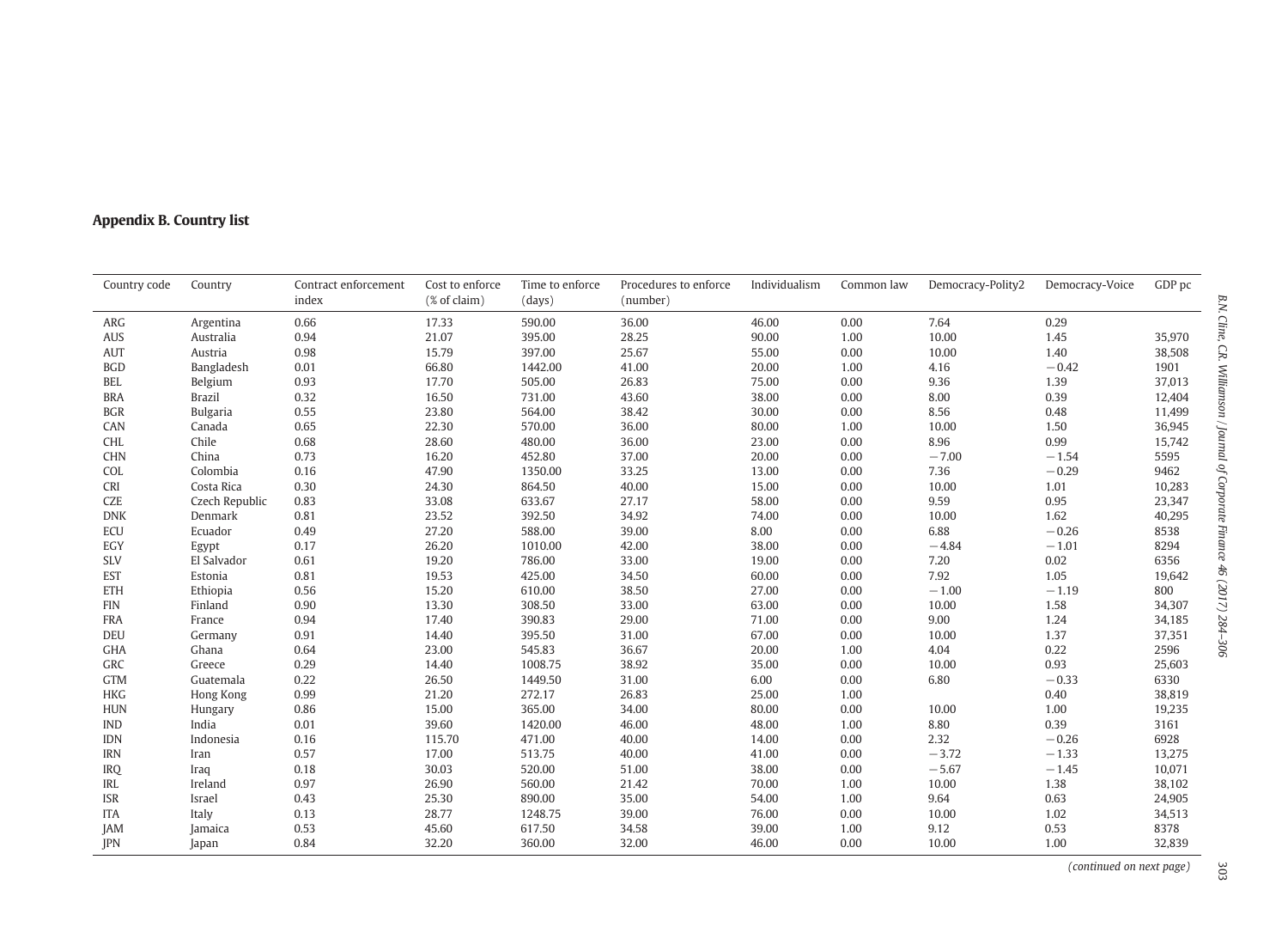### Appendix B. Country list

| Country code | Country         | Contract enforcement<br>index | Cost to enforce<br>(% of claim) | Time to enforce<br>(days) | Procedures to enforce<br>(number) | Individualism | Common law | Democracy-Polity2 | Democracy-Voice | GDP pc |
|--------------|-----------------|-------------------------------|---------------------------------|---------------------------|-----------------------------------|---------------|------------|-------------------|-----------------|--------|
| ARG          | Argentina       | 0.66                          | 17.33                           | 590.00                    | 36.00                             | 46.00         | 0.00       | 7.64              | 0.29            |        |
| AUS          | Australia       | 0.94                          | 21.07                           | 395.00                    | 28.25                             | 90.00         | 1.00       | 10.00             | 1.45            | 35,970 |
| <b>AUT</b>   | Austria         | 0.98                          | 15.79                           | 397.00                    | 25.67                             | 55.00         | 0.00       | 10.00             | 1.40            | 38,508 |
| <b>BGD</b>   | Bangladesh      | 0.01                          | 66.80                           | 1442.00                   | 41.00                             | 20.00         | 1.00       | 4.16              | $-0.42$         | 1901   |
| <b>BEL</b>   | Belgium         | 0.93                          | 17.70                           | 505.00                    | 26.83                             | 75.00         | 0.00       | 9.36              | 1.39            | 37,013 |
| <b>BRA</b>   | <b>Brazil</b>   | 0.32                          | 16.50                           | 731.00                    | 43.60                             | 38.00         | 0.00       | 8.00              | 0.39            | 12,404 |
| <b>BGR</b>   | <b>Bulgaria</b> | 0.55                          | 23.80                           | 564.00                    | 38.42                             | 30.00         | 0.00       | 8.56              | 0.48            | 11,499 |
| CAN          | Canada          | 0.65                          | 22.30                           | 570.00                    | 36.00                             | 80.00         | 1.00       | 10.00             | 1.50            | 36,945 |
| <b>CHL</b>   | Chile           | 0.68                          | 28.60                           | 480.00                    | 36.00                             | 23.00         | 0.00       | 8.96              | 0.99            | 15,742 |
| <b>CHN</b>   | China           | 0.73                          | 16.20                           | 452.80                    | 37.00                             | 20.00         | 0.00       | $-7.00$           | $-1.54$         | 5595   |
| COL          | Colombia        | 0.16                          | 47.90                           | 1350.00                   | 33.25                             | 13.00         | 0.00       | 7.36              | $-0.29$         | 9462   |
| <b>CRI</b>   | Costa Rica      | 0.30                          | 24.30                           | 864.50                    | 40.00                             | 15.00         | 0.00       | 10.00             | 1.01            | 10,283 |
| <b>CZE</b>   | Czech Republic  | 0.83                          | 33.08                           | 633.67                    | 27.17                             | 58.00         | 0.00       | 9.59              | 0.95            | 23,347 |
| <b>DNK</b>   | Denmark         | 0.81                          | 23.52                           | 392.50                    | 34.92                             | 74.00         | 0.00       | 10.00             | 1.62            | 40,295 |
| <b>ECU</b>   | Ecuador         | 0.49                          | 27.20                           | 588.00                    | 39.00                             | 8.00          | 0.00       | 6.88              | $-0.26$         | 8538   |
| EGY          | Egypt           | 0.17                          | 26.20                           | 1010.00                   | 42.00                             | 38.00         | 0.00       | $-4.84$           | $-1.01$         | 8294   |
| <b>SLV</b>   | El Salvador     | 0.61                          | 19.20                           | 786.00                    | 33.00                             | 19.00         | 0.00       | 7.20              | 0.02            | 6356   |
| <b>EST</b>   | Estonia         | 0.81                          | 19.53                           | 425.00                    | 34.50                             | 60.00         | 0.00       | 7.92              | 1.05            | 19,642 |
| <b>ETH</b>   | Ethiopia        | 0.56                          | 15.20                           | 610.00                    | 38.50                             | 27.00         | 0.00       | $-1.00$           | $-1.19$         | 800    |
| <b>FIN</b>   | Finland         | 0.90                          | 13.30                           | 308.50                    | 33.00                             | 63.00         | 0.00       | 10.00             | 1.58            | 34,307 |
| <b>FRA</b>   | France          | 0.94                          | 17.40                           | 390.83                    | 29.00                             | 71.00         | 0.00       | 9.00              | 1.24            | 34,185 |
| <b>DEU</b>   | Germany         | 0.91                          | 14.40                           | 395.50                    | 31.00                             | 67.00         | 0.00       | 10.00             | 1.37            | 37,351 |
| <b>GHA</b>   | Ghana           | 0.64                          | 23.00                           | 545.83                    | 36.67                             | 20.00         | 1.00       | 4.04              | 0.22            | 2596   |
| GRC          | Greece          | 0.29                          | 14.40                           | 1008.75                   | 38.92                             | 35.00         | 0.00       | 10.00             | 0.93            | 25,603 |
| <b>GTM</b>   | Guatemala       | 0.22                          | 26.50                           | 1449.50                   | 31.00                             | 6.00          | 0.00       | 6.80              | $-0.33$         | 6330   |
| <b>HKG</b>   | Hong Kong       | 0.99                          | 21.20                           | 272.17                    | 26.83                             | 25.00         | 1.00       |                   | 0.40            | 38,819 |
| <b>HUN</b>   | Hungary         | 0.86                          | 15.00                           | 365.00                    | 34.00                             | 80.00         | 0.00       | 10.00             | 1.00            | 19,235 |
| <b>IND</b>   | India           | 0.01                          | 39.60                           | 1420.00                   | 46.00                             | 48.00         | 1.00       | 8.80              | 0.39            | 3161   |
| <b>IDN</b>   | Indonesia       | 0.16                          | 115.70                          | 471.00                    | 40.00                             | 14.00         | 0.00       | 2.32              | $-0.26$         | 6928   |
| <b>IRN</b>   | Iran            | 0.57                          | 17.00                           | 513.75                    | 40.00                             | 41.00         | 0.00       | $-3.72$           | $-1.33$         | 13,275 |
| <b>IRQ</b>   | Iraq            | 0.18                          | 30.03                           | 520.00                    | 51.00                             | 38.00         | 0.00       | $-5.67$           | $-1.45$         | 10,071 |
| IRL          | Ireland         | 0.97                          | 26.90                           | 560.00                    | 21.42                             | 70.00         | 1.00       | 10.00             | 1.38            | 38,102 |
| <b>ISR</b>   | Israel          | 0.43                          | 25.30                           | 890.00                    | 35.00                             | 54.00         | 1.00       | 9.64              | 0.63            | 24,905 |
| ITA          | Italy           | 0.13                          | 28.77                           | 1248.75                   | 39.00                             | 76.00         | 0.00       | 10.00             | 1.02            | 34,513 |
| <b>JAM</b>   | Jamaica         | 0.53                          | 45.60                           | 617.50                    | 34.58                             | 39.00         | 1.00       | 9.12              | 0.53            | 8378   |
| <b>IPN</b>   | Japan           | 0.84                          | 32.20                           | 360.00                    | 32.00                             | 46.00         | 0.00       | 10.00             | 1.00            | 32,839 |

B.N. Cline, C.R. Williamson / Journal of Corporate Finance 46 (2017) 284-306 303 B.N. Cline, C.R. Williamson / Journal of Corporate Finance 46 (2017) 284–306

(continued on next page)

303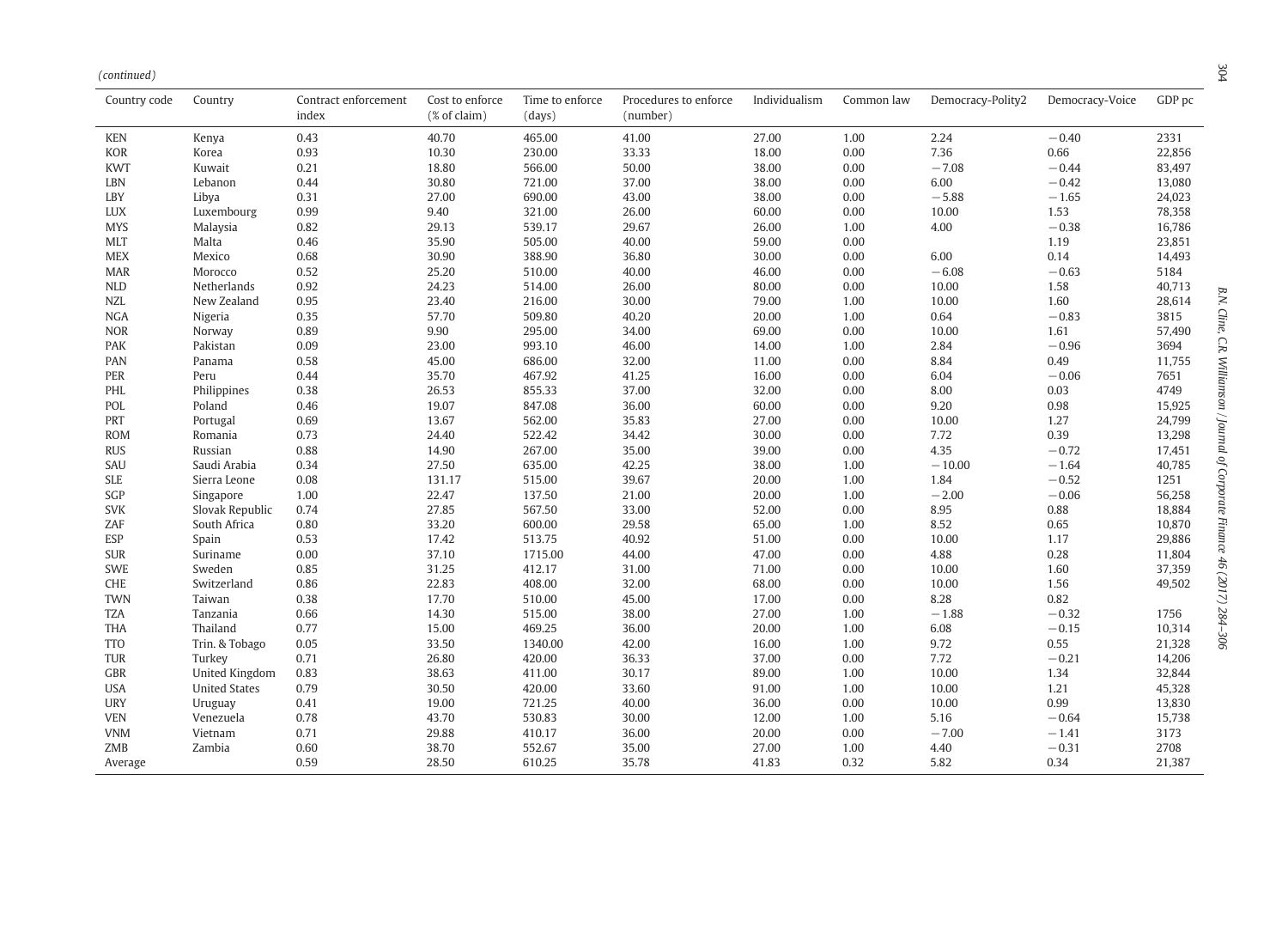| Country code             | Country              | Contract enforcement<br>index | Cost to enforce<br>$(%$ of claim) | Time to enforce<br>(days) | Procedures to enforce<br>(number) | Individualism  | Common law   | Democracy-Polity2 | Democracy-Voice | GDP pc         |
|--------------------------|----------------------|-------------------------------|-----------------------------------|---------------------------|-----------------------------------|----------------|--------------|-------------------|-----------------|----------------|
| <b>KEN</b>               | Kenya                | 0.43                          | 40.70                             | 465.00                    | 41.00                             | 27.00          | 1.00         | 2.24              | $-0.40$         | 2331           |
| KOR                      | Korea                | 0.93                          | 10.30                             | 230.00                    | 33.33                             | 18.00          | 0.00         | 7.36              | 0.66            | 22,856         |
| <b>KWT</b>               | Kuwait               | 0.21                          | 18.80                             | 566.00                    | 50.00                             | 38.00          | 0.00         | $-7.08$           | $-0.44$         | 83,497         |
| LBN                      | Lebanon              | 0.44                          | 30.80                             | 721.00                    | 37.00                             | 38.00          | 0.00         | 6.00              | $-0.42$         | 13,080         |
| LBY                      | Libya                | 0.31                          | 27.00                             | 690.00                    | 43.00                             | 38.00          | 0.00         | $-5.88$           | $-1.65$         | 24,023         |
| <b>LUX</b>               | Luxembourg           | 0.99                          | 9.40                              | 321.00                    | 26.00                             | 60.00          | 0.00         | 10.00             | 1.53            | 78,358         |
| <b>MYS</b>               | Malaysia             | 0.82                          | 29.13                             | 539.17                    | 29.67                             | 26.00          | 1.00         | 4.00              | $-0.38$         | 16,786         |
| <b>MLT</b>               | Malta                | 0.46                          | 35.90                             | 505.00                    | 40.00                             | 59.00          | 0.00         |                   | 1.19            | 23,851         |
| <b>MEX</b>               | Mexico               | 0.68                          | 30.90                             | 388.90                    | 36.80                             | 30.00          | 0.00         | 6.00              | 0.14            | 14,493         |
| <b>MAR</b>               | Morocco              | 0.52                          | 25.20                             | 510.00                    | 40.00                             | 46.00          | 0.00         | $-6.08$           | $-0.63$         | 5184           |
| NLD                      |                      | 0.92                          | 24.23                             | 514.00                    |                                   | 80.00          | 0.00         | 10.00             | 1.58            | 40,713         |
| <b>NZL</b>               | Netherlands          |                               |                                   |                           | 26.00                             |                | 1.00         |                   | 1.60            |                |
|                          | New Zealand          | 0.95                          | 23.40                             | 216.00                    | 30.00                             | 79.00          |              | 10.00             | $-0.83$         | 28,614         |
| <b>NGA</b><br><b>NOR</b> | Nigeria              | 0.35<br>0.89                  | 57.70<br>9.90                     | 509.80<br>295.00          | 40.20                             | 20.00<br>69.00 | 1.00<br>0.00 | 0.64<br>10.00     |                 | 3815<br>57,490 |
|                          | Norway               |                               |                                   |                           | 34.00                             |                |              |                   | 1.61            |                |
| PAK                      | Pakistan             | 0.09                          | 23.00                             | 993.10                    | 46.00                             | 14.00          | 1.00         | 2.84              | $-0.96$         | 3694           |
| PAN                      | Panama               | 0.58                          | 45.00                             | 686.00                    | 32.00                             | 11.00          | 0.00         | 8.84              | 0.49            | 11,755         |
| PER                      | Peru                 | 0.44                          | 35.70                             | 467.92                    | 41.25                             | 16.00          | 0.00         | 6.04              | $-0.06$         | 7651           |
| PHL                      | Philippines          | 0.38                          | 26.53                             | 855.33                    | 37.00                             | 32.00          | 0.00         | 8.00              | 0.03            | 4749           |
| POL                      | Poland               | 0.46                          | 19.07                             | 847.08                    | 36.00                             | 60.00          | 0.00         | 9.20              | 0.98            | 15,925         |
| PRT                      | Portugal             | 0.69                          | 13.67                             | 562.00                    | 35.83                             | 27.00          | 0.00         | 10.00             | 1.27            | 24,799         |
| <b>ROM</b>               | Romania              | 0.73                          | 24.40                             | 522.42                    | 34.42                             | 30.00          | 0.00         | 7.72              | 0.39            | 13,298         |
| <b>RUS</b>               | Russian              | 0.88                          | 14.90                             | 267.00                    | 35.00                             | 39.00          | 0.00         | 4.35              | $-0.72$         | 17,451         |
| SAU                      | Saudi Arabia         | 0.34                          | 27.50                             | 635.00                    | 42.25                             | 38.00          | 1.00         | $-10.00$          | $-1.64$         | 40,785         |
| <b>SLE</b>               | Sierra Leone         | 0.08                          | 131.17                            | 515.00                    | 39.67                             | 20.00          | 1.00         | 1.84              | $-0.52$         | 1251           |
| SGP                      | Singapore            | 1.00                          | 22.47                             | 137.50                    | 21.00                             | 20.00          | 1.00         | $-2.00$           | $-0.06$         | 56,258         |
| <b>SVK</b>               | Slovak Republic      | 0.74                          | 27.85                             | 567.50                    | 33.00                             | 52.00          | 0.00         | 8.95              | 0.88            | 18,884         |
| ZAF                      | South Africa         | 0.80                          | 33.20                             | 600.00                    | 29.58                             | 65.00          | 1.00         | 8.52              | 0.65            | 10,870         |
| <b>ESP</b>               | Spain                | 0.53                          | 17.42                             | 513.75                    | 40.92                             | 51.00          | 0.00         | 10.00             | 1.17            | 29,886         |
| SUR                      | Suriname             | 0.00                          | 37.10                             | 1715.00                   | 44.00                             | 47.00          | 0.00         | 4.88              | 0.28            | 11,804         |
| SWE                      | Sweden               | 0.85                          | 31.25                             | 412.17                    | 31.00                             | 71.00          | 0.00         | 10.00             | 1.60            | 37,359         |
| CHE                      | Switzerland          | 0.86                          | 22.83                             | 408.00                    | 32.00                             | 68.00          | 0.00         | 10.00             | 1.56            | 49,502         |
| <b>TWN</b>               | Taiwan               | 0.38                          | 17.70                             | 510.00                    | 45.00                             | 17.00          | 0.00         | 8.28              | 0.82            |                |
| <b>TZA</b>               | Tanzania             | 0.66                          | 14.30                             | 515.00                    | 38.00                             | 27.00          | 1.00         | $-1.88$           | $-0.32$         | 1756           |
| THA                      | Thailand             | 0.77                          | 15.00                             | 469.25                    | 36.00                             | 20.00          | 1.00         | 6.08              | $-0.15$         | 10,314         |
| <b>TTO</b>               | Trin. & Tobago       | 0.05                          | 33.50                             | 1340.00                   | 42.00                             | 16.00          | 1.00         | 9.72              | 0.55            | 21,328         |
| TUR                      | Turkey               | 0.71                          | 26.80                             | 420.00                    | 36.33                             | 37.00          | 0.00         | 7.72              | $-0.21$         | 14,206         |
| GBR                      | United Kingdom       | 0.83                          | 38.63                             | 411.00                    | 30.17                             | 89.00          | 1.00         | 10.00             | 1.34            | 32,844         |
| <b>USA</b>               | <b>United States</b> | 0.79                          | 30.50                             | 420.00                    | 33.60                             | 91.00          | 1.00         | 10.00             | 1.21            | 45,328         |
| <b>URY</b>               | Uruguay              | 0.41                          | 19.00                             | 721.25                    | 40.00                             | 36.00          | 0.00         | 10.00             | 0.99            | 13,830         |
| <b>VEN</b>               | Venezuela            | 0.78                          | 43.70                             | 530.83                    | 30.00                             | 12.00          | 1.00         | 5.16              | $-0.64$         | 15,738         |
| <b>VNM</b>               | Vietnam              | 0.71                          | 29.88                             | 410.17                    | 36.00                             | 20.00          | 0.00         | $-7.00$           | $-1.41$         | 3173           |
| ZMB                      | Zambia               | 0.60                          | 38.70                             | 552.67                    | 35.00                             | 27.00          | 1.00         | 4.40              | $-0.31$         | 2708           |
| Average                  |                      | 0.59                          | 28.50                             | 610.25                    | 35.78                             | 41.83          | 0.32         | 5.82              | 0.34            | 21,387         |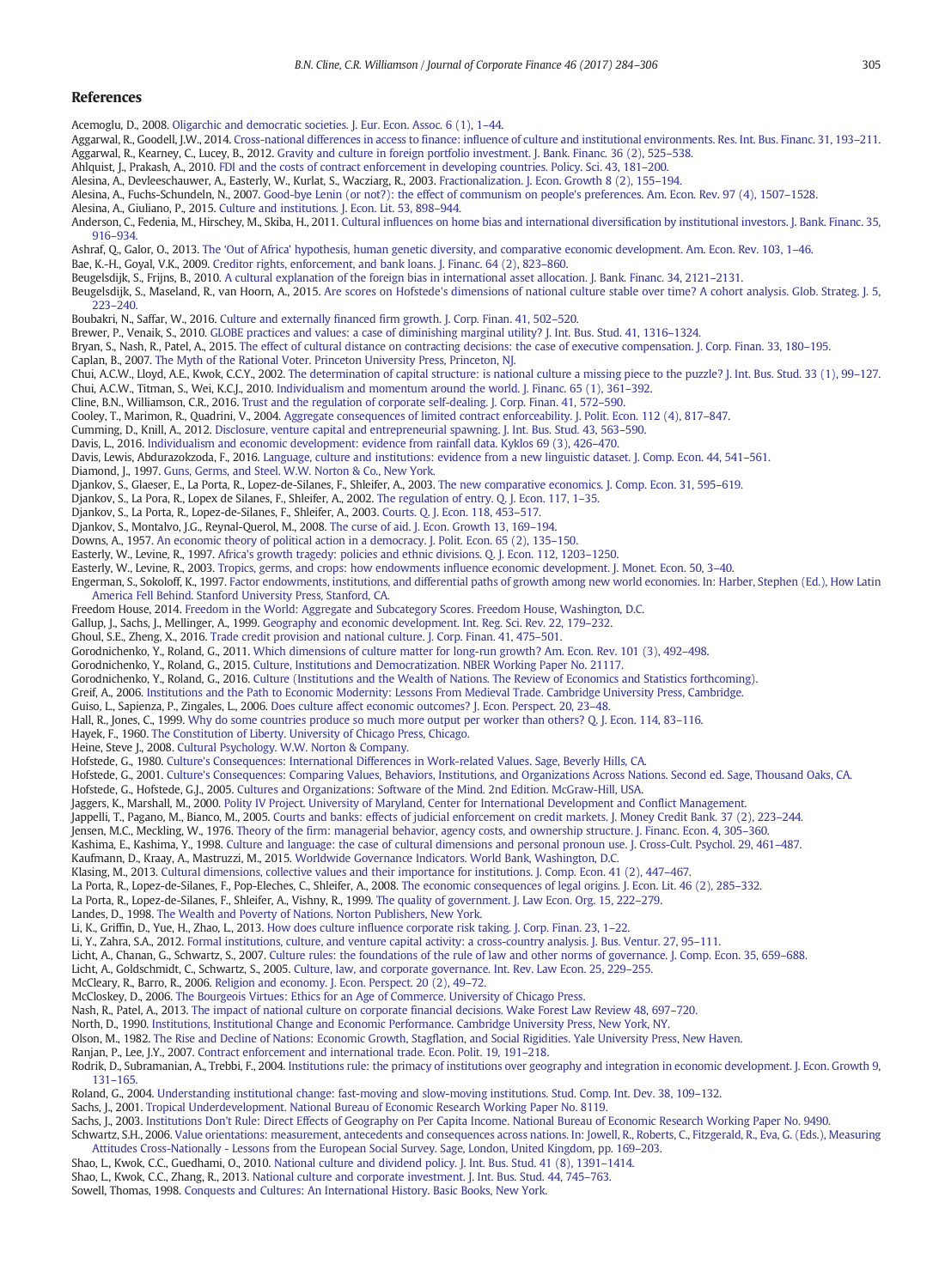#### <span id="page-21-0"></span>References

Acemoglu, D., 2008. [Oligarchic and democratic societies. J. Eur. Econ. Assoc. 6 \(1\), 1](http://refhub.elsevier.com/S0929-1199(16)30373-X/rf0005)–44.

Aggarwal, R., Goodell, J.W., 2014. [Cross-national differences in access to finance: influence of culture and institutional environments. Res. Int. Bus. Financ. 31, 193](http://refhub.elsevier.com/S0929-1199(16)30373-X/rf0010)–211. Aggarwal, R., Kearney, C., Lucey, B., 2012. [Gravity and culture in foreign portfolio investment. J. Bank. Financ. 36 \(2\), 525](http://refhub.elsevier.com/S0929-1199(16)30373-X/rf0015)–538.

Ahlquist, J., Prakash, A., 2010. [FDI and the costs of contract enforcement in developing countries. Policy. Sci. 43, 181](http://refhub.elsevier.com/S0929-1199(16)30373-X/rf0020)–200.

Alesina, A., Devleeschauwer, A., Easterly, W., Kurlat, S., Wacziarg, R., 2003. [Fractionalization. J. Econ. Growth 8 \(2\), 155](http://refhub.elsevier.com/S0929-1199(16)30373-X/rf0025)–194.

Alesina, A., Fuchs-Schundeln, N., 2007. [Good-bye Lenin \(or not?\): the effect of communism on people's preferences. Am. Econ. Rev. 97 \(4\), 1507](http://refhub.elsevier.com/S0929-1199(16)30373-X/rf0030)–1528.

Alesina, A., Giuliano, P., 2015. [Culture and institutions. J. Econ. Lit. 53, 898](http://refhub.elsevier.com/S0929-1199(16)30373-X/rf0035)–944.

Anderson, C., Fedenia, M., Hirschey, M., Skiba, H., 2011. [Cultural influences on home bias and international diversification by institutional investors. J. Bank. Financ. 35,](http://refhub.elsevier.com/S0929-1199(16)30373-X/rf0040) [916](http://refhub.elsevier.com/S0929-1199(16)30373-X/rf0040)–934.

Ashraf, Q., Galor, O., 2013. The 'Out of Africa' [hypothesis, human genetic diversity, and comparative economic development. Am. Econ. Rev. 103, 1](http://refhub.elsevier.com/S0929-1199(16)30373-X/rf0045)–46.

Bae, K.-H., Goyal, V.K., 2009. [Creditor rights, enforcement, and bank loans. J. Financ. 64 \(2\), 823](http://refhub.elsevier.com/S0929-1199(16)30373-X/rf0050)–860.

Beugelsdijk, S., Frijns, B., 2010. [A cultural explanation of the foreign bias in international asset allocation. J. Bank. Financ. 34, 2121](http://refhub.elsevier.com/S0929-1199(16)30373-X/rf0055)–2131.

Beugelsdijk, S., Maseland, R., van Hoorn, A., 2015. [Are scores on Hofstede's dimensions of national culture stable over time? A cohort analysis. Glob. Strateg. J. 5,](http://refhub.elsevier.com/S0929-1199(16)30373-X/rf0060) [223](http://refhub.elsevier.com/S0929-1199(16)30373-X/rf0060)–240.

- Boubakri, N., Saffar, W., 2016. [Culture and externally financed firm growth. J. Corp. Finan. 41, 502](http://refhub.elsevier.com/S0929-1199(16)30373-X/rf0065)–520.
- Brewer, P., Venaik, S., 2010. [GLOBE practices and values: a case of diminishing marginal utility? J. Int. Bus. Stud. 41, 1316](http://refhub.elsevier.com/S0929-1199(16)30373-X/rf0070)–1324.

Bryan, S., Nash, R., Patel, A., 2015. [The effect of cultural distance on contracting decisions: the case of executive compensation. J. Corp. Finan. 33, 180](http://refhub.elsevier.com/S0929-1199(16)30373-X/rf0075)–195.

- Caplan, B., 2007. [The Myth of the Rational Voter. Princeton University Press, Princeton, NJ.](http://refhub.elsevier.com/S0929-1199(16)30373-X/rf0080)
- Chui, A.C.W., Lloyd, A.E., Kwok, C.C.Y., 2002. [The determination of capital structure: is national culture a missing piece to the puzzle? J. Int. Bus. Stud. 33 \(1\), 99](http://refhub.elsevier.com/S0929-1199(16)30373-X/rf0085)–127. Chui, A.C.W., Titman, S., Wei, K.C.J., 2010. [Individualism and momentum around the world. J. Financ. 65 \(1\), 361](http://refhub.elsevier.com/S0929-1199(16)30373-X/rf0090)–392.

Cline, B.N., Williamson, C.R., 2016. [Trust and the regulation of corporate self-dealing. J. Corp. Finan. 41, 572](http://refhub.elsevier.com/S0929-1199(16)30373-X/rf0095)–590.

Cooley, T., Marimon, R., Quadrini, V., 2004. [Aggregate consequences of limited contract enforceability. J. Polit. Econ. 112 \(4\), 817](http://refhub.elsevier.com/S0929-1199(16)30373-X/rf0100)–847.

Cumming, D., Knill, A., 2012. [Disclosure, venture capital and entrepreneurial spawning. J. Int. Bus. Stud. 43, 563](http://refhub.elsevier.com/S0929-1199(16)30373-X/rf0105)–590.

Davis, L., 2016. [Individualism and economic development: evidence from rainfall data. Kyklos 69 \(3\), 426](http://refhub.elsevier.com/S0929-1199(16)30373-X/rf0110)–470.

Davis, Lewis, Abdurazokzoda, F., 2016. [Language, culture and institutions: evidence from a new linguistic dataset. J. Comp. Econ. 44, 541](http://refhub.elsevier.com/S0929-1199(16)30373-X/rf0115)–561.

Diamond, J., 1997. [Guns, Germs, and Steel. W.W. Norton & Co., New York](http://refhub.elsevier.com/S0929-1199(16)30373-X/rf0120).

Djankov, S., Glaeser, E., La Porta, R., Lopez-de-Silanes, F., Shleifer, A., 2003. [The new comparative economics. J. Comp. Econ. 31, 595](http://refhub.elsevier.com/S0929-1199(16)30373-X/rf0125)–619.

Djankov, S., La Pora, R., Lopex de Silanes, F., Shleifer, A., 2002. [The regulation of entry. Q. J. Econ. 117, 1](http://refhub.elsevier.com/S0929-1199(16)30373-X/rf0130)–35.<br>Djankov, S., La Porta, R., Lopez-de-Silanes, F., Shleifer, A., 2003. [Courts. Q. J. Econ. 118, 453](http://refhub.elsevier.com/S0929-1199(16)30373-X/rf0135)–517.

Djankov, S., Montalvo, J.G., Reynal-Querol, M., 2008. [The curse of aid. J. Econ. Growth 13, 169](http://refhub.elsevier.com/S0929-1199(16)30373-X/rf0140)–194.

Downs, A., 1957. [An economic theory of political action in a democracy. J. Polit. Econ. 65 \(2\), 135](http://refhub.elsevier.com/S0929-1199(16)30373-X/rf0145)–150.

Easterly, W., Levine, R., 1997. [Africa's growth tragedy: policies and ethnic divisions. Q. J. Econ. 112, 1203](http://refhub.elsevier.com/S0929-1199(16)30373-X/rf0150)–1250.

Easterly, W., Levine, R., 2003. [Tropics, germs, and crops: how endowments influence economic development. J. Monet. Econ. 50, 3](http://refhub.elsevier.com/S0929-1199(16)30373-X/rf0155)–40.

Engerman, S., Sokoloff, K., 1997. [Factor endowments, institutions, and differential paths of growth among new world economies. In: Harber, Stephen \(Ed.\), How Latin](http://refhub.elsevier.com/S0929-1199(16)30373-X/rf0160) [America Fell Behind. Stanford University Press, Stanford, CA](http://refhub.elsevier.com/S0929-1199(16)30373-X/rf0160).

Freedom House, 2014. [Freedom in the World: Aggregate and Subcategory Scores. Freedom House, Washington, D.C.](http://refhub.elsevier.com/S0929-1199(16)30373-X/rf0165)

Gallup, J., Sachs, J., Mellinger, A., 1999. [Geography and economic development. Int. Reg. Sci. Rev. 22, 179](http://refhub.elsevier.com/S0929-1199(16)30373-X/rf0170)–232.

Ghoul, S.E., Zheng, X., 2016. [Trade credit provision and national culture. J. Corp. Finan. 41, 475](http://refhub.elsevier.com/S0929-1199(16)30373-X/rf0175)–501.

Gorodnichenko, Y., Roland, G., 2011. [Which dimensions of culture matter for long-run growth? Am. Econ. Rev. 101 \(3\), 492](http://refhub.elsevier.com/S0929-1199(16)30373-X/rf0180)–498.

Gorodnichenko, Y., Roland, G., 2015. [Culture, Institutions and Democratization. NBER Working Paper No. 21117.](http://refhub.elsevier.com/S0929-1199(16)30373-X/rf0185)

Gorodnichenko, Y., Roland, G., 2016. [Culture \(Institutions and the Wealth of Nations. The Review of Economics and Statistics forthcoming\)](http://refhub.elsevier.com/S0929-1199(16)30373-X/rf0190).

Greif, A., 2006. [Institutions and the Path to Economic Modernity: Lessons From Medieval Trade. Cambridge University Press, Cambridge.](http://refhub.elsevier.com/S0929-1199(16)30373-X/rf0195)

Guiso, L., Sapienza, P., Zingales, L., 2006. [Does culture affect economic outcomes? J. Econ. Perspect. 20, 23](http://refhub.elsevier.com/S0929-1199(16)30373-X/rf0200)–48.

Hall, R., Jones, C., 1999. [Why do some countries produce so much more output per worker than others? Q. J. Econ. 114, 83](http://refhub.elsevier.com/S0929-1199(16)30373-X/rf0205)–116.

Hayek, F., 1960. [The Constitution of Liberty. University of Chicago Press, Chicago](http://refhub.elsevier.com/S0929-1199(16)30373-X/rf0210).

Heine, Steve J., 2008. [Cultural Psychology. W.W. Norton & Company](http://refhub.elsevier.com/S0929-1199(16)30373-X/rf0215).

Hofstede, G., 1980. [Culture's Consequences: International Differences in Work-related Values. Sage, Beverly Hills, CA](http://refhub.elsevier.com/S0929-1199(16)30373-X/rf0220).

Hofstede, G., 2001. [Culture's Consequences: Comparing Values, Behaviors, Institutions, and Organizations Across Nations. Second ed. Sage, Thousand Oaks, CA.](http://refhub.elsevier.com/S0929-1199(16)30373-X/rf0225) Hofstede, G., Hofstede, G.J., 2005. [Cultures and Organizations: Software of the Mind. 2nd Edition. McGraw-Hill, USA](http://refhub.elsevier.com/S0929-1199(16)30373-X/rf0230).

Jaggers, K., Marshall, M., 2000. [Polity IV Project. University of Maryland, Center for International Development and Conflict Management.](http://refhub.elsevier.com/S0929-1199(16)30373-X/rf0235)

Jappelli, T., Pagano, M., Bianco, M., 2005. [Courts and banks: effects of judicial enforcement on credit markets. J. Money Credit Bank. 37 \(2\), 223](http://refhub.elsevier.com/S0929-1199(16)30373-X/rf0240)–244.

- Jensen, M.C., Meckling, W., 1976. [Theory of the firm: managerial behavior, agency costs, and ownership structure. J. Financ. Econ. 4, 305](http://refhub.elsevier.com/S0929-1199(16)30373-X/rf0245)–360.
- Kashima, E., Kashima, Y., 1998. [Culture and language: the case of cultural dimensions and personal pronoun use. J. Cross-Cult. Psychol. 29, 461](http://refhub.elsevier.com/S0929-1199(16)30373-X/rf0250)–487.

Kaufmann, D., Kraay, A., Mastruzzi, M., 2015. [Worldwide Governance Indicators. World Bank, Washington, D.C.](http://refhub.elsevier.com/S0929-1199(16)30373-X/rf0255)

Klasing, M., 2013. [Cultural dimensions, collective values and their importance for institutions. J. Comp. Econ. 41 \(2\), 447](http://refhub.elsevier.com/S0929-1199(16)30373-X/rf0260)–467.

- La Porta, R., Lopez-de-Silanes, F., Pop-Eleches, C., Shleifer, A., 2008. [The economic consequences of legal origins. J. Econ. Lit. 46 \(2\), 285](http://refhub.elsevier.com/S0929-1199(16)30373-X/rf0265)–332.
- La Porta, R., Lopez-de-Silanes, F., Shleifer, A., Vishny, R., 1999. [The quality of government. J. Law Econ. Org. 15, 222](http://refhub.elsevier.com/S0929-1199(16)30373-X/rf0270)–279.

Landes, D., 1998. [The Wealth and Poverty of Nations. Norton Publishers, New York](http://refhub.elsevier.com/S0929-1199(16)30373-X/rf0275).

Li, K., Griffin, D., Yue, H., Zhao, L., 2013. [How does culture influence corporate risk taking. J. Corp. Finan. 23, 1](http://refhub.elsevier.com/S0929-1199(16)30373-X/rf0280)–22.

Li, Y., Zahra, S.A., 2012. [Formal institutions, culture, and venture capital activity: a cross-country analysis. J. Bus. Ventur. 27, 95](http://refhub.elsevier.com/S0929-1199(16)30373-X/rf0285)–111.

Licht, A., Chanan, G., Schwartz, S., 2007. [Culture rules: the foundations of the rule of law and other norms of governance. J. Comp. Econ. 35, 659](http://refhub.elsevier.com/S0929-1199(16)30373-X/rf0290)–688.

Licht, A., Goldschmidt, C., Schwartz, S., 2005. [Culture, law, and corporate governance. Int. Rev. Law Econ. 25, 229](http://refhub.elsevier.com/S0929-1199(16)30373-X/rf0295)–255.

McCleary, R., Barro, R., 2006. [Religion and economy. J. Econ. Perspect. 20 \(2\), 49](http://refhub.elsevier.com/S0929-1199(16)30373-X/rf0300)–72.

McCloskey, D., 2006. [The Bourgeois Virtues: Ethics for an Age of Commerce. University of Chicago Press.](http://refhub.elsevier.com/S0929-1199(16)30373-X/rf0305)

Nash, R., Patel, A., 2013. [The impact of national culture on corporate financial decisions. Wake Forest Law Review 48, 697](http://refhub.elsevier.com/S0929-1199(16)30373-X/rf0310)–720.

North, D., 1990. [Institutions, Institutional Change and Economic Performance. Cambridge University Press, New York, NY](http://refhub.elsevier.com/S0929-1199(16)30373-X/rf0315).

Olson, M., 1982. [The Rise and Decline of Nations: Economic Growth, Stagflation, and Social Rigidities. Yale University Press, New Haven](http://refhub.elsevier.com/S0929-1199(16)30373-X/rf0320).

Ranjan, P., Lee, J.Y., 2007. [Contract enforcement and international trade. Econ. Polit. 19, 191](http://refhub.elsevier.com/S0929-1199(16)30373-X/rf0325)–218.

Rodrik, D., Subramanian, A., Trebbi, F., 2004. [Institutions rule: the primacy of institutions over geography and integration in economic development. J. Econ. Growth 9,](http://refhub.elsevier.com/S0929-1199(16)30373-X/rf0330) [131](http://refhub.elsevier.com/S0929-1199(16)30373-X/rf0330)–165.

Roland, G., 2004. [Understanding institutional change: fast-moving and slow-moving institutions. Stud. Comp. Int. Dev. 38, 109](http://refhub.elsevier.com/S0929-1199(16)30373-X/rf0335)–132.

Sachs, J., 2001. [Tropical Underdevelopment. National Bureau of Economic Research Working Paper No. 8119.](http://refhub.elsevier.com/S0929-1199(16)30373-X/rf0340)

Sachs, J., 2003. [Institutions Don't Rule: Direct Effects of Geography on Per Capita Income. National Bureau of Economic Research Working Paper No. 9490](http://refhub.elsevier.com/S0929-1199(16)30373-X/rf0345).

Schwartz, S.H., 2006. [Value orientations: measurement, antecedents and consequences across nations. In: Jowell, R., Roberts, C., Fitzgerald, R., Eva, G. \(Eds.\), Measuring](http://refhub.elsevier.com/S0929-1199(16)30373-X/rf0350) [Attitudes Cross-Nationally - Lessons from the European Social Survey. Sage, London, United Kingdom, pp. 169](http://refhub.elsevier.com/S0929-1199(16)30373-X/rf0350)–203.

Shao, L., Kwok, C.C., Guedhami, O., 2010. [National culture and dividend policy. J. Int. Bus. Stud. 41 \(8\), 1391](http://refhub.elsevier.com/S0929-1199(16)30373-X/rf0355)–1414.

Shao, L., Kwok, C.C., Zhang, R., 2013. [National culture and corporate investment. J. Int. Bus. Stud. 44, 745](http://refhub.elsevier.com/S0929-1199(16)30373-X/rf0360)–763.

Sowell, Thomas, 1998. [Conquests and Cultures: An International History. Basic Books, New York.](http://refhub.elsevier.com/S0929-1199(16)30373-X/rf0365)